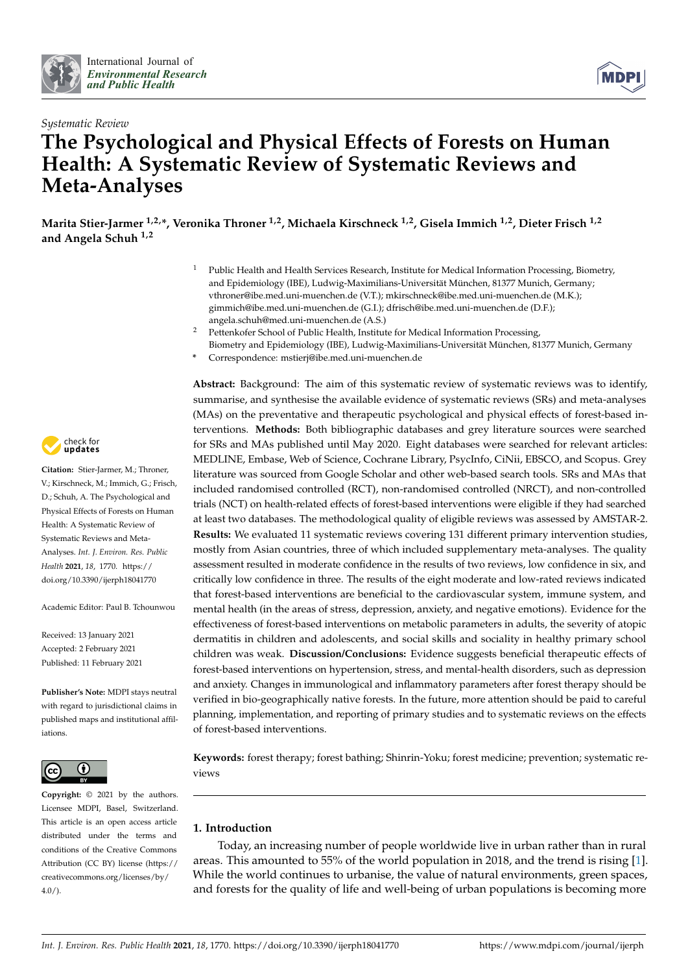



# *Systematic Review* **The Psychological and Physical Effects of Forests on Human Health: A Systematic Review of Systematic Reviews and Meta-Analyses**

**Marita Stier-Jarmer 1,2,\*, Veronika Throner 1,2, Michaela Kirschneck 1,2, Gisela Immich 1,2, Dieter Frisch 1,2 and Angela Schuh 1,2**

- <sup>1</sup> Public Health and Health Services Research, Institute for Medical Information Processing, Biometry, and Epidemiology (IBE), Ludwig-Maximilians-Universität München, 81377 Munich, Germany; vthroner@ibe.med.uni-muenchen.de (V.T.); mkirschneck@ibe.med.uni-muenchen.de (M.K.); gimmich@ibe.med.uni-muenchen.de (G.I.); dfrisch@ibe.med.uni-muenchen.de (D.F.); angela.schuh@med.uni-muenchen.de (A.S.)
	- Pettenkofer School of Public Health, Institute for Medical Information Processing, Biometry and Epidemiology (IBE), Ludwig-Maximilians-Universität München, 81377 Munich, Germany
	- **\*** Correspondence: mstierj@ibe.med.uni-muenchen.de

**Abstract:** Background: The aim of this systematic review of systematic reviews was to identify, summarise, and synthesise the available evidence of systematic reviews (SRs) and meta-analyses (MAs) on the preventative and therapeutic psychological and physical effects of forest-based interventions. **Methods:** Both bibliographic databases and grey literature sources were searched for SRs and MAs published until May 2020. Eight databases were searched for relevant articles: MEDLINE, Embase, Web of Science, Cochrane Library, PsycInfo, CiNii, EBSCO, and Scopus. Grey literature was sourced from Google Scholar and other web-based search tools. SRs and MAs that included randomised controlled (RCT), non-randomised controlled (NRCT), and non-controlled trials (NCT) on health-related effects of forest-based interventions were eligible if they had searched at least two databases. The methodological quality of eligible reviews was assessed by AMSTAR-2. **Results:** We evaluated 11 systematic reviews covering 131 different primary intervention studies, mostly from Asian countries, three of which included supplementary meta-analyses. The quality assessment resulted in moderate confidence in the results of two reviews, low confidence in six, and critically low confidence in three. The results of the eight moderate and low-rated reviews indicated that forest-based interventions are beneficial to the cardiovascular system, immune system, and mental health (in the areas of stress, depression, anxiety, and negative emotions). Evidence for the effectiveness of forest-based interventions on metabolic parameters in adults, the severity of atopic dermatitis in children and adolescents, and social skills and sociality in healthy primary school children was weak. **Discussion/Conclusions:** Evidence suggests beneficial therapeutic effects of forest-based interventions on hypertension, stress, and mental-health disorders, such as depression and anxiety. Changes in immunological and inflammatory parameters after forest therapy should be verified in bio-geographically native forests. In the future, more attention should be paid to careful planning, implementation, and reporting of primary studies and to systematic reviews on the effects of forest-based interventions.

**Keywords:** forest therapy; forest bathing; Shinrin-Yoku; forest medicine; prevention; systematic reviews

### **1. Introduction**

Today, an increasing number of people worldwide live in urban rather than in rural areas. This amounted to 55% of the world population in 2018, and the trend is rising [\[1\]](#page-35-0). While the world continues to urbanise, the value of natural environments, green spaces, and forests for the quality of life and well-being of urban populations is becoming more



**Citation:** Stier-Jarmer, M.; Throner, V.; Kirschneck, M.; Immich, G.; Frisch, D.; Schuh, A. The Psychological and Physical Effects of Forests on Human Health: A Systematic Review of Systematic Reviews and Meta-Analyses. *Int. J. Environ. Res. Public Health* **2021**, *18*, 1770. [https://](https://doi.org/10.3390/ijerph18041770) [doi.org/10.3390/ijerph18041770](https://doi.org/10.3390/ijerph18041770)

Academic Editor: Paul B. Tchounwou

Received: 13 January 2021 Accepted: 2 February 2021 Published: 11 February 2021

**Publisher's Note:** MDPI stays neutral with regard to jurisdictional claims in published maps and institutional affiliations.



**Copyright:** © 2021 by the authors. Licensee MDPI, Basel, Switzerland. This article is an open access article distributed under the terms and conditions of the Creative Commons Attribution (CC BY) license (https:/[/](https://creativecommons.org/licenses/by/4.0/) [creativecommons.org/licenses/by/](https://creativecommons.org/licenses/by/4.0/)  $4.0/$ ).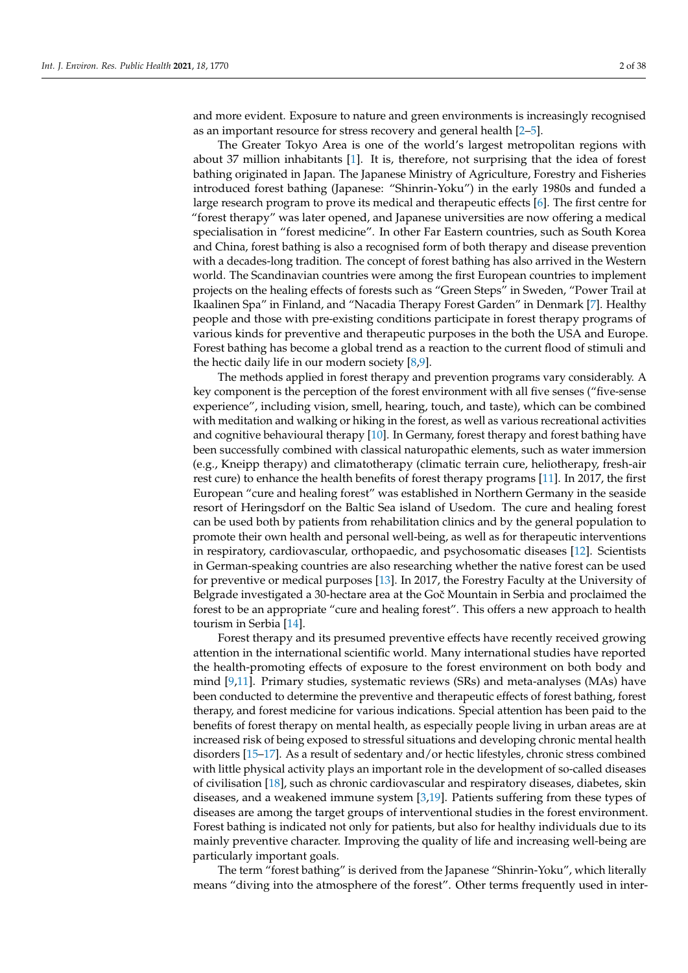and more evident. Exposure to nature and green environments is increasingly recognised as an important resource for stress recovery and general health [\[2](#page-35-1)[–5\]](#page-35-2).

The Greater Tokyo Area is one of the world's largest metropolitan regions with about 37 million inhabitants [\[1\]](#page-35-0). It is, therefore, not surprising that the idea of forest bathing originated in Japan. The Japanese Ministry of Agriculture, Forestry and Fisheries introduced forest bathing (Japanese: "Shinrin-Yoku") in the early 1980s and funded a large research program to prove its medical and therapeutic effects [\[6\]](#page-35-3). The first centre for "forest therapy" was later opened, and Japanese universities are now offering a medical specialisation in "forest medicine". In other Far Eastern countries, such as South Korea and China, forest bathing is also a recognised form of both therapy and disease prevention with a decades-long tradition. The concept of forest bathing has also arrived in the Western world. The Scandinavian countries were among the first European countries to implement projects on the healing effects of forests such as "Green Steps" in Sweden, "Power Trail at Ikaalinen Spa" in Finland, and "Nacadia Therapy Forest Garden" in Denmark [\[7\]](#page-35-4). Healthy people and those with pre-existing conditions participate in forest therapy programs of various kinds for preventive and therapeutic purposes in the both the USA and Europe. Forest bathing has become a global trend as a reaction to the current flood of stimuli and the hectic daily life in our modern society [\[8,](#page-35-5)[9\]](#page-35-6).

The methods applied in forest therapy and prevention programs vary considerably. A key component is the perception of the forest environment with all five senses ("five-sense experience", including vision, smell, hearing, touch, and taste), which can be combined with meditation and walking or hiking in the forest, as well as various recreational activities and cognitive behavioural therapy [\[10\]](#page-35-7). In Germany, forest therapy and forest bathing have been successfully combined with classical naturopathic elements, such as water immersion (e.g., Kneipp therapy) and climatotherapy (climatic terrain cure, heliotherapy, fresh-air rest cure) to enhance the health benefits of forest therapy programs [\[11\]](#page-35-8). In 2017, the first European "cure and healing forest" was established in Northern Germany in the seaside resort of Heringsdorf on the Baltic Sea island of Usedom. The cure and healing forest can be used both by patients from rehabilitation clinics and by the general population to promote their own health and personal well-being, as well as for therapeutic interventions in respiratory, cardiovascular, orthopaedic, and psychosomatic diseases [\[12\]](#page-36-0). Scientists in German-speaking countries are also researching whether the native forest can be used for preventive or medical purposes [\[13\]](#page-36-1). In 2017, the Forestry Faculty at the University of Belgrade investigated a 30-hectare area at the Goč Mountain in Serbia and proclaimed the forest to be an appropriate "cure and healing forest". This offers a new approach to health tourism in Serbia [\[14\]](#page-36-2).

Forest therapy and its presumed preventive effects have recently received growing attention in the international scientific world. Many international studies have reported the health-promoting effects of exposure to the forest environment on both body and mind [\[9,](#page-35-6)[11\]](#page-35-8). Primary studies, systematic reviews (SRs) and meta-analyses (MAs) have been conducted to determine the preventive and therapeutic effects of forest bathing, forest therapy, and forest medicine for various indications. Special attention has been paid to the benefits of forest therapy on mental health, as especially people living in urban areas are at increased risk of being exposed to stressful situations and developing chronic mental health disorders [\[15](#page-36-3)[–17\]](#page-36-4). As a result of sedentary and/or hectic lifestyles, chronic stress combined with little physical activity plays an important role in the development of so-called diseases of civilisation [\[18\]](#page-36-5), such as chronic cardiovascular and respiratory diseases, diabetes, skin diseases, and a weakened immune system [\[3](#page-35-9)[,19\]](#page-36-6). Patients suffering from these types of diseases are among the target groups of interventional studies in the forest environment. Forest bathing is indicated not only for patients, but also for healthy individuals due to its mainly preventive character. Improving the quality of life and increasing well-being are particularly important goals.

The term "forest bathing" is derived from the Japanese "Shinrin-Yoku", which literally means "diving into the atmosphere of the forest". Other terms frequently used in inter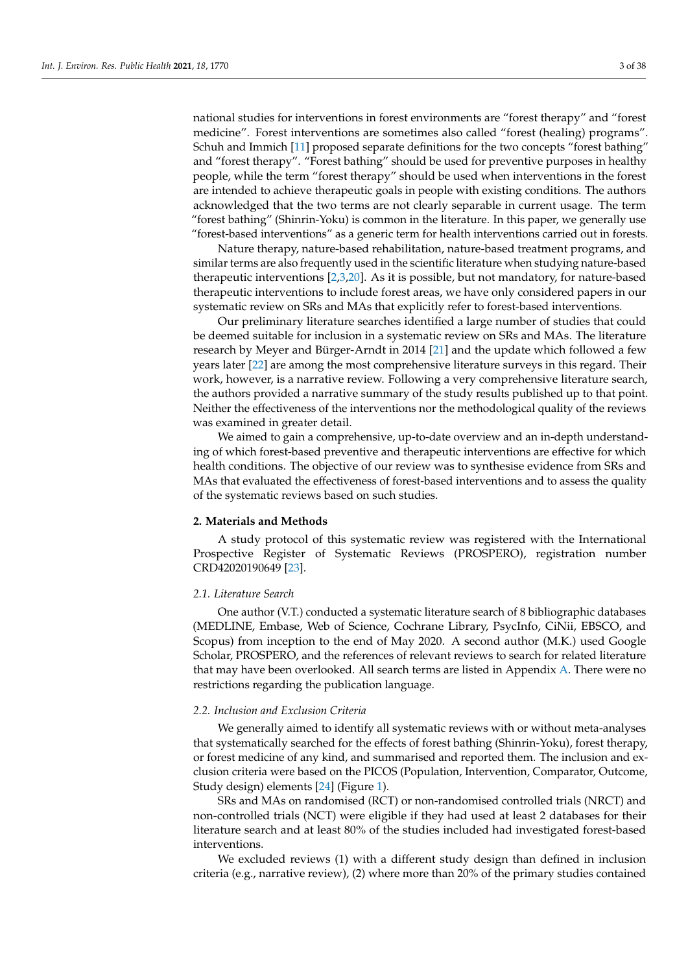national studies for interventions in forest environments are "forest therapy" and "forest medicine". Forest interventions are sometimes also called "forest (healing) programs". Schuh and Immich [\[11\]](#page-35-8) proposed separate definitions for the two concepts "forest bathing" and "forest therapy". "Forest bathing" should be used for preventive purposes in healthy people, while the term "forest therapy" should be used when interventions in the forest are intended to achieve therapeutic goals in people with existing conditions. The authors acknowledged that the two terms are not clearly separable in current usage. The term "forest bathing" (Shinrin-Yoku) is common in the literature. In this paper, we generally use "forest-based interventions" as a generic term for health interventions carried out in forests.

Nature therapy, nature-based rehabilitation, nature-based treatment programs, and similar terms are also frequently used in the scientific literature when studying nature-based therapeutic interventions [\[2,](#page-35-1)[3,](#page-35-9)[20\]](#page-36-7). As it is possible, but not mandatory, for nature-based therapeutic interventions to include forest areas, we have only considered papers in our systematic review on SRs and MAs that explicitly refer to forest-based interventions.

Our preliminary literature searches identified a large number of studies that could be deemed suitable for inclusion in a systematic review on SRs and MAs. The literature research by Meyer and Bürger-Arndt in 2014 [\[21\]](#page-36-8) and the update which followed a few years later [\[22\]](#page-36-9) are among the most comprehensive literature surveys in this regard. Their work, however, is a narrative review. Following a very comprehensive literature search, the authors provided a narrative summary of the study results published up to that point. Neither the effectiveness of the interventions nor the methodological quality of the reviews was examined in greater detail.

We aimed to gain a comprehensive, up-to-date overview and an in-depth understanding of which forest-based preventive and therapeutic interventions are effective for which health conditions. The objective of our review was to synthesise evidence from SRs and MAs that evaluated the effectiveness of forest-based interventions and to assess the quality of the systematic reviews based on such studies.

#### **2. Materials and Methods**

A study protocol of this systematic review was registered with the International Prospective Register of Systematic Reviews (PROSPERO), registration number CRD42020190649 [\[23\]](#page-36-10).

#### *2.1. Literature Search*

One author (V.T.) conducted a systematic literature search of 8 bibliographic databases (MEDLINE, Embase, Web of Science, Cochrane Library, PsycInfo, CiNii, EBSCO, and Scopus) from inception to the end of May 2020. A second author (M.K.) used Google Scholar, PROSPERO, and the references of relevant reviews to search for related literature that may have been overlooked. All search terms are listed in Appendix [A.](#page-30-0) There were no restrictions regarding the publication language.

#### *2.2. Inclusion and Exclusion Criteria*

We generally aimed to identify all systematic reviews with or without meta-analyses that systematically searched for the effects of forest bathing (Shinrin-Yoku), forest therapy, or forest medicine of any kind, and summarised and reported them. The inclusion and exclusion criteria were based on the PICOS (Population, Intervention, Comparator, Outcome, Study design) elements [\[24\]](#page-36-11) (Figure [1\)](#page-3-0).

SRs and MAs on randomised (RCT) or non-randomised controlled trials (NRCT) and non-controlled trials (NCT) were eligible if they had used at least 2 databases for their literature search and at least 80% of the studies included had investigated forest-based interventions.

We excluded reviews (1) with a different study design than defined in inclusion criteria (e.g., narrative review), (2) where more than 20% of the primary studies contained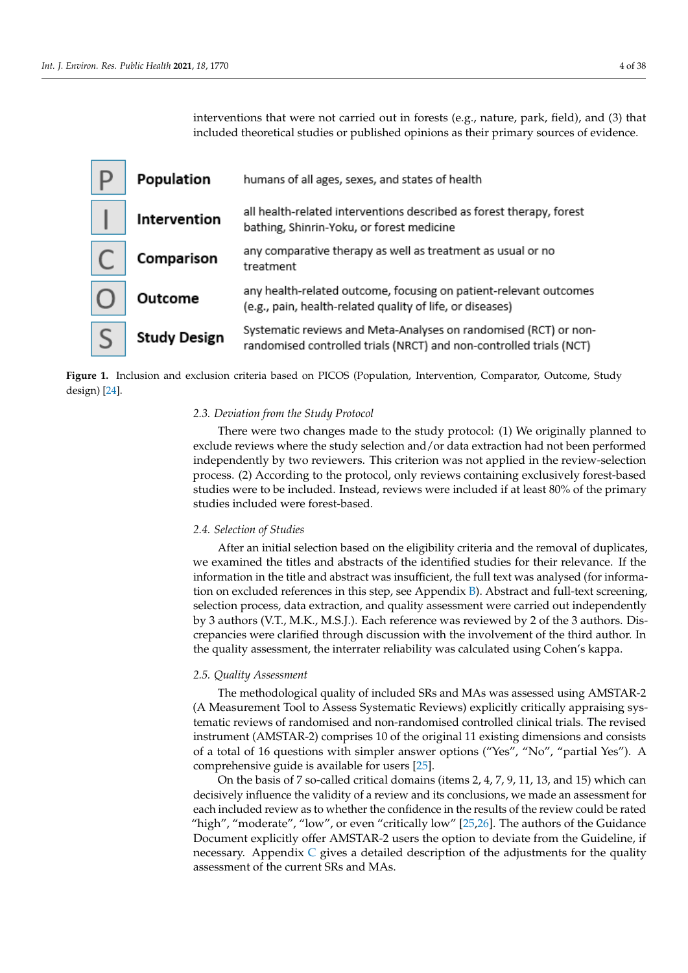interventions that were not carried out in forests (e.g., nature, park, field), and (3) that included theoretical studies or published opinions as their primary sources of evidence. process. (2) According to the protocol, only reviews containing exclusively forest-based  $\sum_{i=1}^{\infty}$  interventions that were not carried out in forests (e.g., flattile, park, fleid), and (3) that

exclude reviews where the study selection and/or data extraction had not been performed

<span id="page-3-0"></span>

| Population          | humans of all ages, sexes, and states of health                                                                                         |
|---------------------|-----------------------------------------------------------------------------------------------------------------------------------------|
| Intervention        | all health-related interventions described as forest therapy, forest<br>bathing, Shinrin-Yoku, or forest medicine                       |
| Comparison          | any comparative therapy as well as treatment as usual or no<br>treatment                                                                |
| Outcome             | any health-related outcome, focusing on patient-relevant outcomes<br>(e.g., pain, health-related quality of life, or diseases)          |
| <b>Study Design</b> | Systematic reviews and Meta-Analyses on randomised (RCT) or non-<br>randomised controlled trials (NRCT) and non-controlled trials (NCT) |



#### 2.3. Deviation from the Study Protocol

There were two changes made to the study protocol: (1) We originally planned to exclude reviews where the study selection and/or data extraction had not been performed independently by two reviewers. This criterion was not applied in the review-selection process. (2) According to the protocol, only reviews containing exclusively forest-based studies were to be included. Instead, reviews were included if at least 80% of the primary studies included were forest-based.

#### $\alpha$  and  $\alpha$  discrepancies with the involvement of  $\alpha$  involvement of the involvement of the involvement of the involvement of the involvement of the involvement of the involvement of the involvement of the involvement  $t_{\text{max}}$  and  $t_{\text{max}}$  assessment, the interrational using  $\sigma$  interrates using  $\sigma$ *2.4. Selection of Studies*

After an initial selection based on the eligibility criteria and the removal of duplicates, *2.5. Quality Assessment*  information in the title and abstract was insufficient, the full text was analysed (for informaselection process, data extraction, and quality assessment were carried out independently by 3 authors (V.T., M.K., M.S.J.). Each reference was reviewed by 2 of the 3 authors. Dis- $\epsilon_j$  is additive (111) through the signified through discussion with the involvement of the third author. In crepancies were clarified through discussion with the involvement of the third author. In  $\mu$ <sub>instrument (AMSTAR-2)</sub> comprises 10 of the original 11  $\mu$  original 11  $\mu$  excess 10 of the original 11  $\mu$  excess 10 of the original 11  $\mu$  excess 10 of the original 11  $\mu$  excess 10 or  $\mu$  excess 10  $\mu$  exce the quality assessment, the interrater reliability was calculated using Cohen's kappa. we examined the titles and abstracts of the identified studies for their relevance. If the tion on excluded references in this step, see Appendix [B\)](#page-32-0). Abstract and full-text screening,

### 2.5. Quality Assessment

The methodological quality of included SRs and MAs was assessed using AMSTAR-2 (A Measurement Tool to Assess Systematic Reviews) explicitly critically appraising systematic reviews of randomised and non-randomised controlled clinical trials. The revised instrument (AMSTAR-2) comprises 10 of the original 11 existing dimensions and consists of a total of 16 questions with simpler answer options ("Yes", "No", "partial Yes"). A comprehensive guide is available for users [\[25\]](#page-36-12).

On the basis of 7 so-called critical domains (items 2, 4, 7, 9, 11, 13, and 15) which can decisively influence the validity of a review and its conclusions, we made an assessment for each included review as to whether the confidence in the results of the review could be rated "high", "moderate", "low", or even "critically low"  $[25,26]$  $[25,26]$ . The authors of the Guidance Document explicitly offer AMSTAR-2 users the option to deviate from the Guideline, if necessary. Appendix  $C$  gives a detailed description of the adjustments for the quality assessment of the current SRs and MAs.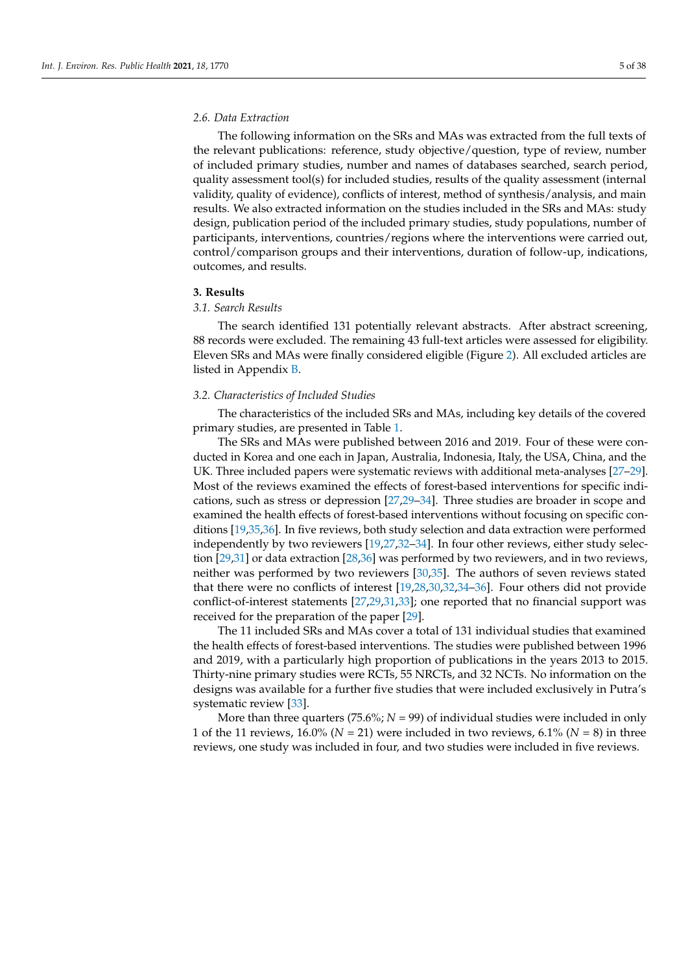#### *2.6. Data Extraction*

The following information on the SRs and MAs was extracted from the full texts of the relevant publications: reference, study objective/question, type of review, number of included primary studies, number and names of databases searched, search period, quality assessment tool(s) for included studies, results of the quality assessment (internal validity, quality of evidence), conflicts of interest, method of synthesis/analysis, and main results. We also extracted information on the studies included in the SRs and MAs: study design, publication period of the included primary studies, study populations, number of participants, interventions, countries/regions where the interventions were carried out, control/comparison groups and their interventions, duration of follow-up, indications, outcomes, and results.

#### **3. Results**

#### *3.1. Search Results*

The search identified 131 potentially relevant abstracts. After abstract screening, 88 records were excluded. The remaining 43 full-text articles were assessed for eligibility. Eleven SRs and MAs were finally considered eligible (Figure [2\)](#page-9-0). All excluded articles are listed in Appendix [B.](#page-32-0)

#### *3.2. Characteristics of Included Studies*

The characteristics of the included SRs and MAs, including key details of the covered primary studies, are presented in Table [1.](#page-5-0)

The SRs and MAs were published between 2016 and 2019. Four of these were conducted in Korea and one each in Japan, Australia, Indonesia, Italy, the USA, China, and the UK. Three included papers were systematic reviews with additional meta-analyses [\[27](#page-36-14)[–29\]](#page-36-15). Most of the reviews examined the effects of forest-based interventions for specific indications, such as stress or depression [\[27](#page-36-14)[,29–](#page-36-15)[34\]](#page-36-16). Three studies are broader in scope and examined the health effects of forest-based interventions without focusing on specific conditions [\[19](#page-36-6)[,35,](#page-36-17)[36\]](#page-36-18). In five reviews, both study selection and data extraction were performed independently by two reviewers [\[19](#page-36-6)[,27,](#page-36-14)[32–](#page-36-19)[34\]](#page-36-16). In four other reviews, either study selection [\[29](#page-36-15)[,31\]](#page-36-20) or data extraction [\[28,](#page-36-21)[36\]](#page-36-18) was performed by two reviewers, and in two reviews, neither was performed by two reviewers [\[30,](#page-36-22)[35\]](#page-36-17). The authors of seven reviews stated that there were no conflicts of interest [\[19,](#page-36-6)[28,](#page-36-21)[30,](#page-36-22)[32,](#page-36-19)[34](#page-36-16)[–36\]](#page-36-18). Four others did not provide conflict-of-interest statements [\[27](#page-36-14)[,29,](#page-36-15)[31,](#page-36-20)[33\]](#page-36-23); one reported that no financial support was received for the preparation of the paper [\[29\]](#page-36-15).

The 11 included SRs and MAs cover a total of 131 individual studies that examined the health effects of forest-based interventions. The studies were published between 1996 and 2019, with a particularly high proportion of publications in the years 2013 to 2015. Thirty-nine primary studies were RCTs, 55 NRCTs, and 32 NCTs. No information on the designs was available for a further five studies that were included exclusively in Putra's systematic review [\[33\]](#page-36-23).

More than three quarters (75.6%;  $N = 99$ ) of individual studies were included in only 1 of the 11 reviews,  $16.0\%$  ( $N = 21$ ) were included in two reviews,  $6.1\%$  ( $N = 8$ ) in three reviews, one study was included in four, and two studies were included in five reviews.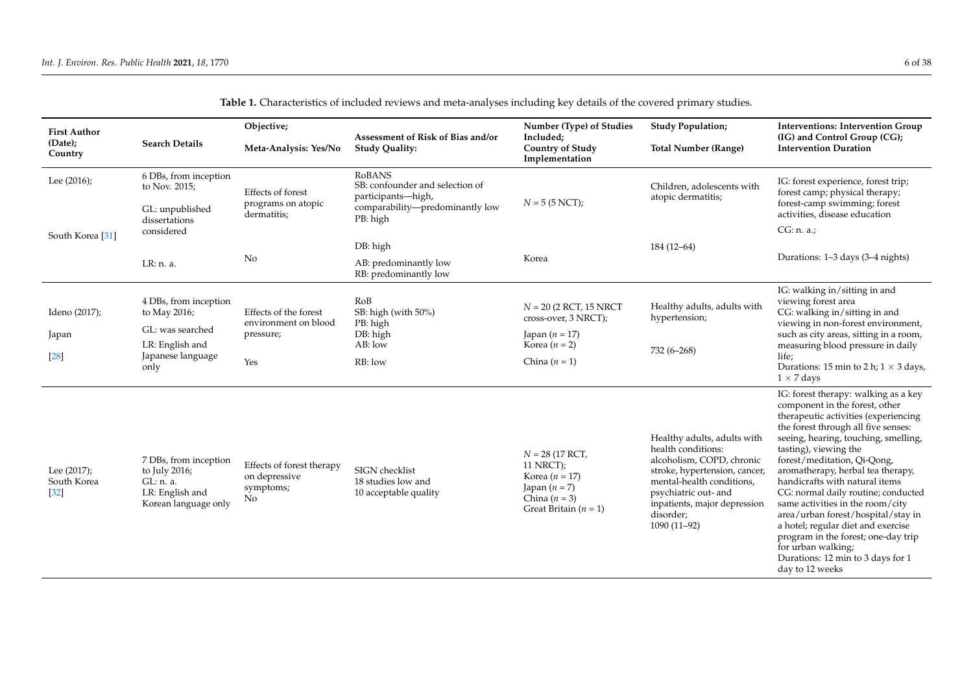<span id="page-5-0"></span>

| <b>First Author</b>                  |                                                                                                | Objective;<br>Assessment of Risk of Bias and/or                |                                                                                                                       | Number (Type) of Studies                                                                                              | <b>Study Population;</b>                                                                                                                                                                                                           | <b>Interventions: Intervention Group</b>                                                                                                                                                                                                                                                                                                                                                                                                                                                                                                                                                                 |  |
|--------------------------------------|------------------------------------------------------------------------------------------------|----------------------------------------------------------------|-----------------------------------------------------------------------------------------------------------------------|-----------------------------------------------------------------------------------------------------------------------|------------------------------------------------------------------------------------------------------------------------------------------------------------------------------------------------------------------------------------|----------------------------------------------------------------------------------------------------------------------------------------------------------------------------------------------------------------------------------------------------------------------------------------------------------------------------------------------------------------------------------------------------------------------------------------------------------------------------------------------------------------------------------------------------------------------------------------------------------|--|
| (Date);<br>Country                   | <b>Search Details</b>                                                                          | Meta-Analysis: Yes/No                                          | <b>Study Quality:</b>                                                                                                 | Included;<br><b>Country of Study</b><br>Implementation                                                                | <b>Total Number (Range)</b>                                                                                                                                                                                                        | (IG) and Control Group (CG);<br><b>Intervention Duration</b>                                                                                                                                                                                                                                                                                                                                                                                                                                                                                                                                             |  |
| Lee (2016);                          | 6 DBs, from inception<br>to Nov. 2015;<br>GL: unpublished                                      | Effects of forest<br>programs on atopic<br>dermatitis;         | <b>RoBANS</b><br>SB: confounder and selection of<br>participants-high,<br>comparability-predominantly low<br>PB: high | $N = 5 (5 NCT);$                                                                                                      | Children, adolescents with<br>atopic dermatitis;                                                                                                                                                                                   | IG: forest experience, forest trip;<br>forest camp; physical therapy;<br>forest-camp swimming; forest<br>activities, disease education                                                                                                                                                                                                                                                                                                                                                                                                                                                                   |  |
| South Korea [31]                     | dissertations<br>considered                                                                    |                                                                |                                                                                                                       |                                                                                                                       |                                                                                                                                                                                                                                    | CG: n. a.                                                                                                                                                                                                                                                                                                                                                                                                                                                                                                                                                                                                |  |
|                                      |                                                                                                |                                                                | DB: high                                                                                                              |                                                                                                                       | $184(12-64)$                                                                                                                                                                                                                       |                                                                                                                                                                                                                                                                                                                                                                                                                                                                                                                                                                                                          |  |
|                                      | LR: n. a.                                                                                      | No                                                             | AB: predominantly low<br>RB: predominantly low                                                                        | Korea                                                                                                                 |                                                                                                                                                                                                                                    | Durations: 1-3 days (3-4 nights)                                                                                                                                                                                                                                                                                                                                                                                                                                                                                                                                                                         |  |
| Ideno (2017);                        | 4 DBs, from inception<br>to May 2016;                                                          | Effects of the forest<br>environment on blood                  | RoB<br>SB: high (with 50%)<br>PB: high                                                                                | $N = 20$ (2 RCT, 15 NRCT<br>cross-over, 3 NRCT);                                                                      | Healthy adults, adults with<br>hypertension;                                                                                                                                                                                       | IG: walking in/sitting in and<br>viewing forest area<br>CG: walking in/sitting in and<br>viewing in non-forest environment,                                                                                                                                                                                                                                                                                                                                                                                                                                                                              |  |
| Japan                                | GL: was searched<br>LR: English and                                                            | pressure;                                                      | DB: high<br>AB: low                                                                                                   | Japan $(n = 17)$<br>Korea $(n = 2)$                                                                                   | 732 (6-268)                                                                                                                                                                                                                        | such as city areas, sitting in a room,<br>measuring blood pressure in daily                                                                                                                                                                                                                                                                                                                                                                                                                                                                                                                              |  |
| $[28]$                               | Japanese language<br>only                                                                      | Yes                                                            | RB: low                                                                                                               | China $(n = 1)$                                                                                                       |                                                                                                                                                                                                                                    | life;<br>Durations: 15 min to 2 h; $1 \times 3$ days,<br>$1 \times 7$ days                                                                                                                                                                                                                                                                                                                                                                                                                                                                                                                               |  |
| Lee (2017);<br>South Korea<br>$[32]$ | 7 DBs, from inception<br>to July 2016;<br>GL: n. a.<br>LR: English and<br>Korean language only | Effects of forest therapy<br>on depressive<br>symptoms;<br>No. | SIGN checklist<br>18 studies low and<br>10 acceptable quality                                                         | $N = 28$ (17 RCT,<br>11 NRCT);<br>Korea ( $n = 17$ )<br>Japan $(n = 7)$<br>China $(n = 3)$<br>Great Britain $(n = 1)$ | Healthy adults, adults with<br>health conditions:<br>alcoholism, COPD, chronic<br>stroke, hypertension, cancer,<br>mental-health conditions.<br>psychiatric out- and<br>inpatients, major depression<br>disorder;<br>$1090(11-92)$ | IG: forest therapy: walking as a key<br>component in the forest, other<br>therapeutic activities (experiencing<br>the forest through all five senses:<br>seeing, hearing, touching, smelling,<br>tasting), viewing the<br>forest/meditation, Qi-Qong,<br>aromatherapy, herbal tea therapy,<br>handicrafts with natural items<br>CG: normal daily routine; conducted<br>same activities in the room/city<br>area/urban forest/hospital/stay in<br>a hotel; regular diet and exercise<br>program in the forest; one-day trip<br>for urban walking;<br>Durations: 12 min to 3 days for 1<br>day to 12 weeks |  |

**Table 1.** Characteristics of included reviews and meta-analyses including key details of the covered primary studies.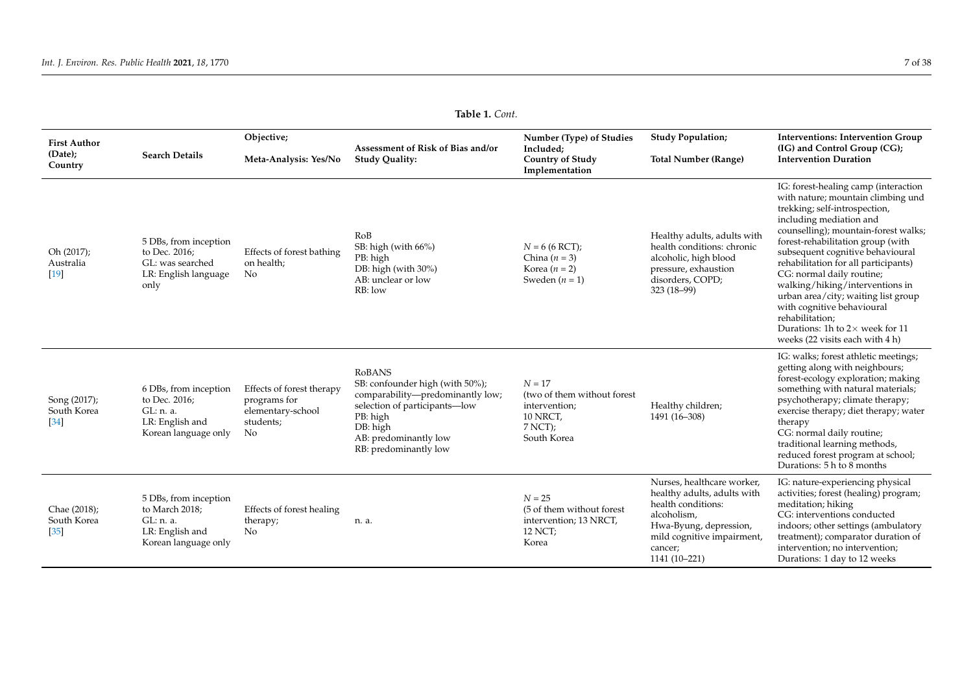| Table 1. Cont.                            |                                                                                                 |                                                                                   |                                                                                                                                                                                                 |                                                                                                  |                                                                                                                                                                                    |                                                                                                                                                                                                                                                                                                                                                                                                                                                                                                                                      |  |
|-------------------------------------------|-------------------------------------------------------------------------------------------------|-----------------------------------------------------------------------------------|-------------------------------------------------------------------------------------------------------------------------------------------------------------------------------------------------|--------------------------------------------------------------------------------------------------|------------------------------------------------------------------------------------------------------------------------------------------------------------------------------------|--------------------------------------------------------------------------------------------------------------------------------------------------------------------------------------------------------------------------------------------------------------------------------------------------------------------------------------------------------------------------------------------------------------------------------------------------------------------------------------------------------------------------------------|--|
| <b>First Author</b><br>(Date);<br>Country | <b>Search Details</b>                                                                           | Objective;<br>Meta-Analysis: Yes/No                                               | Assessment of Risk of Bias and/or<br><b>Study Quality:</b>                                                                                                                                      | Number (Type) of Studies<br>Included;<br><b>Country of Study</b><br>Implementation               | <b>Study Population;</b><br><b>Total Number (Range)</b>                                                                                                                            | <b>Interventions: Intervention Group</b><br>(IG) and Control Group (CG);<br><b>Intervention Duration</b>                                                                                                                                                                                                                                                                                                                                                                                                                             |  |
| Oh (2017);<br>Australia<br>$[19]$         | 5 DBs, from inception<br>to Dec. 2016;<br>GL: was searched<br>LR: English language<br>only      | Effects of forest bathing<br>on health;<br>No                                     | RoB<br>SB: high (with 66%)<br>PB: high<br>DB: high (with 30%)<br>AB: unclear or low<br>RB: low                                                                                                  | $N = 6(6 RCT);$<br>China $(n = 3)$<br>Korea $(n = 2)$<br>Sweden $(n = 1)$                        | Healthy adults, adults with<br>health conditions: chronic<br>alcoholic, high blood<br>pressure, exhaustion<br>disorders, COPD;<br>$323(18-99)$                                     | IG: forest-healing camp (interaction<br>with nature; mountain climbing und<br>trekking; self-introspection,<br>including mediation and<br>counselling); mountain-forest walks;<br>forest-rehabilitation group (with<br>subsequent cognitive behavioural<br>rehabilitation for all participants)<br>CG: normal daily routine;<br>walking/hiking/interventions in<br>urban area/city; waiting list group<br>with cognitive behavioural<br>rehabilitation;<br>Durations: 1h to $2\times$ week for 11<br>weeks (22 visits each with 4 h) |  |
| Song (2017);<br>South Korea<br>$[34]$     | 6 DBs, from inception<br>to Dec. 2016;<br>GL: n. a.<br>LR: English and<br>Korean language only  | Effects of forest therapy<br>programs for<br>elementary-school<br>students;<br>No | <b>RoBANS</b><br>SB: confounder high (with 50%);<br>comparability-predominantly low;<br>selection of participants-low<br>PB: high<br>DB: high<br>AB: predominantly low<br>RB: predominantly low | $N = 17$<br>(two of them without forest<br>intervention;<br>10 NRCT,<br>$7$ NCT);<br>South Korea | Healthy children;<br>1491 (16-308)                                                                                                                                                 | IG: walks; forest athletic meetings;<br>getting along with neighbours;<br>forest-ecology exploration; making<br>something with natural materials;<br>psychotherapy; climate therapy;<br>exercise therapy; diet therapy; water<br>therapy<br>CG: normal daily routine;<br>traditional learning methods,<br>reduced forest program at school;<br>Durations: 5 h to 8 months                                                                                                                                                            |  |
| Chae (2018);<br>South Korea<br>$[35]$     | 5 DBs, from inception<br>to March 2018;<br>GL: n. a.<br>LR: English and<br>Korean language only | Effects of forest healing<br>therapy;<br>No                                       | n. a.                                                                                                                                                                                           | $N = 25$<br>(5 of them without forest)<br>intervention; 13 NRCT,<br>12 NCT;<br>Korea             | Nurses, healthcare worker,<br>healthy adults, adults with<br>health conditions:<br>alcoholism,<br>Hwa-Byung, depression,<br>mild cognitive impairment,<br>cancer;<br>1141 (10-221) | IG: nature-experiencing physical<br>activities; forest (healing) program;<br>meditation; hiking<br>CG: interventions conducted<br>indoors; other settings (ambulatory<br>treatment); comparator duration of<br>intervention; no intervention;<br>Durations: 1 day to 12 weeks                                                                                                                                                                                                                                                        |  |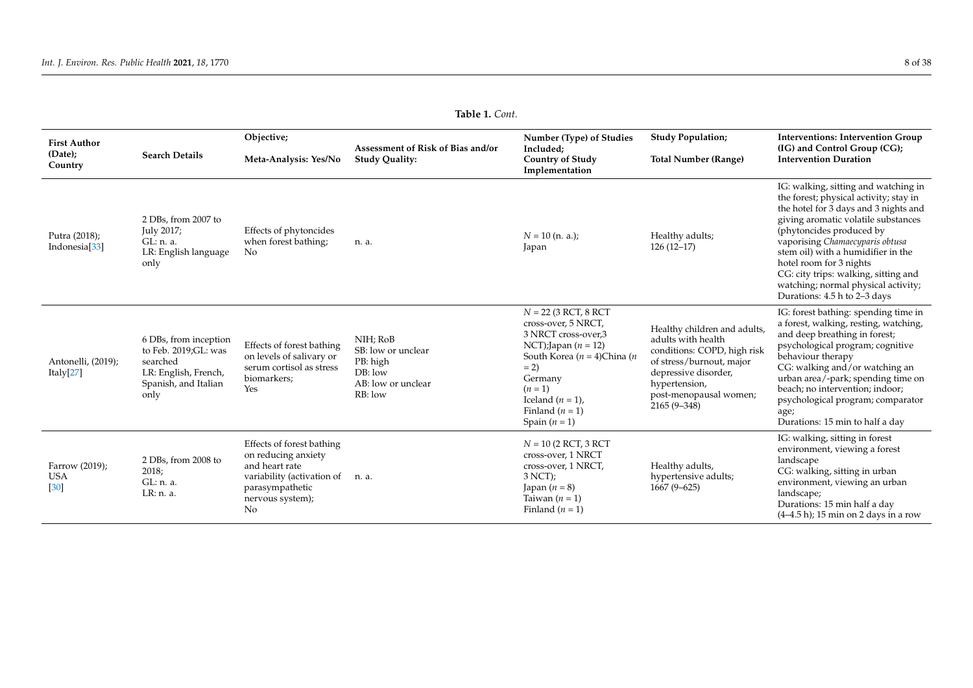| Table 1. Cont.                             |                                                                                                                   |                                                                                                                                               |                                                                                          |                                                                                                                                                                                                                                |                                                                                                                                                                                                     |                                                                                                                                                                                                                                                                                                                                                                                                               |  |
|--------------------------------------------|-------------------------------------------------------------------------------------------------------------------|-----------------------------------------------------------------------------------------------------------------------------------------------|------------------------------------------------------------------------------------------|--------------------------------------------------------------------------------------------------------------------------------------------------------------------------------------------------------------------------------|-----------------------------------------------------------------------------------------------------------------------------------------------------------------------------------------------------|---------------------------------------------------------------------------------------------------------------------------------------------------------------------------------------------------------------------------------------------------------------------------------------------------------------------------------------------------------------------------------------------------------------|--|
| <b>First Author</b>                        |                                                                                                                   | Objective;                                                                                                                                    | Assessment of Risk of Bias and/or                                                        | Number (Type) of Studies<br>Included;                                                                                                                                                                                          | <b>Study Population;</b>                                                                                                                                                                            | <b>Interventions: Intervention Group</b><br>(IG) and Control Group (CG);                                                                                                                                                                                                                                                                                                                                      |  |
| (Date);<br>Country                         | <b>Search Details</b>                                                                                             | Meta-Analysis: Yes/No                                                                                                                         | <b>Study Quality:</b>                                                                    | <b>Country of Study</b><br>Implementation                                                                                                                                                                                      | <b>Total Number (Range)</b>                                                                                                                                                                         | <b>Intervention Duration</b>                                                                                                                                                                                                                                                                                                                                                                                  |  |
| Putra (2018);<br>Indonesia <sup>[33]</sup> | 2 DBs, from 2007 to<br>July 2017;<br>GL: n. a.<br>LR: English language<br>only                                    | Effects of phytoncides<br>when forest bathing;<br>No.                                                                                         | n. a.                                                                                    | $N = 10$ (n. a.);<br>Japan                                                                                                                                                                                                     | Healthy adults;<br>$126(12-17)$                                                                                                                                                                     | IG: walking, sitting and watching in<br>the forest; physical activity; stay in<br>the hotel for 3 days and 3 nights and<br>giving aromatic volatile substances<br>(phytoncides produced by<br>vaporising Chamaecyparis obtusa<br>stem oil) with a humidifier in the<br>hotel room for 3 nights<br>CG: city trips: walking, sitting and<br>watching; normal physical activity;<br>Durations: 4.5 h to 2-3 days |  |
| Antonelli, (2019);<br>Italy $[27]$         | 6 DBs, from inception<br>to Feb. 2019;GL: was<br>searched<br>LR: English, French,<br>Spanish, and Italian<br>only | Effects of forest bathing<br>on levels of salivary or<br>serum cortisol as stress<br>biomarkers;<br>Yes                                       | NIH; RoB<br>SB: low or unclear<br>PB: high<br>$DB:$ low<br>AB: low or unclear<br>RB: low | $N = 22$ (3 RCT, 8 RCT<br>cross-over, 5 NRCT,<br>3 NRCT cross-over,3<br>NCT);Japan $(n = 12)$<br>South Korea ( $n = 4$ )China (n<br>$= 2$<br>Germany<br>$(n=1)$<br>Iceland $(n = 1)$ ,<br>Finland $(n = 1)$<br>Spain $(n = 1)$ | Healthy children and adults,<br>adults with health<br>conditions: COPD, high risk<br>of stress/burnout, major<br>depressive disorder,<br>hypertension,<br>post-menopausal women;<br>$2165(9 - 348)$ | IG: forest bathing: spending time in<br>a forest, walking, resting, watching,<br>and deep breathing in forest;<br>psychological program; cognitive<br>behaviour therapy<br>CG: walking and/or watching an<br>urban area/-park; spending time on<br>beach; no intervention; indoor;<br>psychological program; comparator<br>age;<br>Durations: 15 min to half a day                                            |  |
| Farrow (2019);<br><b>USA</b><br>[30]       | 2 DBs, from 2008 to<br>2018;<br>GL: n. a.<br>LR: n. a.                                                            | Effects of forest bathing<br>on reducing anxiety<br>and heart rate<br>variability (activation of<br>parasympathetic<br>nervous system);<br>No | n. a.                                                                                    | $N = 10$ (2 RCT, 3 RCT<br>cross-over, 1 NRCT<br>cross-over, 1 NRCT,<br>$3$ NCT);<br>Japan $(n = 8)$<br>Taiwan $(n = 1)$<br>Finland $(n = 1)$                                                                                   | Healthy adults,<br>hypertensive adults;<br>$1667(9-625)$                                                                                                                                            | IG: walking, sitting in forest<br>environment, viewing a forest<br>landscape<br>CG: walking, sitting in urban<br>environment, viewing an urban<br>landscape;<br>Durations: 15 min half a day<br>$(4-4.5 h)$ ; 15 min on 2 days in a row                                                                                                                                                                       |  |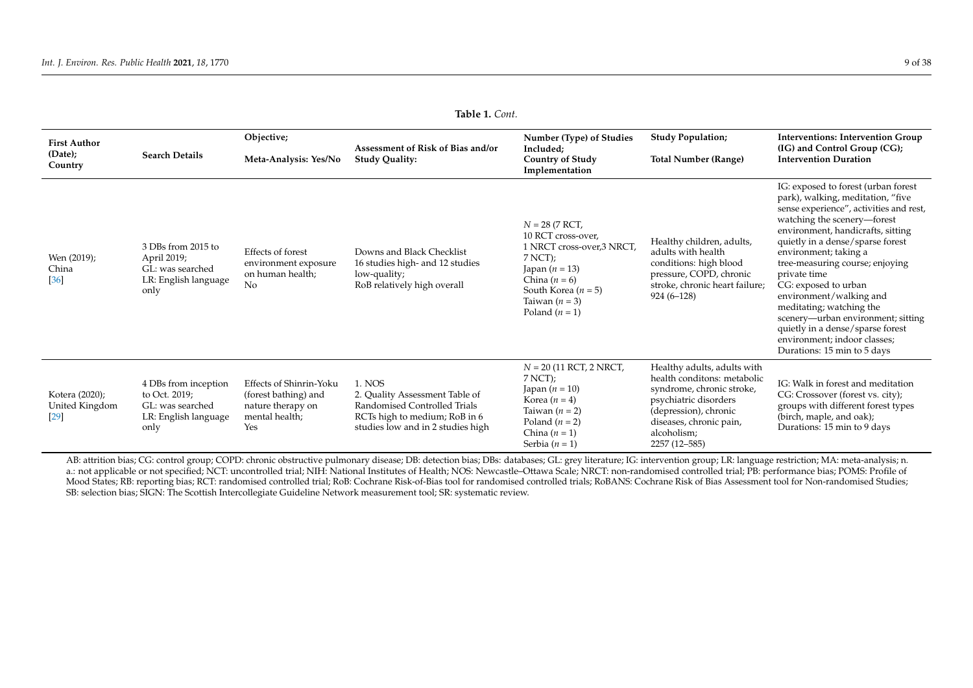| <b>Table 1.</b> Cont.                      |                                                                                           |                                                                                               |                                                                                                                                                |                                                                                                                                                                                               |                                                                                                                                                                                                      |                                                                                                                                                                                                                                                                                                                                                                                                                                                                                                                                 |  |
|--------------------------------------------|-------------------------------------------------------------------------------------------|-----------------------------------------------------------------------------------------------|------------------------------------------------------------------------------------------------------------------------------------------------|-----------------------------------------------------------------------------------------------------------------------------------------------------------------------------------------------|------------------------------------------------------------------------------------------------------------------------------------------------------------------------------------------------------|---------------------------------------------------------------------------------------------------------------------------------------------------------------------------------------------------------------------------------------------------------------------------------------------------------------------------------------------------------------------------------------------------------------------------------------------------------------------------------------------------------------------------------|--|
| <b>First Author</b><br>(Date);<br>Country  | <b>Search Details</b>                                                                     | Objective;<br>Meta-Analysis: Yes/No                                                           | Assessment of Risk of Bias and/or<br><b>Study Quality:</b>                                                                                     | Number (Type) of Studies<br>Included;<br><b>Country of Study</b><br>Implementation                                                                                                            | <b>Study Population;</b><br><b>Total Number (Range)</b>                                                                                                                                              | <b>Interventions: Intervention Group</b><br>(IG) and Control Group (CG);<br><b>Intervention Duration</b>                                                                                                                                                                                                                                                                                                                                                                                                                        |  |
| Wen (2019);<br>China<br>$[36]$             | 3 DBs from 2015 to<br>April 2019;<br>GL: was searched<br>LR: English language<br>only     | Effects of forest<br>environment exposure<br>on human health;<br>N <sub>o</sub>               | Downs and Black Checklist<br>16 studies high- and 12 studies<br>low-quality;<br>RoB relatively high overall                                    | $N = 28 (7 RCT,$<br>10 RCT cross-over.<br>1 NRCT cross-over, 3 NRCT,<br>$7$ NCT);<br>Japan ( $n = 13$ )<br>China $(n = 6)$<br>South Korea ( $n = 5$ )<br>Taiwan $(n = 3)$<br>Poland $(n = 1)$ | Healthy children, adults,<br>adults with health<br>conditions: high blood<br>pressure, COPD, chronic<br>stroke, chronic heart failure;<br>$924(6-128)$                                               | IG: exposed to forest (urban forest<br>park), walking, meditation, "five<br>sense experience", activities and rest,<br>watching the scenery-forest<br>environment, handicrafts, sitting<br>quietly in a dense/sparse forest<br>environment; taking a<br>tree-measuring course; enjoying<br>private time<br>CG: exposed to urban<br>environment/walking and<br>meditating; watching the<br>scenery—urban environment; sitting<br>quietly in a dense/sparse forest<br>environment; indoor classes;<br>Durations: 15 min to 5 days |  |
| Kotera (2020);<br>United Kingdom<br>$[29]$ | 4 DBs from inception<br>to Oct. 2019;<br>GL: was searched<br>LR: English language<br>only | Effects of Shinrin-Yoku<br>(forest bathing) and<br>nature therapy on<br>mental health;<br>Yes | 1. NOS<br>2. Quality Assessment Table of<br>Randomised Controlled Trials<br>RCTs high to medium; RoB in 6<br>studies low and in 2 studies high | $N = 20$ (11 RCT, 2 NRCT,<br>$7$ NCT);<br>Japan $(n = 10)$<br>Korea $(n = 4)$<br>Taiwan $(n = 2)$<br>Poland $(n = 2)$<br>China $(n = 1)$<br>Serbia $(n = 1)$                                  | Healthy adults, adults with<br>health conditons: metabolic<br>syndrome, chronic stroke,<br>psychiatric disorders<br>(depression), chronic<br>diseases, chronic pain,<br>alcoholism;<br>2257 (12-585) | IG: Walk in forest and meditation<br>CG: Crossover (forest vs. city);<br>groups with different forest types<br>(birch, maple, and oak);<br>Durations: 15 min to 9 days                                                                                                                                                                                                                                                                                                                                                          |  |

AB: attrition bias; CG: control group; COPD: chronic obstructive pulmonary disease; DB: detection bias; DBs: databases; GL: grey literature; IG: intervention group; LR: language restriction; MA: meta-analysis; n. a.: not applicable or not specified; NCT: uncontrolled trial; NIH: National Institutes of Health; NOS: Newcastle-Ottawa Scale; NRCT: non-randomised controlled trial; PB: performance bias; POMS: Profile of Mood States; RB: reporting bias; RCT: randomised controlled trial; RoB: Cochrane Risk-of-Bias tool for randomised controlled trials; RoBANS: Cochrane Risk of Bias Assessment tool for Non-randomised Studies; SB: selection bias; SIGN: The Scottish Intercollegiate Guideline Network measurement tool; SR: systematic review.

**Table 1.** *Cont.*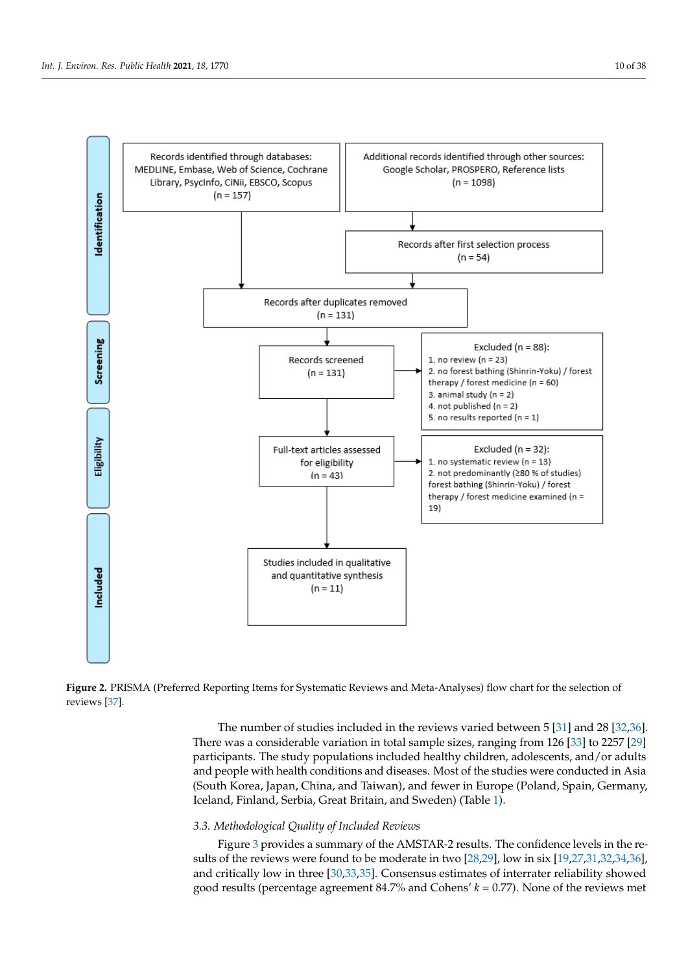<span id="page-9-0"></span>

**Figure 2.** PRISMA (Preferred Reporting Items for Systematic Reviews and Meta-Analyses) flow **Figure 2.** PRISMA (Preferred Reporting Items for Systematic Reviews and Meta-Analyses) flow chart for the selection of chart for the selection of reviews [37]. reviews [\[37\]](#page-36-35).

The number of stu[dies](#page-36-20) included in the reviews varied between  $5 [31]$  and  $28 [32,36]$ . There was a considerable variation in total sample sizes, ranging from 126 [33] to 2257 [29] participants. The study populations included healthy children, adolescents, and/or adults and people with health conditions and diseases. Most of the studies were conducted in Asia (South Korea, Japan, China, and Taiwan), and fewer in Europe (Poland, Spain, Germany, Iceland, Finland, Serbia, Great Britain, and Sweden) (Table [1\)](#page-5-0).

### 1 of the 11 reviews, 16.0% (*N* = 21) were included in two reviews, 6.1% (*N* = 8) in three *3.3. Methodological Quality of Included Reviews*

Figure 3 provides a summary of the AMSTAR-2 results. The confidence levels in the results of the reviews were found to be moderate in two  $[28,29]$  $[28,29]$ , low in six  $[19,27,31,32,34,36]$  $[19,27,31,32,34,36]$  $[19,27,31,32,34,36]$  $[19,27,31,32,34,36]$  $[19,27,31,32,34,36]$  $[19,27,31,32,34,36]$ , and critically low in three [\[30,](#page-36-22)[33,](#page-36-23)[35\]](#page-36-17). Consensus estimates of interrater reliability showed good results (percentage agreement 84.7% and Cohens'  $k = 0.77$ ). None of the reviews met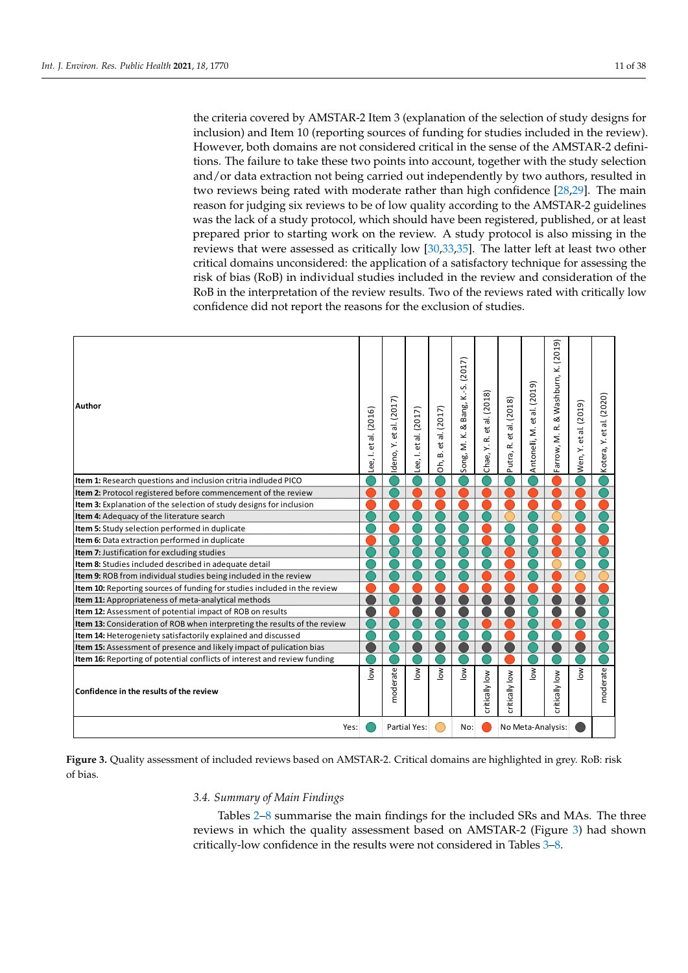the criteria covered by AMSTAR-2 Item 3 (explanation of the selection of study designs for inclusion) and Item 10 (reporting sources of funding for studies included in the review). However, both domains are not considered critical in the sense of the AMSTAR-2 definitions. The failure to take these two points into account, together with the study selection and/or data extraction not being carried out independently by two authors, resulted in two reviews being rated with moderate rather than high confidence [\[28](#page-36-21)[,29\]](#page-36-15). The main reason for judging six reviews to be of low quality according to the AMSTAR-2 guidelines was the lack of a study protocol, which should have been registered, published, or at least prepared prior to starting work on the review. A study protocol is also missing in the reviews that were assessed as critically low [\[30](#page-36-22)[,33](#page-36-23)[,35\]](#page-36-17). The latter left at least two other critical domains unconsidered: the application of a satisfactory technique for assessing the risk of bias (RoB) in individual studies included in the review and consideration of the RoB in the interpretation of the review results. Two of the reviews rated with critically low confidence did not report the reasons for the exclusion of studies.

<span id="page-10-0"></span>

| <b>Author</b>                                                             | Lee, I. et al. (2016) | Y. et al. (2017)<br>deno, | et al. (2017)<br>Lee, l. | al. (2017)<br>ť<br>ക്<br>δ, | K.-S. (2017)<br>Bang, I<br>ಷ<br>M. K.<br>Song. | et al. (2018)<br>œ<br>$\overline{\phantom{a}}$<br>Chae, | et al. (2018)<br>Putra, R. | al. (2019)<br>ď<br>Antonelli, M. | & Washburn, K. (2019)<br>œ<br>Farrow, M. | et al. (2019)<br>Ÿ.<br>Wen, | et al. (2020)<br>Kotera, Y. |
|---------------------------------------------------------------------------|-----------------------|---------------------------|--------------------------|-----------------------------|------------------------------------------------|---------------------------------------------------------|----------------------------|----------------------------------|------------------------------------------|-----------------------------|-----------------------------|
| <b>Item 1:</b> Research questions and inclusion critria indluded PICO     |                       |                           |                          |                             |                                                |                                                         |                            |                                  |                                          |                             |                             |
| Item 2: Protocol registered before commencement of the review             |                       |                           |                          |                             |                                                |                                                         |                            |                                  |                                          |                             |                             |
| Item 3: Explanation of the selection of study designs for inclusion       |                       |                           |                          |                             |                                                |                                                         |                            |                                  |                                          |                             |                             |
| Item 4: Adequacy of the literature search                                 |                       |                           |                          |                             |                                                |                                                         |                            |                                  |                                          |                             |                             |
| Item 5: Study selection performed in duplicate                            |                       |                           |                          |                             |                                                |                                                         |                            |                                  |                                          |                             |                             |
| Item 6: Data extraction performed in duplicate                            |                       |                           |                          |                             |                                                |                                                         |                            |                                  |                                          |                             |                             |
| Item 7: Justification for excluding studies                               |                       |                           |                          |                             |                                                |                                                         |                            |                                  |                                          |                             |                             |
| Item 8: Studies included described in adequate detail                     |                       |                           |                          |                             |                                                |                                                         |                            |                                  |                                          |                             |                             |
| Item 9: ROB from individual studies being included in the review          |                       |                           |                          |                             |                                                |                                                         |                            |                                  |                                          |                             |                             |
| Item 10: Reporting sources of funding for studies included in the review  |                       |                           |                          |                             |                                                |                                                         |                            |                                  |                                          |                             |                             |
| Item 11: Appropriateness of meta-analytical methods                       |                       |                           |                          |                             |                                                |                                                         |                            |                                  |                                          |                             |                             |
| Item 12: Assessment of potential impact of ROB on results                 |                       |                           |                          |                             |                                                |                                                         |                            |                                  |                                          |                             |                             |
| Item 13: Consideration of ROB when interpreting the results of the review |                       |                           |                          |                             |                                                |                                                         |                            |                                  |                                          |                             |                             |
| Item 14: Heterogeniety satisfactorily explained and discussed             |                       |                           |                          |                             |                                                |                                                         |                            |                                  |                                          |                             |                             |
| Item 15: Assessment of presence and likely impact of pulication bias      |                       |                           |                          |                             |                                                |                                                         |                            |                                  |                                          |                             |                             |
| Item 16: Reporting of potential conflicts of interest and review funding  |                       |                           |                          |                             |                                                |                                                         |                            |                                  |                                          |                             |                             |
| Confidence in the results of the review                                   | $\sum_{i=1}^{\infty}$ | moderate                  | $\sum_{i=1}^{\infty}$    | $\frac{8}{6}$               | $\sum_{i=1}^{\infty}$                          | critically low                                          | critically low             | $\sum_{i=1}^{\infty}$            | critically low                           | $\sum_{i=1}^{\infty}$       | moderate                    |
| Yes:                                                                      |                       |                           | Partial Yes:             |                             | No:                                            |                                                         |                            | No Meta-Analysis:                |                                          |                             |                             |

**Figure 3.** Quality assessment of included reviews based on AMSTAR-2. Critical domains are highlighted in grey. RoB: risk of bias.

#### *3.4. Summary of Main Findings*

Tables [2–](#page-11-0)[8](#page-21-0) summarise the main findings for the included SRs and MAs. The three reviews in which the quality assessment based on AMSTAR-2 (Figure [3\)](#page-10-0) had shown critically-low confidence in the results were not considered in Tables [3](#page-19-0)[–8.](#page-21-0)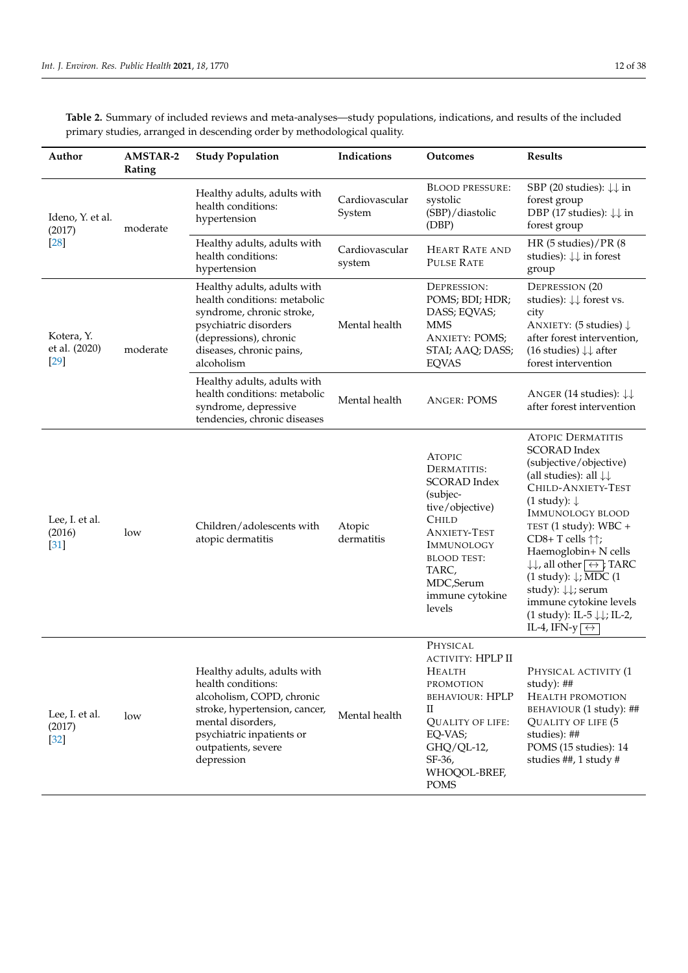| Author                                | <b>AMSTAR-2</b><br>Rating | <b>Study Population</b>                                                                                                                                                                                | Indications              | Outcomes                                                                                                                                                                                                                | <b>Results</b>                                                                                                                                                                                                                                                                                                                                                                                                                                                                                                                                                    |
|---------------------------------------|---------------------------|--------------------------------------------------------------------------------------------------------------------------------------------------------------------------------------------------------|--------------------------|-------------------------------------------------------------------------------------------------------------------------------------------------------------------------------------------------------------------------|-------------------------------------------------------------------------------------------------------------------------------------------------------------------------------------------------------------------------------------------------------------------------------------------------------------------------------------------------------------------------------------------------------------------------------------------------------------------------------------------------------------------------------------------------------------------|
| Ideno, Y. et al.<br>(2017)            | moderate                  | Healthy adults, adults with<br>health conditions:<br>hypertension                                                                                                                                      | Cardiovascular<br>System | <b>BLOOD PRESSURE:</b><br>systolic<br>(SBP)/diastolic<br>(DBP)                                                                                                                                                          | SBP (20 studies): $\downarrow \downarrow$ in<br>forest group<br>DBP (17 studies): $\downarrow \downarrow$ in<br>forest group                                                                                                                                                                                                                                                                                                                                                                                                                                      |
| $[28]$                                |                           | Healthy adults, adults with<br>health conditions:<br>hypertension                                                                                                                                      | Cardiovascular<br>system | <b>HEART RATE AND</b><br><b>PULSE RATE</b>                                                                                                                                                                              | HR (5 studies)/PR (8<br>studies): $\downarrow\downarrow$ in forest<br>group                                                                                                                                                                                                                                                                                                                                                                                                                                                                                       |
| Kotera, Y.<br>et al. (2020)<br>$[29]$ | moderate                  | Healthy adults, adults with<br>health conditions: metabolic<br>syndrome, chronic stroke,<br>psychiatric disorders<br>(depressions), chronic<br>diseases, chronic pains,<br>alcoholism                  | Mental health            | DEPRESSION:<br>POMS; BDI; HDR;<br>DASS; EQVAS;<br><b>MMS</b><br><b>ANXIETY: POMS;</b><br>STAI; AAQ; DASS;<br><b>EQVAS</b>                                                                                               | <b>DEPRESSION (20</b><br>studies): $\downarrow \downarrow$ forest vs.<br>city<br>ANXIETY: (5 studies) $\downarrow$<br>after forest intervention,<br>(16 studies) $\downarrow \downarrow$ after<br>forest intervention                                                                                                                                                                                                                                                                                                                                             |
|                                       |                           | Healthy adults, adults with<br>health conditions: metabolic<br>syndrome, depressive<br>tendencies, chronic diseases                                                                                    | Mental health            | <b>ANGER: POMS</b>                                                                                                                                                                                                      | ANGER (14 studies): $\downarrow \downarrow$<br>after forest intervention                                                                                                                                                                                                                                                                                                                                                                                                                                                                                          |
| Lee, I. et al.<br>(2016)<br>$[31]$    | low                       | Children/adolescents with<br>atopic dermatitis                                                                                                                                                         | Atopic<br>dermatitis     | <b>ATOPIC</b><br>DERMATITIS:<br><b>SCORAD</b> Index<br>(subjec-<br>tive/objective)<br><b>CHILD</b><br><b>ANXIETY-TEST</b><br><b>IMMUNOLOGY</b><br><b>BLOOD TEST:</b><br>TARC,<br>MDC,Serum<br>immune cytokine<br>levels | <b>ATOPIC DERMATITIS</b><br><b>SCORAD</b> Index<br>(subjective/objective)<br>(all studies): all $\downarrow \downarrow$<br>CHILD-ANXIETY-TEST<br>$(1$ study): $\downarrow$<br><b>IMMUNOLOGY BLOOD</b><br>TEST (1 study): WBC +<br>CD8+T cells $\uparrow\uparrow$ ;<br>Haemoglobin+ N cells<br>$\downarrow \downarrow$ , all other $\leftrightarrow$ ; TARC<br>(1 study): $\downarrow$ ; MDC (1<br>study): $\downarrow\downarrow$ ; serum<br>immune cytokine levels<br>(1 study): IL-5 $\downarrow \downarrow$ ; IL-2,<br>IL-4, IFN-y $\overline{\leftrightarrow}$ |
| Lee, I. et al.<br>(2017)<br>$[32]$    | low                       | Healthy adults, adults with<br>health conditions:<br>alcoholism, COPD, chronic<br>stroke, hypertension, cancer,<br>mental disorders,<br>psychiatric inpatients or<br>outpatients, severe<br>depression | Mental health            | PHYSICAL<br>ACTIVITY: HPLP II<br>HEALTH<br>PROMOTION<br><b>BEHAVIOUR: HPLP</b><br>$\rm{II}$<br><b>QUALITY OF LIFE:</b><br>EQ-VAS;<br>GHQ/QL-12,<br>SF-36,<br>WHOQOL-BREF,<br><b>POMS</b>                                | PHYSICAL ACTIVITY (1<br>study): $\#$<br>HEALTH PROMOTION<br>BEHAVIOUR (1 study): ##<br>QUALITY OF LIFE (5<br>studies): ##<br>POMS (15 studies): 14<br>studies ##, 1 study #                                                                                                                                                                                                                                                                                                                                                                                       |

<span id="page-11-0"></span>**Table 2.** Summary of included reviews and meta-analyses—study populations, indications, and results of the included primary studies, arranged in descending order by methodological quality.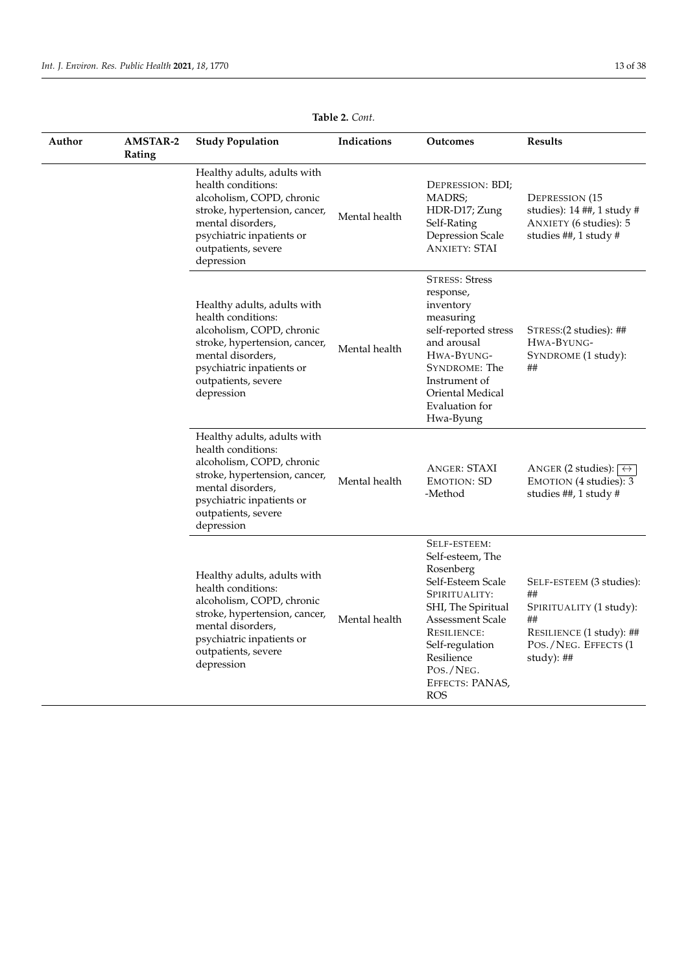| Author | <b>AMSTAR-2</b><br>Rating | <b>Study Population</b>                                                                                                                                                                                | Indications   | <b>Outcomes</b>                                                                                                                                                                                                                    | Results                                                                                                                             |
|--------|---------------------------|--------------------------------------------------------------------------------------------------------------------------------------------------------------------------------------------------------|---------------|------------------------------------------------------------------------------------------------------------------------------------------------------------------------------------------------------------------------------------|-------------------------------------------------------------------------------------------------------------------------------------|
|        |                           | Healthy adults, adults with<br>health conditions:<br>alcoholism, COPD, chronic<br>stroke, hypertension, cancer,<br>mental disorders,<br>psychiatric inpatients or<br>outpatients, severe<br>depression | Mental health | DEPRESSION: BDI;<br>MADRS;<br>HDR-D17; Zung<br>Self-Rating<br>Depression Scale<br><b>ANXIETY: STAI</b>                                                                                                                             | <b>DEPRESSION (15</b><br>studies): 14 ##, 1 study #<br>ANXIETY (6 studies): 5<br>studies ##, 1 study #                              |
|        |                           | Healthy adults, adults with<br>health conditions:<br>alcoholism, COPD, chronic<br>stroke, hypertension, cancer,<br>mental disorders,<br>psychiatric inpatients or<br>outpatients, severe<br>depression | Mental health | <b>STRESS: Stress</b><br>response,<br>inventory<br>measuring<br>self-reported stress<br>and arousal<br>HWA-BYUNG-<br>SYNDROME: The<br>Instrument of<br>Oriental Medical<br>Evaluation for<br>Hwa-Byung                             | STRESS: (2 studies): ##<br>HWA-BYUNG-<br>SYNDROME (1 study):<br>##                                                                  |
|        |                           | Healthy adults, adults with<br>health conditions:<br>alcoholism, COPD, chronic<br>stroke, hypertension, cancer,<br>mental disorders,<br>psychiatric inpatients or<br>outpatients, severe<br>depression | Mental health | <b>ANGER: STAXI</b><br><b>EMOTION: SD</b><br>-Method                                                                                                                                                                               | ANGER (2 studies): $\leftrightarrow$<br>EMOTION (4 studies): 3<br>studies ##, 1 study #                                             |
|        |                           | Healthy adults, adults with<br>health conditions:<br>alcoholism, COPD, chronic<br>stroke, hypertension, cancer,<br>mental disorders,<br>psychiatric inpatients or<br>outpatients, severe<br>depression | Mental health | SELF-ESTEEM:<br>Self-esteem, The<br>Rosenberg<br>Self-Esteem Scale<br>SPIRITUALITY:<br>SHI, The Spiritual<br>Assessment Scale<br><b>RESILIENCE:</b><br>Self-regulation<br>Resilience<br>POS./NEG.<br>EFFECTS: PANAS,<br><b>ROS</b> | SELF-ESTEEM (3 studies):<br>##<br>SPIRITUALITY (1 study):<br>##<br>RESILIENCE (1 study): ##<br>POS./NEG. EFFECTS (1<br>study): $\#$ |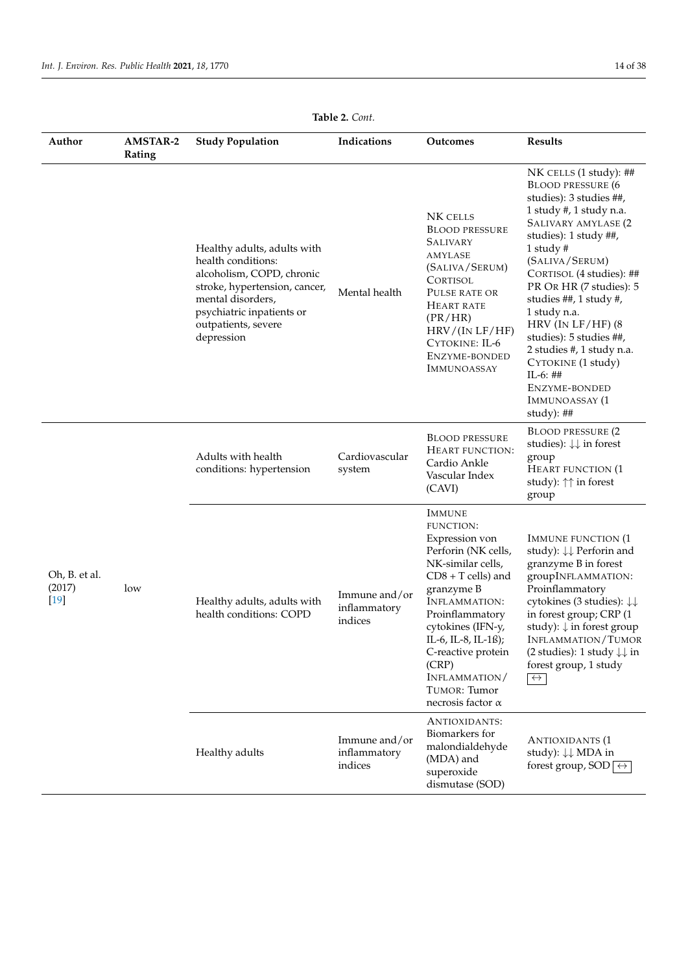| Author                            | <b>AMSTAR-2</b><br>Rating | <b>Study Population</b>                                                                                                                                                                                | Indications                              | Outcomes                                                                                                                                                                                                                                                                                                                 | Results                                                                                                                                                                                                                                                                                                                                                                                                                                                         |
|-----------------------------------|---------------------------|--------------------------------------------------------------------------------------------------------------------------------------------------------------------------------------------------------|------------------------------------------|--------------------------------------------------------------------------------------------------------------------------------------------------------------------------------------------------------------------------------------------------------------------------------------------------------------------------|-----------------------------------------------------------------------------------------------------------------------------------------------------------------------------------------------------------------------------------------------------------------------------------------------------------------------------------------------------------------------------------------------------------------------------------------------------------------|
|                                   |                           | Healthy adults, adults with<br>health conditions:<br>alcoholism, COPD, chronic<br>stroke, hypertension, cancer,<br>mental disorders,<br>psychiatric inpatients or<br>outpatients, severe<br>depression | Mental health                            | NK CELLS<br><b>BLOOD PRESSURE</b><br><b>SALIVARY</b><br>AMYLASE<br>(SALIVA/SERUM)<br><b>CORTISOL</b><br>PULSE RATE OR<br>HEART RATE<br>(PR/HR)<br>HRV/(IN LF/HF)<br>CYTOKINE: IL-6<br>ENZYME-BONDED<br><b>IMMUNOASSAY</b>                                                                                                | NK CELLS (1 study): ##<br><b>BLOOD PRESSURE (6</b><br>studies): 3 studies ##,<br>1 study #, 1 study n.a.<br>SALIVARY AMYLASE (2<br>studies): 1 study ##,<br>1 study $#$<br>(SALIVA/SERUM)<br>CORTISOL (4 studies): ##<br>PR OR HR (7 studies): 5<br>studies ##, 1 study #,<br>1 study n.a.<br>HRV (IN $LF/HF$ ) (8<br>studies): 5 studies ##,<br>2 studies #, 1 study n.a.<br>CYTOKINE (1 study)<br>$IL-6: ##$<br>ENZYME-BONDED<br>IMMUNOASSAY (1<br>study): ## |
| Oh, B. et al.<br>(2017)<br>$[19]$ |                           | Adults with health<br>conditions: hypertension                                                                                                                                                         | Cardiovascular<br>system                 | <b>BLOOD PRESSURE</b><br>HEART FUNCTION:<br>Cardio Ankle<br>Vascular Index<br>(CAVI)                                                                                                                                                                                                                                     | <b>BLOOD PRESSURE (2</b><br>studies): $\downarrow \downarrow$ in forest<br>group<br><b>HEART FUNCTION (1)</b><br>study): $\uparrow\uparrow$ in forest<br>group                                                                                                                                                                                                                                                                                                  |
|                                   | low                       | Healthy adults, adults with<br>health conditions: COPD                                                                                                                                                 | Immune and/or<br>inflammatory<br>indices | <b>IMMUNE</b><br><b>FUNCTION:</b><br>Expression von<br>Perforin (NK cells,<br>NK-similar cells,<br>$CDS + T$ cells) and<br>granzyme B<br><b>INFLAMMATION:</b><br>Proinflammatory<br>cytokines (IFN-y,<br>IL-6, IL-8, IL-1ß);<br>C-reactive protein<br>(CRP)<br>INFLAMMATION/<br>TUMOR: Tumor<br>necrosis factor $\alpha$ | <b>IMMUNE FUNCTION (1)</b><br>study): $\downarrow\downarrow$ Perforin and<br>granzyme B in forest<br>groupINFLAMMATION:<br>Proinflammatory<br>cytokines (3 studies): $\downarrow\downarrow$<br>in forest group; CRP (1<br>study): $\downarrow$ in forest group<br>INFLAMMATION/TUMOR<br>(2 studies): 1 study $\downarrow\downarrow$ in<br>forest group, 1 study<br>$\leftrightarrow$                                                                            |
|                                   |                           | Healthy adults                                                                                                                                                                                         | Immune and/or<br>inflammatory<br>indices | ANTIOXIDANTS:<br>Biomarkers for<br>malondialdehyde<br>(MDA) and<br>superoxide<br>dismutase (SOD)                                                                                                                                                                                                                         | <b>ANTIOXIDANTS (1</b><br>study): $\downarrow\downarrow$ MDA in<br>forest group, SOD $\overline{\leftrightarrow}$                                                                                                                                                                                                                                                                                                                                               |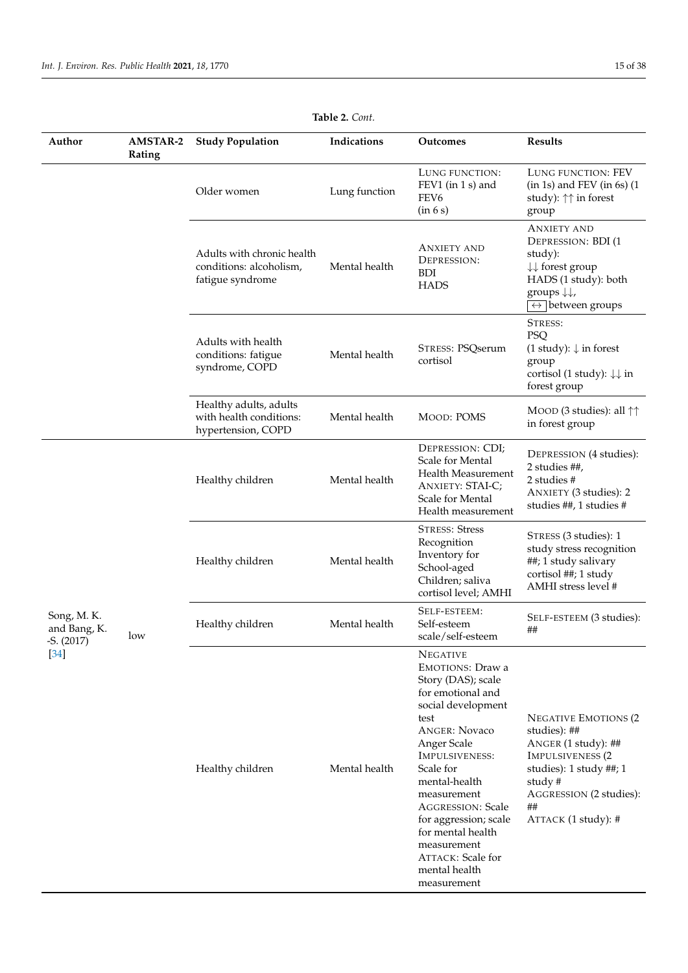| Author                     | <b>AMSTAR-2</b><br>Rating | <b>Study Population</b>                                                   | Indications   | <b>Outcomes</b>                                                                                                                                                                                                                                                                                                                                                                | <b>Results</b>                                                                                                                                                                                     |
|----------------------------|---------------------------|---------------------------------------------------------------------------|---------------|--------------------------------------------------------------------------------------------------------------------------------------------------------------------------------------------------------------------------------------------------------------------------------------------------------------------------------------------------------------------------------|----------------------------------------------------------------------------------------------------------------------------------------------------------------------------------------------------|
|                            |                           | Older women                                                               | Lung function | LUNG FUNCTION:<br>FEV1 (in 1 s) and<br>FEV <sub>6</sub><br>(in 6 s)                                                                                                                                                                                                                                                                                                            | LUNG FUNCTION: FEV<br>$(in 1s)$ and FEV $(in 6s)$ $(1$<br>study): $\uparrow\uparrow$ in forest<br>group                                                                                            |
|                            |                           | Adults with chronic health<br>conditions: alcoholism,<br>fatigue syndrome | Mental health | <b>ANXIETY AND</b><br>DEPRESSION:<br><b>BDI</b><br><b>HADS</b>                                                                                                                                                                                                                                                                                                                 | <b>ANXIETY AND</b><br><b>DEPRESSION: BDI (1)</b><br>study):<br>$\downarrow\downarrow$ forest group<br>HADS (1 study): both<br>groups $\downarrow \downarrow$ ,<br>$\leftrightarrow$ between groups |
|                            |                           | Adults with health<br>conditions: fatigue<br>syndrome, COPD               | Mental health | STRESS: PSQserum<br>cortisol                                                                                                                                                                                                                                                                                                                                                   | STRESS:<br><b>PSQ</b><br>$(1 study): \downarrow$ in forest<br>group<br>cortisol (1 study): $\downarrow \downarrow$ in<br>forest group                                                              |
|                            |                           | Healthy adults, adults<br>with health conditions:<br>hypertension, COPD   | Mental health | <b>MOOD: POMS</b>                                                                                                                                                                                                                                                                                                                                                              | MOOD (3 studies): all $\uparrow\uparrow$<br>in forest group                                                                                                                                        |
|                            |                           | Healthy children                                                          | Mental health | DEPRESSION: CDI;<br>Scale for Mental<br>Health Measurement<br><b>ANXIETY: STAI-C;</b><br>Scale for Mental<br>Health measurement                                                                                                                                                                                                                                                | DEPRESSION (4 studies):<br>2 studies ##,<br>2 studies #<br>ANXIETY (3 studies): 2<br>studies ##, 1 studies #                                                                                       |
|                            |                           | Healthy children                                                          | Mental health | <b>STRESS: Stress</b><br>Recognition<br>Inventory for<br>School-aged<br>Children; saliva<br>cortisol level; AMHI                                                                                                                                                                                                                                                               | STRESS (3 studies): 1<br>study stress recognition<br>##; 1 study salivary<br>cortisol ##; 1 study<br>AMHI stress level #                                                                           |
| Song, M.K.<br>and Bang, K. | low                       | Healthy children                                                          | Mental health | SELF-ESTEEM:<br>Self-esteem<br>scale/self-esteem                                                                                                                                                                                                                                                                                                                               | SELF-ESTEEM (3 studies):<br>##                                                                                                                                                                     |
| $-S. (2017)$<br>$[34]$     |                           | Healthy children                                                          | Mental health | <b>NEGATIVE</b><br><b>EMOTIONS: Draw a</b><br>Story (DAS); scale<br>for emotional and<br>social development<br>test<br><b>ANGER: Novaco</b><br>Anger Scale<br>IMPULSIVENESS:<br>Scale for<br>mental-health<br>measurement<br><b>AGGRESSION: Scale</b><br>for aggression; scale<br>for mental health<br>measurement<br><b>ATTACK: Scale for</b><br>mental health<br>measurement | <b>NEGATIVE EMOTIONS (2</b><br>studies): ##<br>ANGER (1 study): ##<br><b>IMPULSIVENESS (2</b><br>studies): 1 study ##; 1<br>study#<br>AGGRESSION (2 studies):<br>##<br>ATTACK (1 study): #         |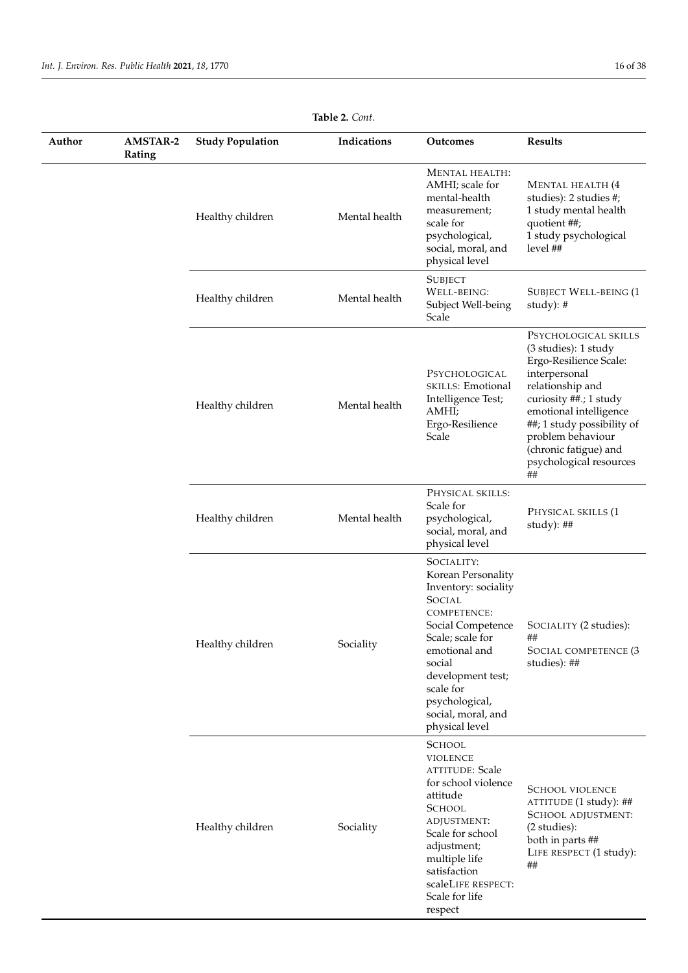| Author | <b>AMSTAR-2</b><br>Rating | <b>Study Population</b> | Indications   | Outcomes                                                                                                                                                                                                                                                 | <b>Results</b>                                                                                                                                                                                                                                                               |
|--------|---------------------------|-------------------------|---------------|----------------------------------------------------------------------------------------------------------------------------------------------------------------------------------------------------------------------------------------------------------|------------------------------------------------------------------------------------------------------------------------------------------------------------------------------------------------------------------------------------------------------------------------------|
|        |                           | Healthy children        | Mental health | <b>MENTAL HEALTH:</b><br>AMHI; scale for<br>mental-health<br>measurement;<br>scale for<br>psychological,<br>social, moral, and<br>physical level                                                                                                         | MENTAL HEALTH (4<br>studies): 2 studies #;<br>1 study mental health<br>quotient ##;<br>1 study psychological<br>level ##                                                                                                                                                     |
|        |                           | Healthy children        | Mental health | <b>SUBJECT</b><br>WELL-BEING:<br>Subject Well-being<br>Scale                                                                                                                                                                                             | <b>SUBJECT WELL-BEING (1</b><br>study): $#$                                                                                                                                                                                                                                  |
|        |                           | Healthy children        | Mental health | PSYCHOLOGICAL<br>SKILLS: Emotional<br>Intelligence Test;<br>AMHI;<br>Ergo-Resilience<br>Scale                                                                                                                                                            | PSYCHOLOGICAL SKILLS<br>(3 studies): 1 study<br>Ergo-Resilience Scale:<br>interpersonal<br>relationship and<br>curiosity ##.; 1 study<br>emotional intelligence<br>##; 1 study possibility of<br>problem behaviour<br>(chronic fatigue) and<br>psychological resources<br>## |
|        |                           | Healthy children        | Mental health | PHYSICAL SKILLS:<br>Scale for<br>psychological,<br>social, moral, and<br>physical level                                                                                                                                                                  | PHYSICAL SKILLS (1<br>study): ##                                                                                                                                                                                                                                             |
|        |                           | Healthy children        | Sociality     | SOCIALITY:<br>Korean Personality<br>Inventory: sociality<br>SOCIAL<br><b>COMPETENCE:</b><br>Social Competence<br>Scale; scale for<br>emotional and<br>social<br>development test;<br>scale for<br>psychological,<br>social, moral, and<br>physical level | SOCIALITY (2 studies):<br>##<br>SOCIAL COMPETENCE (3<br>studies): ##                                                                                                                                                                                                         |
|        |                           | Healthy children        | Sociality     | <b>SCHOOL</b><br><b>VIOLENCE</b><br><b>ATTITUDE: Scale</b><br>for school violence<br>attitude<br><b>SCHOOL</b><br>ADJUSTMENT:<br>Scale for school<br>adjustment;<br>multiple life<br>satisfaction<br>scaleLIFE RESPECT:<br>Scale for life<br>respect     | <b>SCHOOL VIOLENCE</b><br>ATTITUDE (1 study): ##<br>SCHOOL ADJUSTMENT:<br>(2 studies):<br>both in parts ##<br>LIFE RESPECT (1 study):<br>##                                                                                                                                  |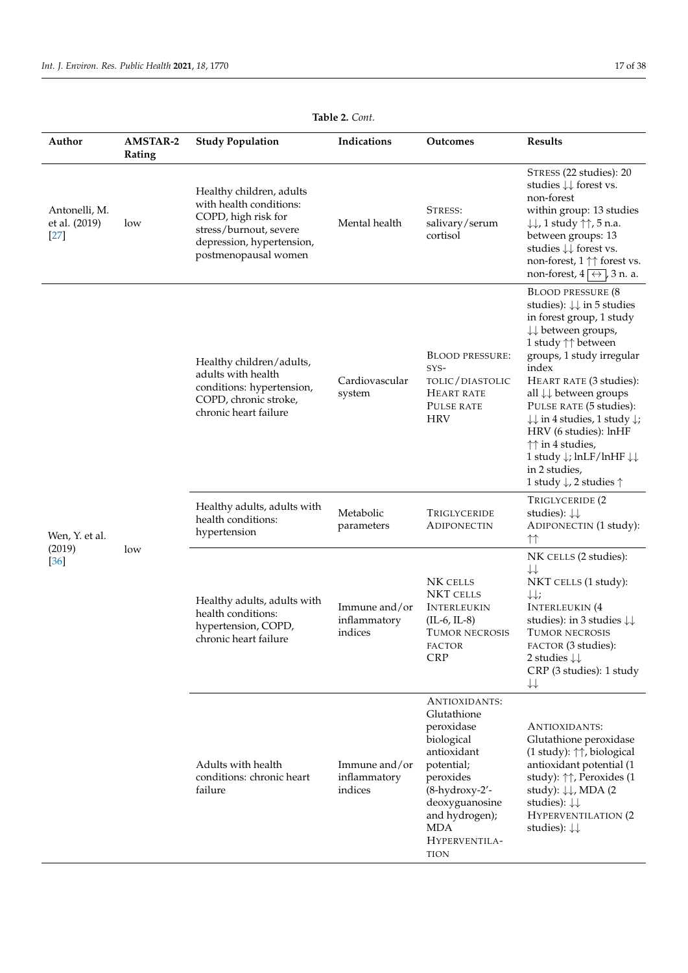| Author                                   | <b>AMSTAR-2</b><br>Rating | <b>Study Population</b>                                                                                                                                   | Indications                              | Outcomes                                                                                                                                                                                               | <b>Results</b>                                                                                                                                                                                                                                                                                                                                                                                                                                                                                                                                       |
|------------------------------------------|---------------------------|-----------------------------------------------------------------------------------------------------------------------------------------------------------|------------------------------------------|--------------------------------------------------------------------------------------------------------------------------------------------------------------------------------------------------------|------------------------------------------------------------------------------------------------------------------------------------------------------------------------------------------------------------------------------------------------------------------------------------------------------------------------------------------------------------------------------------------------------------------------------------------------------------------------------------------------------------------------------------------------------|
| Antonelli, M.<br>et al. (2019)<br>$[27]$ | low                       | Healthy children, adults<br>with health conditions:<br>COPD, high risk for<br>stress/burnout, severe<br>depression, hypertension,<br>postmenopausal women | Mental health                            | STRESS:<br>salivary/serum<br>cortisol                                                                                                                                                                  | STRESS (22 studies): 20<br>studies $\downarrow \downarrow$ forest vs.<br>non-forest<br>within group: 13 studies<br>$\downarrow \downarrow$ , 1 study $\uparrow \uparrow$ , 5 n.a.<br>between groups: 13<br>studies $\downarrow \downarrow$ forest vs.<br>non-forest, 1 ↑↑ forest vs.<br>non-forest, $4 \overrightarrow{\leftrightarrow}$ , 3 n. a.                                                                                                                                                                                                   |
|                                          |                           | Healthy children/adults,<br>adults with health<br>conditions: hypertension,<br>COPD, chronic stroke,<br>chronic heart failure                             | Cardiovascular<br>system                 | <b>BLOOD PRESSURE:</b><br>SYS-<br>TOLIC/DIASTOLIC<br><b>HEART RATE</b><br>PULSE RATE<br><b>HRV</b>                                                                                                     | <b>BLOOD PRESSURE (8</b><br>studies): $\downarrow \downarrow$ in 5 studies<br>in forest group, 1 study<br>$\downarrow \downarrow$ between groups,<br>1 study ↑↑ between<br>groups, 1 study irregular<br>index<br>HEART RATE (3 studies):<br>all ↓↓ between groups<br>PULSE RATE (5 studies):<br>$\downarrow \downarrow$ in 4 studies, 1 study $\downarrow$ ;<br>HRV (6 studies): lnHF<br>$\uparrow\uparrow$ in 4 studies,<br>1 study $\downarrow$ ; lnLF/lnHF $\downarrow\downarrow$<br>in 2 studies,<br>1 study $\downarrow$ , 2 studies $\uparrow$ |
| Wen, Y. et al.                           |                           | Healthy adults, adults with<br>health conditions:<br>hypertension                                                                                         | Metabolic<br>parameters                  | TRIGLYCERIDE<br>ADIPONECTIN                                                                                                                                                                            | TRIGLYCERIDE (2<br>studies): $\downarrow \downarrow$<br>ADIPONECTIN (1 study):<br>$\uparrow\uparrow$                                                                                                                                                                                                                                                                                                                                                                                                                                                 |
| (2019)<br>$[36]$                         | low                       | Healthy adults, adults with<br>health conditions:<br>hypertension, COPD,<br>chronic heart failure                                                         | Immune and/or<br>inflammatory<br>indices | NK CELLS<br><b>NKT CELLS</b><br><b>INTERLEUKIN</b><br>$(IL-6, IL-8)$<br><b>TUMOR NECROSIS</b><br>FACTOR<br><b>CRP</b>                                                                                  | NK CELLS (2 studies):<br>$\downarrow\downarrow$<br>NKT CELLS (1 study):<br>$\downarrow \downarrow$ ;<br><b>INTERLEUKIN</b> (4<br>studies): in 3 studies $\downarrow\downarrow$<br><b>TUMOR NECROSIS</b><br>FACTOR (3 studies):<br>2 studies $\downarrow \downarrow$<br>CRP (3 studies): 1 study<br>$\downarrow\downarrow$                                                                                                                                                                                                                            |
|                                          |                           | Adults with health<br>conditions: chronic heart<br>failure                                                                                                | Immune and/or<br>inflammatory<br>indices | ANTIOXIDANTS:<br>Glutathione<br>peroxidase<br>biological<br>antioxidant<br>potential;<br>peroxides<br>(8-hydroxy-2'-<br>deoxyguanosine<br>and hydrogen);<br><b>MDA</b><br>HYPERVENTILA-<br><b>TION</b> | ANTIOXIDANTS:<br>Glutathione peroxidase<br>(1 study): $\uparrow\uparrow$ , biological<br>antioxidant potential (1<br>study): $\uparrow\uparrow$ , Peroxides (1<br>study): $\downarrow \downarrow$ , MDA (2)<br>studies): $\downarrow \downarrow$<br><b>HYPERVENTILATION (2</b><br>studies): $\downarrow \downarrow$                                                                                                                                                                                                                                  |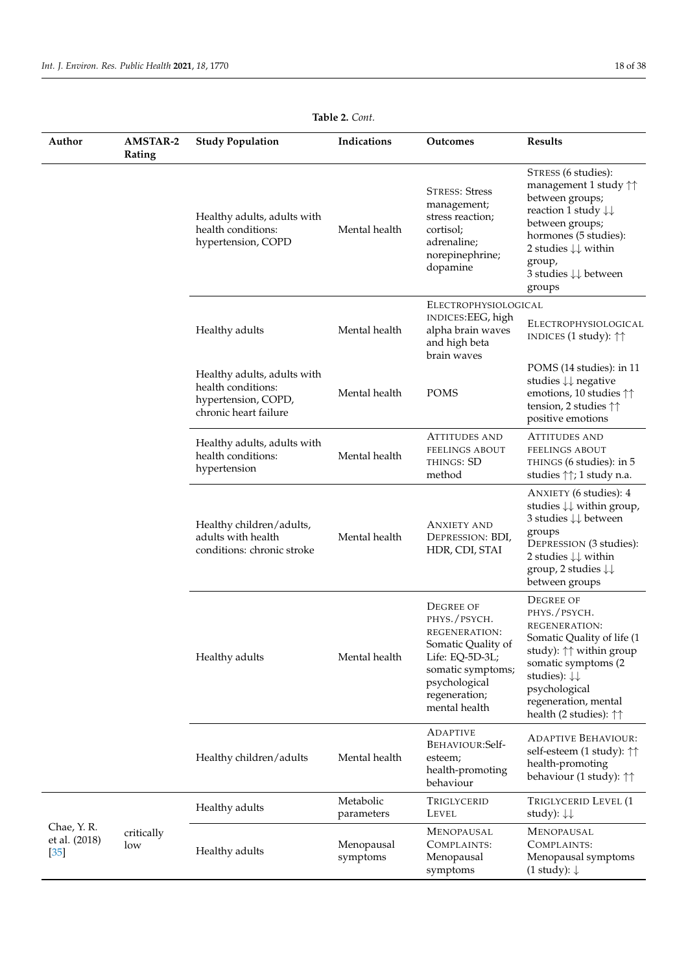$\frac{1}{2}$ 

| Author                                | <b>AMSTAR-2</b><br>Rating | <b>Study Population</b>                                                                           | Indications             | <b>Outcomes</b>                                                                                                                                                    | <b>Results</b>                                                                                                                                                                                                                                                                       |
|---------------------------------------|---------------------------|---------------------------------------------------------------------------------------------------|-------------------------|--------------------------------------------------------------------------------------------------------------------------------------------------------------------|--------------------------------------------------------------------------------------------------------------------------------------------------------------------------------------------------------------------------------------------------------------------------------------|
|                                       |                           | Healthy adults, adults with<br>health conditions:<br>hypertension, COPD                           | Mental health           | <b>STRESS: Stress</b><br>management;<br>stress reaction;<br>cortisol;<br>adrenaline;<br>norepinephrine;<br>dopamine                                                | STRESS (6 studies):<br>management 1 study $\uparrow\uparrow$<br>between groups;<br>reaction 1 study $\downarrow\downarrow$<br>between groups;<br>hormones (5 studies):<br>2 studies $\downarrow \downarrow$ within<br>group,<br>$3$ studies $\downarrow\downarrow$ between<br>groups |
|                                       |                           | Healthy adults                                                                                    | Mental health           | ELECTROPHYSIOLOGICAL<br>INDICES:EEG, high<br>alpha brain waves<br>and high beta<br>brain waves                                                                     | ELECTROPHYSIOLOGICAL<br>INDICES (1 study): $\uparrow\uparrow$                                                                                                                                                                                                                        |
|                                       |                           | Healthy adults, adults with<br>health conditions:<br>hypertension, COPD,<br>chronic heart failure | Mental health           | <b>POMS</b>                                                                                                                                                        | POMS (14 studies): in 11<br>studies $\downarrow\downarrow$ negative<br>emotions, 10 studies $\uparrow\uparrow$<br>tension, 2 studies $\uparrow\uparrow$<br>positive emotions                                                                                                         |
|                                       |                           | Healthy adults, adults with<br>health conditions:<br>hypertension                                 | Mental health           | <b>ATTITUDES AND</b><br><b>FEELINGS ABOUT</b><br>THINGS: SD<br>method                                                                                              | <b>ATTITUDES AND</b><br><b>FEELINGS ABOUT</b><br>THINGS (6 studies): in 5<br>studies $\uparrow\uparrow$ ; 1 study n.a.                                                                                                                                                               |
|                                       |                           | Healthy children/adults,<br>adults with health<br>conditions: chronic stroke                      | Mental health           | <b>ANXIETY AND</b><br>DEPRESSION: BDI,<br>HDR, CDI, STAI                                                                                                           | ANXIETY (6 studies): 4<br>studies $\downarrow \downarrow$ within group,<br>3 studies $\downarrow \downarrow$ between<br>groups<br>DEPRESSION (3 studies):<br>2 studies $\downarrow \downarrow$ within<br>group, 2 studies $\downarrow\downarrow$<br>between groups                   |
|                                       |                           | Healthy adults                                                                                    | Mental health           | <b>DEGREE OF</b><br>PHYS./PSYCH.<br>REGENERATION:<br>Somatic Quality of<br>Life: EQ-5D-3L;<br>somatic symptoms;<br>psychological<br>regeneration;<br>mental health | <b>DEGREE OF</b><br>PHYS./PSYCH.<br>REGENERATION:<br>Somatic Quality of life (1<br>study): $\uparrow\uparrow$ within group<br>somatic symptoms (2<br>studies): $\downarrow \downarrow$<br>psychological<br>regeneration, mental<br>health (2 studies): $\uparrow\uparrow$            |
|                                       |                           | Healthy children/adults                                                                           | Mental health           | <b>ADAPTIVE</b><br>BEHAVIOUR:Self-<br>esteem;<br>health-promoting<br>behaviour                                                                                     | <b>ADAPTIVE BEHAVIOUR:</b><br>self-esteem (1 study): ↑↑<br>health-promoting<br>behaviour (1 study): $\uparrow\uparrow$                                                                                                                                                               |
|                                       |                           | Healthy adults                                                                                    | Metabolic<br>parameters | TRIGLYCERID<br>LEVEL                                                                                                                                               | TRIGLYCERID LEVEL (1<br>study): $\downarrow \downarrow$                                                                                                                                                                                                                              |
| Chae, Y.R.<br>et al. (2018)<br>$[35]$ | critically<br>low         | Healthy adults                                                                                    | Menopausal<br>symptoms  | <b>MENOPAUSAL</b><br>COMPLAINTS:<br>Menopausal<br>symptoms                                                                                                         | <b>MENOPAUSAL</b><br>COMPLAINTS:<br>Menopausal symptoms<br>$(1$ study): $\downarrow$                                                                                                                                                                                                 |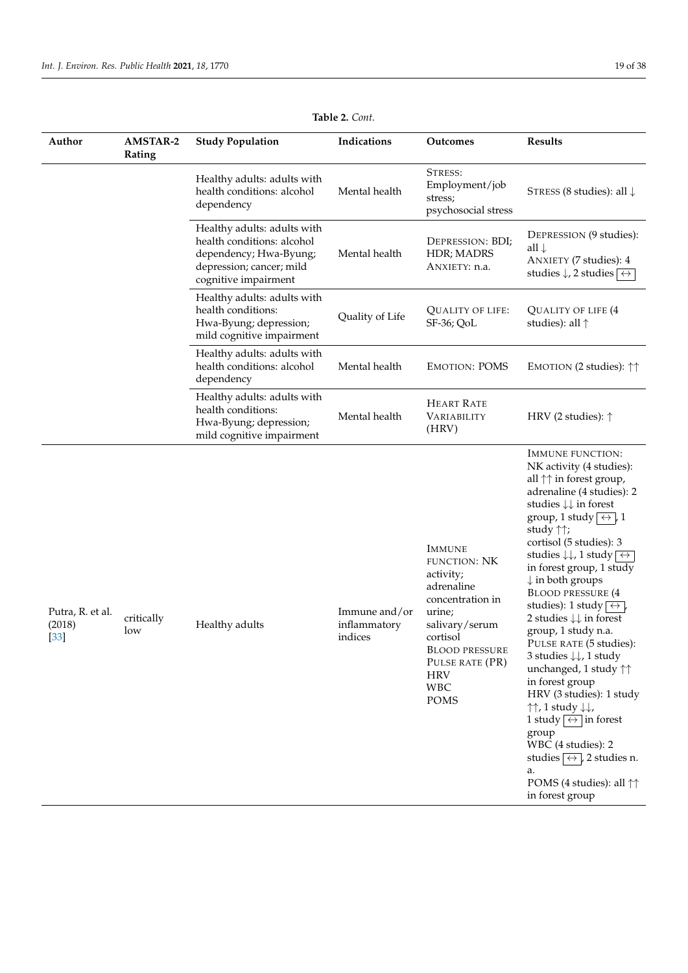| Author                               | <b>AMSTAR-2</b><br>Rating | <b>Study Population</b>                                                                                                                 | Indications                              | Outcomes                                                                                                                                                                                                           | <b>Results</b>                                                                                                                                                                                                                                                                                                                                                                                                                                                                                                                                                                                                                                                                                                                                                                                                                                                                                                                                                    |
|--------------------------------------|---------------------------|-----------------------------------------------------------------------------------------------------------------------------------------|------------------------------------------|--------------------------------------------------------------------------------------------------------------------------------------------------------------------------------------------------------------------|-------------------------------------------------------------------------------------------------------------------------------------------------------------------------------------------------------------------------------------------------------------------------------------------------------------------------------------------------------------------------------------------------------------------------------------------------------------------------------------------------------------------------------------------------------------------------------------------------------------------------------------------------------------------------------------------------------------------------------------------------------------------------------------------------------------------------------------------------------------------------------------------------------------------------------------------------------------------|
|                                      |                           | Healthy adults: adults with<br>health conditions: alcohol<br>dependency                                                                 | Mental health                            | STRESS:<br>Employment/job<br>stress;<br>psychosocial stress                                                                                                                                                        | STRESS (8 studies): all $\downarrow$                                                                                                                                                                                                                                                                                                                                                                                                                                                                                                                                                                                                                                                                                                                                                                                                                                                                                                                              |
|                                      |                           | Healthy adults: adults with<br>health conditions: alcohol<br>dependency; Hwa-Byung;<br>depression; cancer; mild<br>cognitive impairment | Mental health                            | DEPRESSION: BDI;<br>HDR; MADRS<br>ANXIETY: n.a.                                                                                                                                                                    | DEPRESSION (9 studies):<br>all $\downarrow$<br>ANXIETY (7 studies): 4<br>studies $\downarrow$ , 2 studies $\overline{\leftrightarrow}$                                                                                                                                                                                                                                                                                                                                                                                                                                                                                                                                                                                                                                                                                                                                                                                                                            |
|                                      |                           | Healthy adults: adults with<br>health conditions:<br>Hwa-Byung; depression;<br>mild cognitive impairment                                | Quality of Life                          | <b>QUALITY OF LIFE:</b><br>$SF-36$ ; QoL                                                                                                                                                                           | <b>QUALITY OF LIFE (4</b><br>studies): all $\uparrow$                                                                                                                                                                                                                                                                                                                                                                                                                                                                                                                                                                                                                                                                                                                                                                                                                                                                                                             |
|                                      |                           | Healthy adults: adults with<br>health conditions: alcohol<br>dependency                                                                 | Mental health                            | <b>EMOTION: POMS</b>                                                                                                                                                                                               | EMOTION (2 studies): $\uparrow\uparrow$                                                                                                                                                                                                                                                                                                                                                                                                                                                                                                                                                                                                                                                                                                                                                                                                                                                                                                                           |
|                                      |                           | Healthy adults: adults with<br>health conditions:<br>Hwa-Byung; depression;<br>mild cognitive impairment                                | Mental health                            | <b>HEART RATE</b><br>VARIABILITY<br>(HRV)                                                                                                                                                                          | HRV (2 studies): $\uparrow$                                                                                                                                                                                                                                                                                                                                                                                                                                                                                                                                                                                                                                                                                                                                                                                                                                                                                                                                       |
| Putra, R. et al.<br>(2018)<br>$[33]$ | critically<br>low         | Healthy adults                                                                                                                          | Immune and/or<br>inflammatory<br>indices | <b>IMMUNE</b><br><b>FUNCTION: NK</b><br>activity;<br>adrenaline<br>concentration in<br>urine;<br>salivary/serum<br>cortisol<br><b>BLOOD PRESSURE</b><br>PULSE RATE (PR)<br><b>HRV</b><br><b>WBC</b><br><b>POMS</b> | <b>IMMUNE FUNCTION:</b><br>NK activity (4 studies):<br>all $\uparrow\uparrow$ in forest group,<br>adrenaline (4 studies): 2<br>studies $\downarrow \downarrow$ in forest<br>group, 1 study $\leftrightarrow$ 1<br>study $\uparrow\uparrow$ ;<br>cortisol (5 studies): 3<br>studies $\downarrow\downarrow$ , 1 study $\overline{\leftrightarrow}$<br>in forest group, 1 study<br>$\downarrow$ in both groups<br><b>BLOOD PRESSURE (4</b><br>studies): 1 study $\leftrightarrow$<br>2 studies $\downarrow \downarrow$ in forest<br>group, 1 study n.a.<br>PULSE RATE (5 studies):<br>3 studies $\downarrow \downarrow$ , 1 study<br>unchanged, 1 study $\uparrow\uparrow$<br>in forest group<br>HRV (3 studies): 1 study<br>$\uparrow\uparrow$ , 1 study $\downarrow\downarrow$ ,<br>1 study $\overline{\leftrightarrow}$ in forest<br>group<br>WBC (4 studies): 2<br>studies $\leftrightarrow$ , 2 studies n.<br>a.<br>POMS (4 studies): all ↑↑<br>in forest group |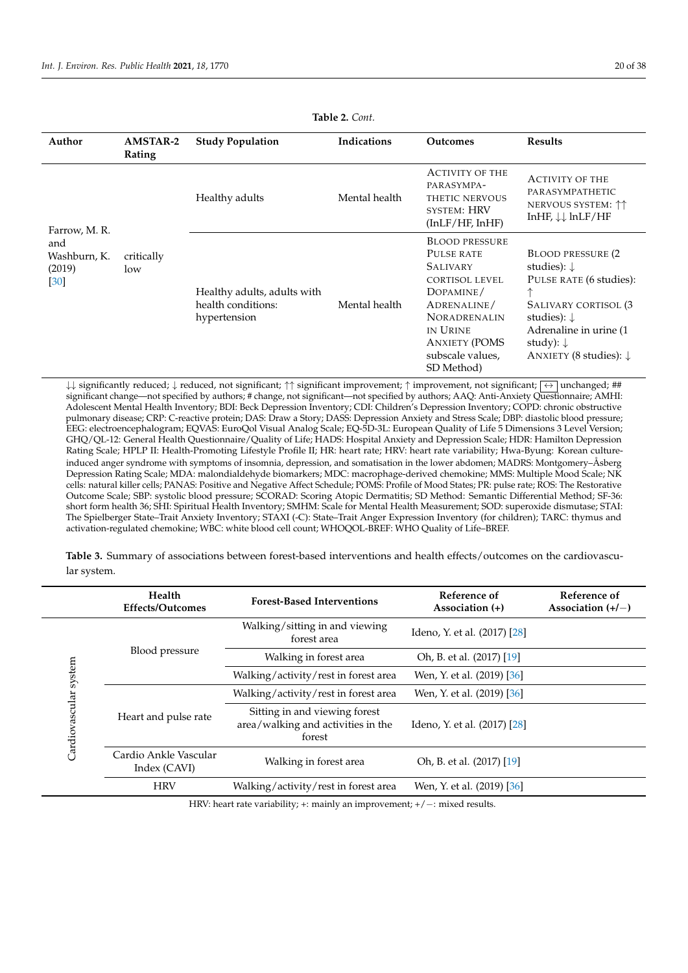| Author                                                 | <b>AMSTAR-2</b><br>Rating | <b>Study Population</b>                                           | Indications   | <b>Outcomes</b>                                                                                                                                                                                          | <b>Results</b>                                                                                                                                                                                                                |
|--------------------------------------------------------|---------------------------|-------------------------------------------------------------------|---------------|----------------------------------------------------------------------------------------------------------------------------------------------------------------------------------------------------------|-------------------------------------------------------------------------------------------------------------------------------------------------------------------------------------------------------------------------------|
|                                                        |                           | Healthy adults                                                    | Mental health | <b>ACTIVITY OF THE</b><br>PARASYMPA-<br>THETIC NERVOUS<br>SYSTEM: HRV<br>(InLF/HF, InHF)                                                                                                                 | <b>ACTIVITY OF THE</b><br>PARASYMPATHETIC<br>NERVOUS SYSTEM: $\uparrow\uparrow$<br>InHF, $\downarrow \downarrow$ lnLF/HF                                                                                                      |
| Farrow, M. R.<br>and<br>Washburn, K.<br>(2019)<br>[30] | critically<br>low         | Healthy adults, adults with<br>health conditions:<br>hypertension | Mental health | <b>BLOOD PRESSURE</b><br>PULSE RATE<br><b>SALIVARY</b><br><b>CORTISOL LEVEL</b><br>DOPAMINE/<br>ADRENALINE/<br><b>NORADRENALIN</b><br>IN URINE<br><b>ANXIETY (POMS</b><br>subscale values,<br>SD Method) | <b>BLOOD PRESSURE (2)</b><br>studies): $\downarrow$<br>PULSE RATE (6 studies):<br>ᠰ<br>SALIVARY CORTISOL (3<br>studies): $\downarrow$<br>Adrenaline in urine (1)<br>study): $\downarrow$<br>ANXIETY (8 studies): $\downarrow$ |

 $\downarrow\downarrow$  significantly reduced;  $\downarrow$  reduced, not significant;  $\uparrow\uparrow$  significant improvement;  $\uparrow\uparrow$  improvement, not significant;  $\leftrightarrow$  unchanged; ## significant change—not specified by authors; # change, not significant—not specified by authors; AAQ: Anti-Anxiety Questionnaire; AMHI: Adolescent Mental Health Inventory; BDI: Beck Depression Inventory; CDI: Children's Depression Inventory; COPD: chronic obstructive pulmonary disease; CRP: C-reactive protein; DAS: Draw a Story; DASS: Depression Anxiety and Stress Scale; DBP: diastolic blood pressure; EEG: electroencephalogram; EQVAS: EuroQol Visual Analog Scale; EQ-5D-3L: European Quality of Life 5 Dimensions 3 Level Version; GHQ/QL-12: General Health Questionnaire/Quality of Life; HADS: Hospital Anxiety and Depression Scale; HDR: Hamilton Depression Rating Scale; HPLP II: Health-Promoting Lifestyle Profile II; HR: heart rate; HRV: heart rate variability; Hwa-Byung: Korean cultureinduced anger syndrome with symptoms of insomnia, depression, and somatisation in the lower abdomen; MADRS: Montgomery–Åsberg Depression Rating Scale; MDA: malondialdehyde biomarkers; MDC: macrophage-derived chemokine; MMS: Multiple Mood Scale; NK cells: natural killer cells; PANAS: Positive and Negative Affect Schedule; POMS: Profile of Mood States; PR: pulse rate; ROS: The Restorative Outcome Scale; SBP: systolic blood pressure; SCORAD: Scoring Atopic Dermatitis; SD Method: Semantic Differential Method; SF-36: short form health 36; SHI: Spiritual Health Inventory; SMHM: Scale for Mental Health Measurement; SOD: superoxide dismutase; STAI: The Spielberger State–Trait Anxiety Inventory; STAXI (-C): State–Trait Anger Expression Inventory (for children); TARC: thymus and activation-regulated chemokine; WBC: white blood cell count; WHOQOL-BREF: WHO Quality of Life–BREF.

<span id="page-19-0"></span>**Table 3.** Summary of associations between forest-based interventions and health effects/outcomes on the cardiovascular system.

|                       | Health<br><b>Effects/Outcomes</b>     | <b>Forest-Based Interventions</b>                                             | Reference of<br>Association $(+)$ | Reference of<br>Association $(+/-)$ |
|-----------------------|---------------------------------------|-------------------------------------------------------------------------------|-----------------------------------|-------------------------------------|
|                       |                                       | Walking/sitting in and viewing<br>forest area                                 | Ideno, Y. et al. (2017) [28]      |                                     |
|                       | Blood pressure                        | Walking in forest area                                                        | Oh, B. et al. (2017) [19]         |                                     |
|                       |                                       | Walking/activity/rest in forest area                                          | Wen, Y. et al. (2019) [36]        |                                     |
|                       |                                       | Walking/activity/rest in forest area                                          | Wen, Y. et al. (2019) [36]        |                                     |
| Cardiovascular system | Heart and pulse rate                  | Sitting in and viewing forest<br>area/walking and activities in the<br>forest | Ideno, Y. et al. (2017) [28]      |                                     |
|                       | Cardio Ankle Vascular<br>Index (CAVI) | Walking in forest area                                                        | Oh, B. et al. (2017) [19]         |                                     |
|                       | <b>HRV</b>                            | Walking/activity/rest in forest area                                          | Wen, Y. et al. (2019) [36]        |                                     |

HRV: heart rate variability; +: mainly an improvement;  $+/-$ : mixed results.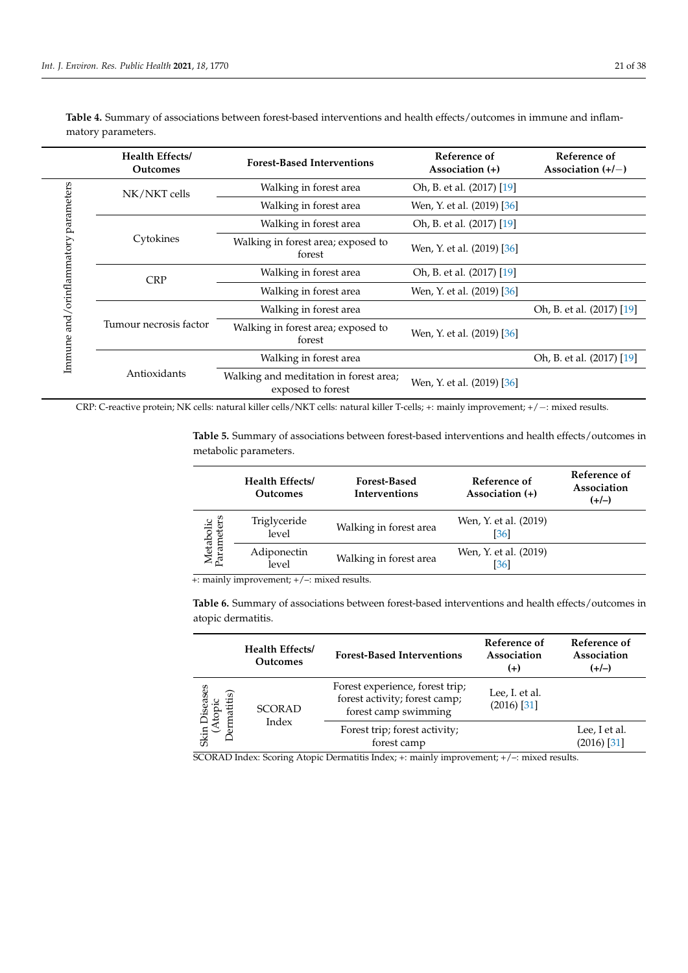|                                      | Health Effects/<br><b>Outcomes</b> | <b>Forest-Based Interventions</b>                           | Reference of<br>Association (+) | Reference of<br>Association $(+/-)$ |
|--------------------------------------|------------------------------------|-------------------------------------------------------------|---------------------------------|-------------------------------------|
|                                      | NK/NKT cells                       | Walking in forest area                                      | Oh, B. et al. (2017) [19]       |                                     |
|                                      |                                    | Walking in forest area                                      | Wen, Y. et al. (2019) [36]      |                                     |
|                                      |                                    | Walking in forest area                                      | Oh, B. et al. (2017) [19]       |                                     |
|                                      | Cytokines                          | Walking in forest area; exposed to<br>forest                | Wen, Y. et al. (2019) [36]      |                                     |
| Immune and/orinflammatory parameters | <b>CRP</b>                         | Walking in forest area                                      | Oh, B. et al. (2017) [19]       |                                     |
|                                      |                                    | Walking in forest area                                      | Wen, Y. et al. (2019) [36]      |                                     |
|                                      | Tumour necrosis factor             | Walking in forest area                                      |                                 | Oh, B. et al. (2017) [19]           |
|                                      |                                    | Walking in forest area; exposed to<br>forest                | Wen, Y. et al. (2019) [36]      |                                     |
|                                      |                                    | Walking in forest area                                      |                                 | Oh, B. et al. (2017) [19]           |
|                                      | Antioxidants                       | Walking and meditation in forest area;<br>exposed to forest | Wen, Y. et al. (2019) [36]      |                                     |

<span id="page-20-0"></span>**Table 4.** Summary of associations between forest-based interventions and health effects/outcomes in immune and inflammatory parameters.

CRP: C-reactive protein; NK cells: natural killer cells/NKT cells: natural killer T-cells; +: mainly improvement; +/−: mixed results.

<span id="page-20-1"></span>**Table 5.** Summary of associations between forest-based interventions and health effects/outcomes in metabolic parameters.

|                                | <b>Health Effects/</b><br><b>Outcomes</b> | <b>Forest-Based</b><br>Interventions | Reference of<br>Association (+) | Reference of<br>Association<br>$(+/-)$ |
|--------------------------------|-------------------------------------------|--------------------------------------|---------------------------------|----------------------------------------|
| ers<br>Metabolic<br>Parameters | Triglyceride<br>level                     | Walking in forest area               | Wen, Y. et al. (2019)<br>[36]   |                                        |
|                                | Adiponectin<br>level                      | Walking in forest area               | Wen, Y. et al. (2019)<br>[36]   |                                        |

+: mainly improvement; +/–: mixed results.

<span id="page-20-2"></span>**Table 6.** Summary of associations between forest-based interventions and health effects/outcomes in atopic dermatitis.

|                           | Health Effects/<br><b>Outcomes</b> | <b>Forest-Based Interventions</b>                                                        | Reference of<br>Association<br>$(+)$ | Reference of<br>Association<br>$(+/-)$ |
|---------------------------|------------------------------------|------------------------------------------------------------------------------------------|--------------------------------------|----------------------------------------|
| 8<br>ttitis)              | <b>SCORAD</b><br>Index             | Forest experience, forest trip;<br>forest activity; forest camp;<br>forest camp swimming | Lee, I. et al.<br>$(2016)$ [31]      |                                        |
| ern<br>Skin $\mathcal{A}$ |                                    | Forest trip; forest activity;<br>forest camp                                             |                                      | Lee, I et al.<br>$(2016)$ [31]         |

SCORAD Index: Scoring Atopic Dermatitis Index; +: mainly improvement; +/–: mixed results.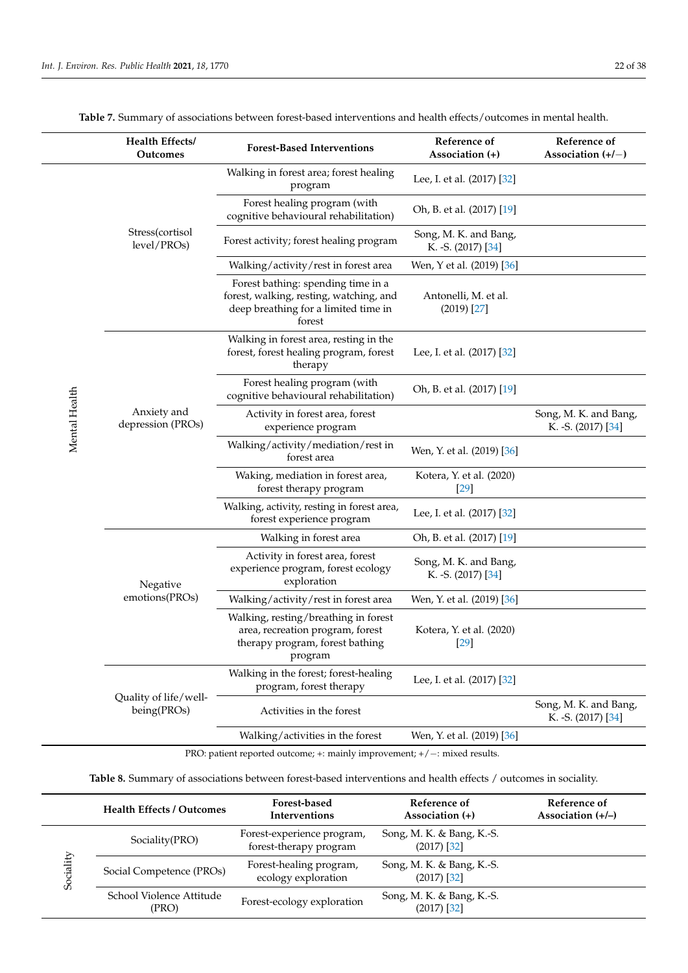<span id="page-21-1"></span>

|               | Health Effects/<br>Outcomes          | <b>Forest-Based Interventions</b>                                                                                               | Reference of<br>Association (+)              | Reference of<br>Association $(+/-)$          |
|---------------|--------------------------------------|---------------------------------------------------------------------------------------------------------------------------------|----------------------------------------------|----------------------------------------------|
|               |                                      | Walking in forest area; forest healing<br>program                                                                               | Lee, I. et al. (2017) [32]                   |                                              |
|               |                                      | Forest healing program (with<br>cognitive behavioural rehabilitation)                                                           | Oh, B. et al. (2017) [19]                    |                                              |
|               | Stress(cortisol<br>level/PROs)       | Forest activity; forest healing program                                                                                         | Song, M. K. and Bang,<br>K. - S. (2017) [34] |                                              |
|               |                                      | Walking/activity/rest in forest area                                                                                            | Wen, Y et al. (2019) [36]                    |                                              |
|               |                                      | Forest bathing: spending time in a<br>forest, walking, resting, watching, and<br>deep breathing for a limited time in<br>forest | Antonelli, M. et al.<br>$(2019)$ [27]        |                                              |
|               |                                      | Walking in forest area, resting in the<br>forest, forest healing program, forest<br>therapy                                     | Lee, I. et al. (2017) [32]                   |                                              |
| Mental Health |                                      | Forest healing program (with<br>cognitive behavioural rehabilitation)                                                           | Oh, B. et al. (2017) [19]                    |                                              |
|               | Anxiety and<br>depression (PROs)     | Activity in forest area, forest<br>experience program                                                                           |                                              | Song, M. K. and Bang,<br>K. - S. (2017) [34] |
|               |                                      | Walking/activity/mediation/rest in<br>forest area                                                                               | Wen, Y. et al. (2019) [36]                   |                                              |
|               |                                      | Waking, mediation in forest area,<br>forest therapy program                                                                     | Kotera, Y. et al. (2020)<br>$[29]$           |                                              |
|               |                                      | Walking, activity, resting in forest area,<br>forest experience program                                                         | Lee, I. et al. (2017) [32]                   |                                              |
|               |                                      | Walking in forest area                                                                                                          | Oh, B. et al. (2017) [19]                    |                                              |
|               | Negative                             | Activity in forest area, forest<br>experience program, forest ecology<br>exploration                                            | Song, M. K. and Bang,<br>K. - S. (2017) [34] |                                              |
|               | emotions(PROs)                       | Walking/activity/rest in forest area                                                                                            | Wen, Y. et al. (2019) [36]                   |                                              |
|               |                                      | Walking, resting/breathing in forest<br>area, recreation program, forest<br>therapy program, forest bathing<br>program          | Kotera, Y. et al. (2020)<br>$[29]$           |                                              |
|               |                                      | Walking in the forest; forest-healing<br>program, forest therapy                                                                | Lee, I. et al. (2017) [32]                   |                                              |
|               | Quality of life/well-<br>being(PROs) | Activities in the forest                                                                                                        |                                              | Song, M. K. and Bang,<br>K. - S. (2017) [34] |
|               |                                      | Walking/activities in the forest                                                                                                | Wen, Y. et al. (2019) [36]                   |                                              |
|               |                                      |                                                                                                                                 |                                              |                                              |

**Table 7.** Summary of associations between forest-based interventions and health effects/outcomes in mental health.

PRO: patient reported outcome; +: mainly improvement; +/-: mixed results.

**Table 8.** Summary of associations between forest-based interventions and health effects / outcomes in sociality.

<span id="page-21-0"></span>

|           | <b>Health Effects / Outcomes</b>  | Forest-based<br><b>Interventions</b>                 | Reference of<br>Association $(+)$          | Reference of<br>Association $(+/-)$ |
|-----------|-----------------------------------|------------------------------------------------------|--------------------------------------------|-------------------------------------|
|           | Sociality(PRO)                    | Forest-experience program,<br>forest-therapy program | Song, M. K. & Bang, K.-S.<br>$(2017)$ [32] |                                     |
| Sociality | Social Competence (PROs)          | Forest-healing program,<br>ecology exploration       | Song, M. K. & Bang, K.-S.<br>$(2017)$ [32] |                                     |
|           | School Violence Attitude<br>(PRO) | Forest-ecology exploration                           | Song, M. K. & Bang, K.-S.<br>$(2017)$ [32] |                                     |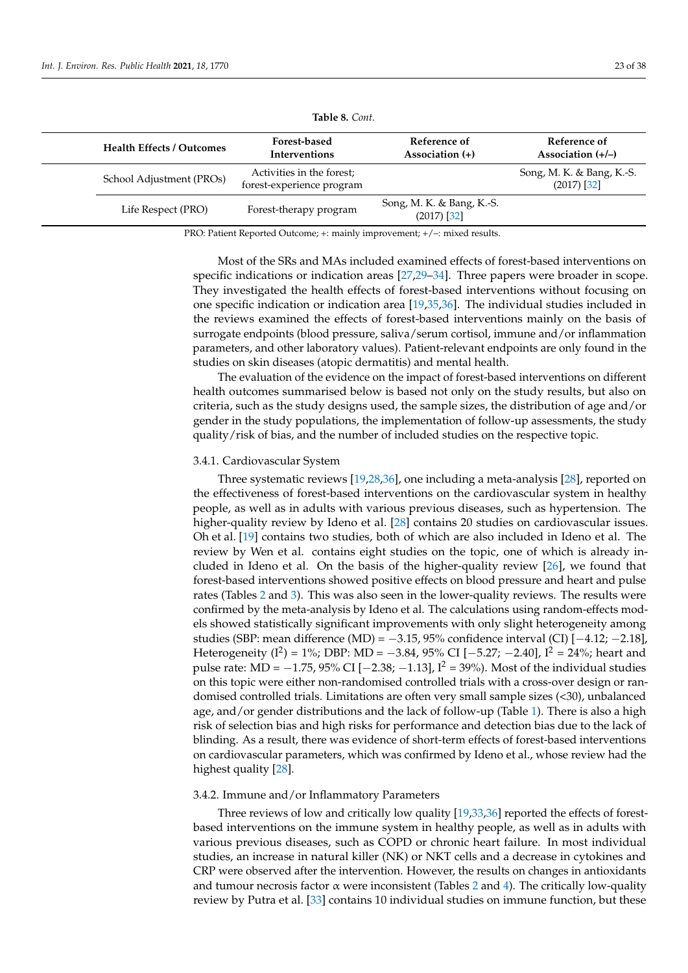| <b>Health Effects / Outcomes</b> | Forest-based<br><b>Interventions</b>                   | Reference of<br>Association $(+)$          | Reference of<br>Association $(+/-)$        |
|----------------------------------|--------------------------------------------------------|--------------------------------------------|--------------------------------------------|
| School Adjustment (PROs)         | Activities in the forest;<br>forest-experience program |                                            | Song, M. K. & Bang, K.-S.<br>$(2017)$ [32] |
| Life Respect (PRO)               | Forest-therapy program                                 | Song, M. K. & Bang, K.-S.<br>$(2017)$ [32] |                                            |

**Table 8.** *Cont.*

PRO: Patient Reported Outcome; +: mainly improvement; +/–: mixed results.

Most of the SRs and MAs included examined effects of forest-based interventions on specific indications or indication areas [\[27,](#page-36-14)[29–](#page-36-15)[34\]](#page-36-16). Three papers were broader in scope. They investigated the health effects of forest-based interventions without focusing on one specific indication or indication area [\[19,](#page-36-6)[35,](#page-36-17)[36\]](#page-36-18). The individual studies included in the reviews examined the effects of forest-based interventions mainly on the basis of surrogate endpoints (blood pressure, saliva/serum cortisol, immune and/or inflammation parameters, and other laboratory values). Patient-relevant endpoints are only found in the studies on skin diseases (atopic dermatitis) and mental health.

The evaluation of the evidence on the impact of forest-based interventions on different health outcomes summarised below is based not only on the study results, but also on criteria, such as the study designs used, the sample sizes, the distribution of age and/or gender in the study populations, the implementation of follow-up assessments, the study quality/risk of bias, and the number of included studies on the respective topic.

#### 3.4.1. Cardiovascular System

Three systematic reviews [\[19](#page-36-6)[,28,](#page-36-21)[36\]](#page-36-18), one including a meta-analysis [\[28\]](#page-36-21), reported on the effectiveness of forest-based interventions on the cardiovascular system in healthy people, as well as in adults with various previous diseases, such as hypertension. The higher-quality review by Ideno et al. [\[28\]](#page-36-21) contains 20 studies on cardiovascular issues. Oh et al. [\[19\]](#page-36-6) contains two studies, both of which are also included in Ideno et al. The review by Wen et al. contains eight studies on the topic, one of which is already included in Ideno et al. On the basis of the higher-quality review [\[26\]](#page-36-13), we found that forest-based interventions showed positive effects on blood pressure and heart and pulse rates (Tables [2](#page-11-0) and [3\)](#page-19-0). This was also seen in the lower-quality reviews. The results were confirmed by the meta-analysis by Ideno et al. The calculations using random-effects models showed statistically significant improvements with only slight heterogeneity among studies (SBP: mean difference (MD) =  $-3.15$ , 95% confidence interval (CI)  $[-4.12, -2.18]$ , Heterogeneity (I<sup>2</sup>) = 1%; DBP: MD =  $-3.84$ , 95% CI [ $-5.27$ ;  $-2.40$ ], I<sup>2</sup> = 24%; heart and pulse rate: MD =  $-1.75$ , 95% CI [ $-2.38$ ;  $-1.13$ ],  $I^2 = 39%$ ). Most of the individual studies on this topic were either non-randomised controlled trials with a cross-over design or randomised controlled trials. Limitations are often very small sample sizes (<30), unbalanced age, and/or gender distributions and the lack of follow-up (Table [1\)](#page-5-0). There is also a high risk of selection bias and high risks for performance and detection bias due to the lack of blinding. As a result, there was evidence of short-term effects of forest-based interventions on cardiovascular parameters, which was confirmed by Ideno et al., whose review had the highest quality [\[28\]](#page-36-21).

#### 3.4.2. Immune and/or Inflammatory Parameters

Three reviews of low and critically low quality [\[19](#page-36-6)[,33](#page-36-23)[,36\]](#page-36-18) reported the effects of forestbased interventions on the immune system in healthy people, as well as in adults with various previous diseases, such as COPD or chronic heart failure. In most individual studies, an increase in natural killer (NK) or NKT cells and a decrease in cytokines and CRP were observed after the intervention. However, the results on changes in antioxidants and tumour necrosis factor  $\alpha$  were inconsistent (Tables [2](#page-11-0) and [4\)](#page-20-0). The critically low-quality review by Putra et al. [\[33\]](#page-36-23) contains 10 individual studies on immune function, but these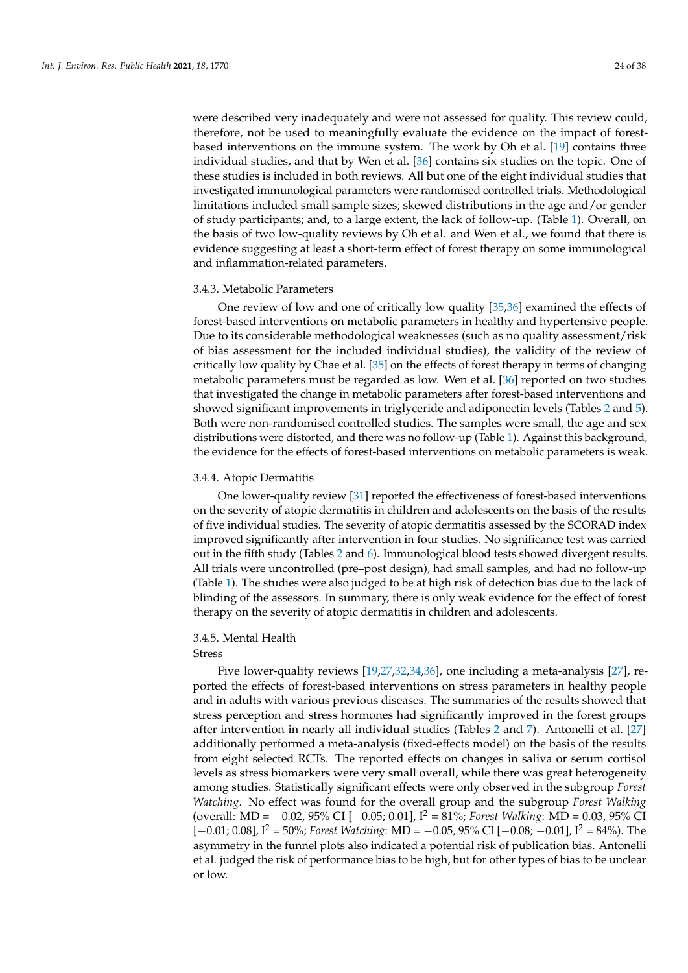were described very inadequately and were not assessed for quality. This review could, therefore, not be used to meaningfully evaluate the evidence on the impact of forestbased interventions on the immune system. The work by Oh et al. [\[19\]](#page-36-6) contains three individual studies, and that by Wen et al. [\[36\]](#page-36-18) contains six studies on the topic. One of these studies is included in both reviews. All but one of the eight individual studies that investigated immunological parameters were randomised controlled trials. Methodological limitations included small sample sizes; skewed distributions in the age and/or gender of study participants; and, to a large extent, the lack of follow-up. (Table [1\)](#page-5-0). Overall, on the basis of two low-quality reviews by Oh et al. and Wen et al., we found that there is evidence suggesting at least a short-term effect of forest therapy on some immunological and inflammation-related parameters.

#### 3.4.3. Metabolic Parameters

One review of low and one of critically low quality [\[35](#page-36-17)[,36\]](#page-36-18) examined the effects of forest-based interventions on metabolic parameters in healthy and hypertensive people. Due to its considerable methodological weaknesses (such as no quality assessment/risk of bias assessment for the included individual studies), the validity of the review of critically low quality by Chae et al. [\[35\]](#page-36-17) on the effects of forest therapy in terms of changing metabolic parameters must be regarded as low. Wen et al. [\[36\]](#page-36-18) reported on two studies that investigated the change in metabolic parameters after forest-based interventions and showed significant improvements in triglyceride and adiponectin levels (Tables [2](#page-11-0) and [5\)](#page-20-1). Both were non-randomised controlled studies. The samples were small, the age and sex distributions were distorted, and there was no follow-up (Table [1\)](#page-5-0). Against this background, the evidence for the effects of forest-based interventions on metabolic parameters is weak.

#### 3.4.4. Atopic Dermatitis

One lower-quality review [\[31\]](#page-36-20) reported the effectiveness of forest-based interventions on the severity of atopic dermatitis in children and adolescents on the basis of the results of five individual studies. The severity of atopic dermatitis assessed by the SCORAD index improved significantly after intervention in four studies. No significance test was carried out in the fifth study (Tables [2](#page-11-0) and [6\)](#page-20-2). Immunological blood tests showed divergent results. All trials were uncontrolled (pre–post design), had small samples, and had no follow-up (Table [1\)](#page-5-0). The studies were also judged to be at high risk of detection bias due to the lack of blinding of the assessors. In summary, there is only weak evidence for the effect of forest therapy on the severity of atopic dermatitis in children and adolescents.

#### 3.4.5. Mental Health

Stress

Five lower-quality reviews [\[19](#page-36-6)[,27](#page-36-14)[,32](#page-36-19)[,34](#page-36-16)[,36\]](#page-36-18), one including a meta-analysis [\[27\]](#page-36-14), reported the effects of forest-based interventions on stress parameters in healthy people and in adults with various previous diseases. The summaries of the results showed that stress perception and stress hormones had significantly improved in the forest groups after intervention in nearly all individual studies (Tables [2](#page-11-0) and [7\)](#page-21-1). Antonelli et al. [\[27\]](#page-36-14) additionally performed a meta-analysis (fixed-effects model) on the basis of the results from eight selected RCTs. The reported effects on changes in saliva or serum cortisol levels as stress biomarkers were very small overall, while there was great heterogeneity among studies. Statistically significant effects were only observed in the subgroup *Forest Watching*. No effect was found for the overall group and the subgroup *Forest Walking* (overall: MD = −0.02, 95% CI [−0.05; 0.01], I<sup>2</sup> = 81%; *Forest Walking*: MD = 0.03, 95% CI [−0.01; 0.08], I<sup>2</sup> = 50%; *Forest Watching*: MD = −0.05, 95% CI [−0.08; −0.01], I<sup>2</sup> = 84%). The asymmetry in the funnel plots also indicated a potential risk of publication bias. Antonelli et al. judged the risk of performance bias to be high, but for other types of bias to be unclear or low.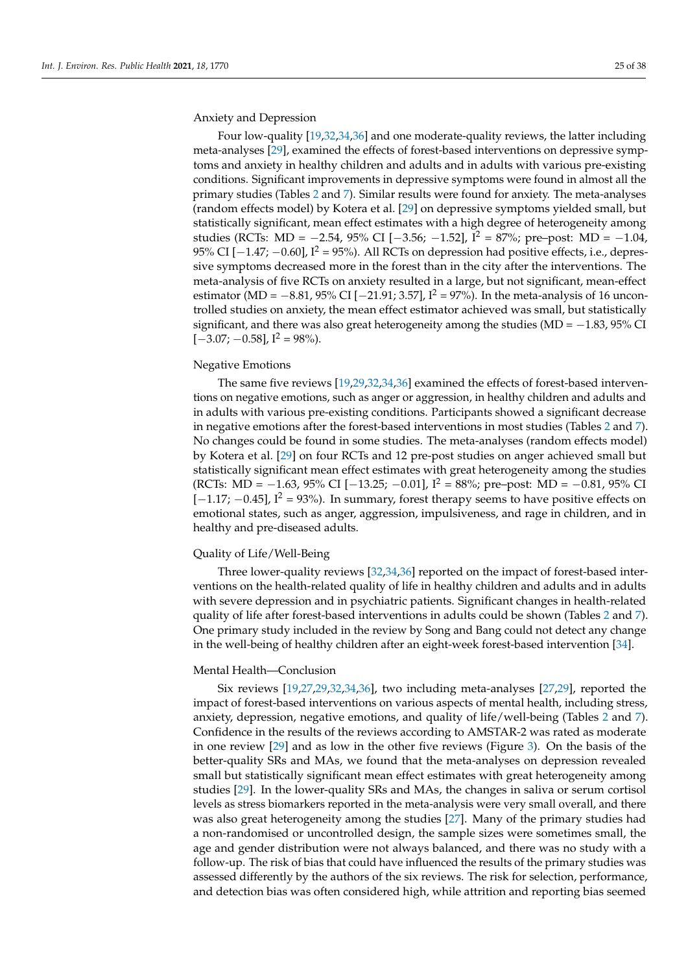Anxiety and Depression

Four low-quality [\[19,](#page-36-6)[32](#page-36-19)[,34](#page-36-16)[,36\]](#page-36-18) and one moderate-quality reviews, the latter including meta-analyses [\[29\]](#page-36-15), examined the effects of forest-based interventions on depressive symptoms and anxiety in healthy children and adults and in adults with various pre-existing conditions. Significant improvements in depressive symptoms were found in almost all the primary studies (Tables [2](#page-11-0) and [7\)](#page-21-1). Similar results were found for anxiety. The meta-analyses (random effects model) by Kotera et al. [\[29\]](#page-36-15) on depressive symptoms yielded small, but statistically significant, mean effect estimates with a high degree of heterogeneity among studies (RCTs: MD =  $-2.54$ , 95% CI [ $-3.56$ ;  $-1.52$ ],  $I^2 = 87\%$ ; pre-post: MD =  $-1.04$ , 95% CI  $[-1.47, -0.60]$ ,  $I^2 = 95%$ ). All RCTs on depression had positive effects, i.e., depressive symptoms decreased more in the forest than in the city after the interventions. The meta-analysis of five RCTs on anxiety resulted in a large, but not significant, mean-effect estimator (MD =  $-8.81$ , 95% CI [ $-21.91$ ; 3.57],  $I^2 = 97$ %). In the meta-analysis of 16 uncontrolled studies on anxiety, the mean effect estimator achieved was small, but statistically significant, and there was also great heterogeneity among the studies (MD =  $-1.83$ , 95% CI  $[-3.07; -0.58]$ ,  $I^2 = 98\%$ ).

#### Negative Emotions

The same five reviews [\[19,](#page-36-6)[29,](#page-36-15)[32,](#page-36-19)[34,](#page-36-16)[36\]](#page-36-18) examined the effects of forest-based interventions on negative emotions, such as anger or aggression, in healthy children and adults and in adults with various pre-existing conditions. Participants showed a significant decrease in negative emotions after the forest-based interventions in most studies (Tables [2](#page-11-0) and [7\)](#page-21-1). No changes could be found in some studies. The meta-analyses (random effects model) by Kotera et al. [\[29\]](#page-36-15) on four RCTs and 12 pre-post studies on anger achieved small but statistically significant mean effect estimates with great heterogeneity among the studies (RCTs: MD = −1.63, 95% CI [−13.25; −0.01], I<sup>2</sup> = 88%; pre–post: MD = −0.81, 95% CI  $[-1.17; -0.45]$ ,  $I^2 = 93%$ ). In summary, forest therapy seems to have positive effects on emotional states, such as anger, aggression, impulsiveness, and rage in children, and in healthy and pre-diseased adults.

#### Quality of Life/Well-Being

Three lower-quality reviews [\[32](#page-36-19)[,34](#page-36-16)[,36\]](#page-36-18) reported on the impact of forest-based interventions on the health-related quality of life in healthy children and adults and in adults with severe depression and in psychiatric patients. Significant changes in health-related quality of life after forest-based interventions in adults could be shown (Tables [2](#page-11-0) and [7\)](#page-21-1). One primary study included in the review by Song and Bang could not detect any change in the well-being of healthy children after an eight-week forest-based intervention [\[34\]](#page-36-16).

#### Mental Health—Conclusion

Six reviews [\[19,](#page-36-6)[27,](#page-36-14)[29,](#page-36-15)[32,](#page-36-19)[34,](#page-36-16)[36\]](#page-36-18), two including meta-analyses [\[27,](#page-36-14)[29\]](#page-36-15), reported the impact of forest-based interventions on various aspects of mental health, including stress, anxiety, depression, negative emotions, and quality of life/well-being (Tables [2](#page-11-0) and [7\)](#page-21-1). Confidence in the results of the reviews according to AMSTAR-2 was rated as moderate in one review [\[29\]](#page-36-15) and as low in the other five reviews (Figure [3\)](#page-10-0). On the basis of the better-quality SRs and MAs, we found that the meta-analyses on depression revealed small but statistically significant mean effect estimates with great heterogeneity among studies [\[29\]](#page-36-15). In the lower-quality SRs and MAs, the changes in saliva or serum cortisol levels as stress biomarkers reported in the meta-analysis were very small overall, and there was also great heterogeneity among the studies [\[27\]](#page-36-14). Many of the primary studies had a non-randomised or uncontrolled design, the sample sizes were sometimes small, the age and gender distribution were not always balanced, and there was no study with a follow-up. The risk of bias that could have influenced the results of the primary studies was assessed differently by the authors of the six reviews. The risk for selection, performance, and detection bias was often considered high, while attrition and reporting bias seemed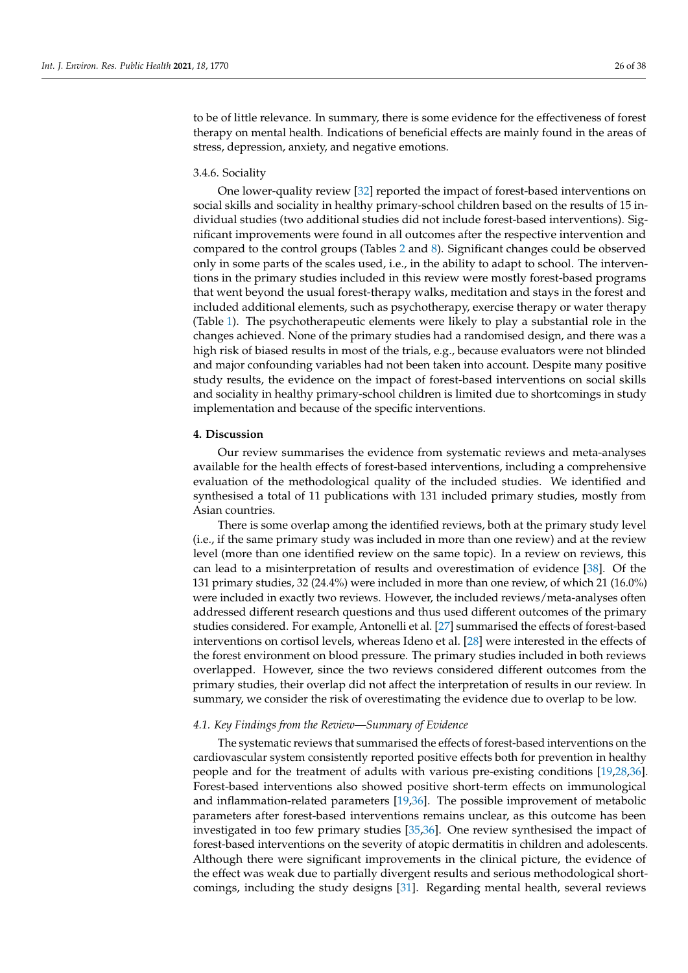to be of little relevance. In summary, there is some evidence for the effectiveness of forest therapy on mental health. Indications of beneficial effects are mainly found in the areas of stress, depression, anxiety, and negative emotions.

#### 3.4.6. Sociality

One lower-quality review [\[32\]](#page-36-19) reported the impact of forest-based interventions on social skills and sociality in healthy primary-school children based on the results of 15 individual studies (two additional studies did not include forest-based interventions). Significant improvements were found in all outcomes after the respective intervention and compared to the control groups (Tables [2](#page-11-0) and [8\)](#page-21-0). Significant changes could be observed only in some parts of the scales used, i.e., in the ability to adapt to school. The interventions in the primary studies included in this review were mostly forest-based programs that went beyond the usual forest-therapy walks, meditation and stays in the forest and included additional elements, such as psychotherapy, exercise therapy or water therapy (Table [1\)](#page-5-0). The psychotherapeutic elements were likely to play a substantial role in the changes achieved. None of the primary studies had a randomised design, and there was a high risk of biased results in most of the trials, e.g., because evaluators were not blinded and major confounding variables had not been taken into account. Despite many positive study results, the evidence on the impact of forest-based interventions on social skills and sociality in healthy primary-school children is limited due to shortcomings in study implementation and because of the specific interventions.

#### **4. Discussion**

Our review summarises the evidence from systematic reviews and meta-analyses available for the health effects of forest-based interventions, including a comprehensive evaluation of the methodological quality of the included studies. We identified and synthesised a total of 11 publications with 131 included primary studies, mostly from Asian countries.

There is some overlap among the identified reviews, both at the primary study level (i.e., if the same primary study was included in more than one review) and at the review level (more than one identified review on the same topic). In a review on reviews, this can lead to a misinterpretation of results and overestimation of evidence [\[38\]](#page-36-36). Of the 131 primary studies, 32 (24.4%) were included in more than one review, of which 21 (16.0%) were included in exactly two reviews. However, the included reviews/meta-analyses often addressed different research questions and thus used different outcomes of the primary studies considered. For example, Antonelli et al. [\[27\]](#page-36-14) summarised the effects of forest-based interventions on cortisol levels, whereas Ideno et al. [\[28\]](#page-36-21) were interested in the effects of the forest environment on blood pressure. The primary studies included in both reviews overlapped. However, since the two reviews considered different outcomes from the primary studies, their overlap did not affect the interpretation of results in our review. In summary, we consider the risk of overestimating the evidence due to overlap to be low.

#### *4.1. Key Findings from the Review—Summary of Evidence*

The systematic reviews that summarised the effects of forest-based interventions on the cardiovascular system consistently reported positive effects both for prevention in healthy people and for the treatment of adults with various pre-existing conditions [\[19,](#page-36-6)[28,](#page-36-21)[36\]](#page-36-18). Forest-based interventions also showed positive short-term effects on immunological and inflammation-related parameters [\[19,](#page-36-6)[36\]](#page-36-18). The possible improvement of metabolic parameters after forest-based interventions remains unclear, as this outcome has been investigated in too few primary studies [\[35](#page-36-17)[,36\]](#page-36-18). One review synthesised the impact of forest-based interventions on the severity of atopic dermatitis in children and adolescents. Although there were significant improvements in the clinical picture, the evidence of the effect was weak due to partially divergent results and serious methodological shortcomings, including the study designs [\[31\]](#page-36-20). Regarding mental health, several reviews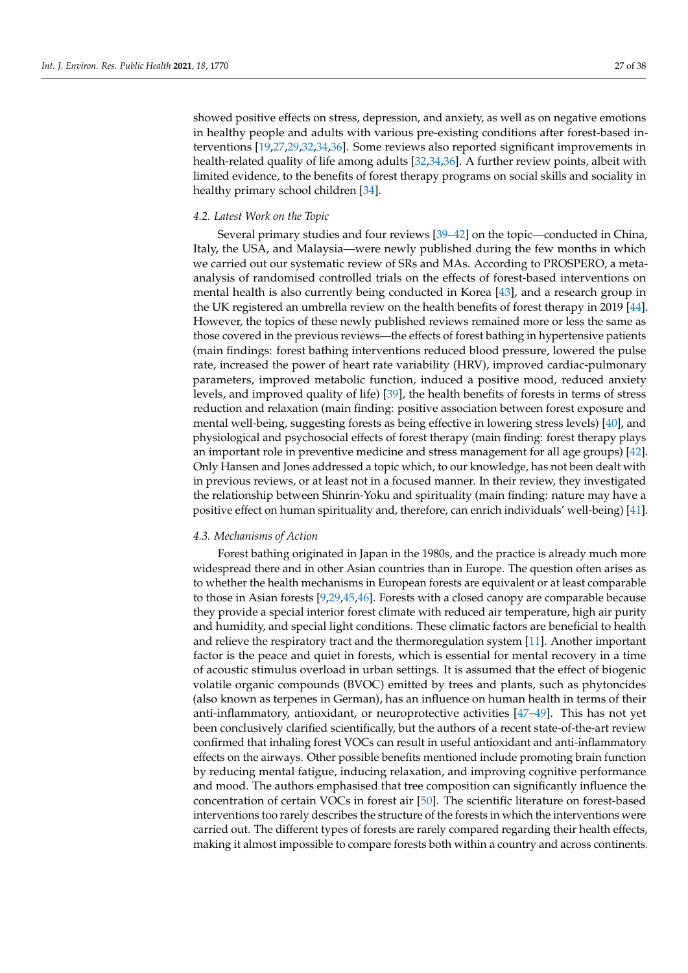showed positive effects on stress, depression, and anxiety, as well as on negative emotions in healthy people and adults with various pre-existing conditions after forest-based interventions [\[19](#page-36-6)[,27](#page-36-14)[,29](#page-36-15)[,32](#page-36-19)[,34](#page-36-16)[,36\]](#page-36-18). Some reviews also reported significant improvements in health-related quality of life among adults [\[32,](#page-36-19)[34,](#page-36-16)[36\]](#page-36-18). A further review points, albeit with limited evidence, to the benefits of forest therapy programs on social skills and sociality in healthy primary school children [\[34\]](#page-36-16).

#### <span id="page-26-0"></span>*4.2. Latest Work on the Topic*

Several primary studies and four reviews [\[39–](#page-36-37)[42\]](#page-37-0) on the topic—conducted in China, Italy, the USA, and Malaysia—were newly published during the few months in which we carried out our systematic review of SRs and MAs. According to PROSPERO, a metaanalysis of randomised controlled trials on the effects of forest-based interventions on mental health is also currently being conducted in Korea [\[43\]](#page-37-1), and a research group in the UK registered an umbrella review on the health benefits of forest therapy in 2019 [\[44\]](#page-37-2). However, the topics of these newly published reviews remained more or less the same as those covered in the previous reviews—the effects of forest bathing in hypertensive patients (main findings: forest bathing interventions reduced blood pressure, lowered the pulse rate, increased the power of heart rate variability (HRV), improved cardiac-pulmonary parameters, improved metabolic function, induced a positive mood, reduced anxiety levels, and improved quality of life) [\[39\]](#page-36-37), the health benefits of forests in terms of stress reduction and relaxation (main finding: positive association between forest exposure and mental well-being, suggesting forests as being effective in lowering stress levels) [\[40\]](#page-37-3), and physiological and psychosocial effects of forest therapy (main finding: forest therapy plays an important role in preventive medicine and stress management for all age groups) [\[42\]](#page-37-0). Only Hansen and Jones addressed a topic which, to our knowledge, has not been dealt with in previous reviews, or at least not in a focused manner. In their review, they investigated the relationship between Shinrin-Yoku and spirituality (main finding: nature may have a positive effect on human spirituality and, therefore, can enrich individuals' well-being) [\[41\]](#page-37-4).

#### *4.3. Mechanisms of Action*

Forest bathing originated in Japan in the 1980s, and the practice is already much more widespread there and in other Asian countries than in Europe. The question often arises as to whether the health mechanisms in European forests are equivalent or at least comparable to those in Asian forests [\[9,](#page-35-6)[29,](#page-36-15)[45,](#page-37-5)[46\]](#page-37-6). Forests with a closed canopy are comparable because they provide a special interior forest climate with reduced air temperature, high air purity and humidity, and special light conditions. These climatic factors are beneficial to health and relieve the respiratory tract and the thermoregulation system [\[11\]](#page-35-8). Another important factor is the peace and quiet in forests, which is essential for mental recovery in a time of acoustic stimulus overload in urban settings. It is assumed that the effect of biogenic volatile organic compounds (BVOC) emitted by trees and plants, such as phytoncides (also known as terpenes in German), has an influence on human health in terms of their anti-inflammatory, antioxidant, or neuroprotective activities [\[47–](#page-37-7)[49\]](#page-37-8). This has not yet been conclusively clarified scientifically, but the authors of a recent state-of-the-art review confirmed that inhaling forest VOCs can result in useful antioxidant and anti-inflammatory effects on the airways. Other possible benefits mentioned include promoting brain function by reducing mental fatigue, inducing relaxation, and improving cognitive performance and mood. The authors emphasised that tree composition can significantly influence the concentration of certain VOCs in forest air [\[50\]](#page-37-9). The scientific literature on forest-based interventions too rarely describes the structure of the forests in which the interventions were carried out. The different types of forests are rarely compared regarding their health effects, making it almost impossible to compare forests both within a country and across continents.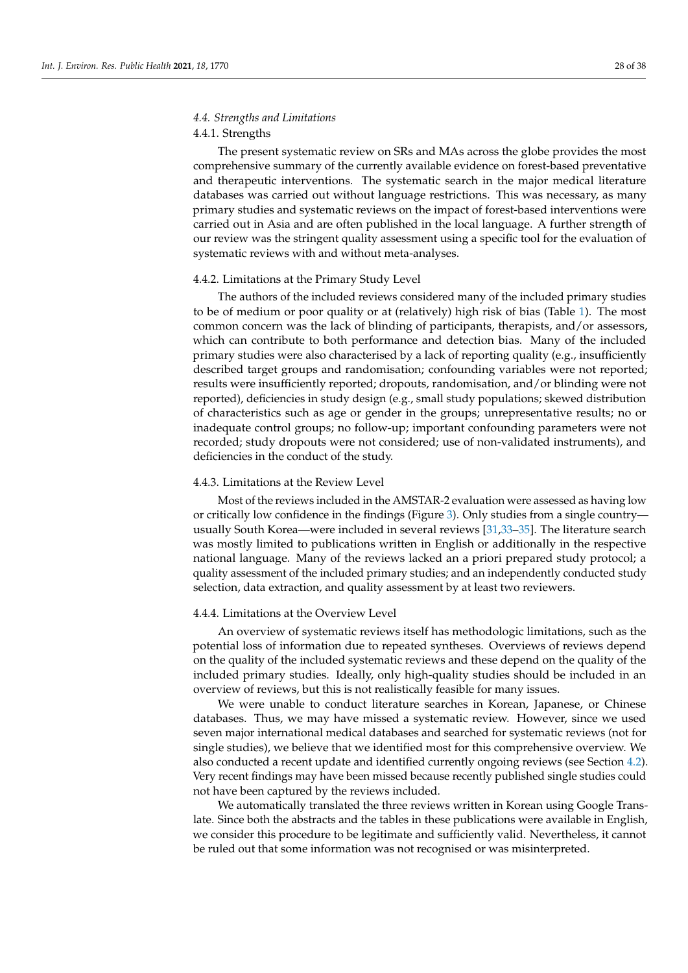### *4.4. Strengths and Limitations*

#### 4.4.1. Strengths

The present systematic review on SRs and MAs across the globe provides the most comprehensive summary of the currently available evidence on forest-based preventative and therapeutic interventions. The systematic search in the major medical literature databases was carried out without language restrictions. This was necessary, as many primary studies and systematic reviews on the impact of forest-based interventions were carried out in Asia and are often published in the local language. A further strength of our review was the stringent quality assessment using a specific tool for the evaluation of systematic reviews with and without meta-analyses.

#### 4.4.2. Limitations at the Primary Study Level

The authors of the included reviews considered many of the included primary studies to be of medium or poor quality or at (relatively) high risk of bias (Table [1\)](#page-5-0). The most common concern was the lack of blinding of participants, therapists, and/or assessors, which can contribute to both performance and detection bias. Many of the included primary studies were also characterised by a lack of reporting quality (e.g., insufficiently described target groups and randomisation; confounding variables were not reported; results were insufficiently reported; dropouts, randomisation, and/or blinding were not reported), deficiencies in study design (e.g., small study populations; skewed distribution of characteristics such as age or gender in the groups; unrepresentative results; no or inadequate control groups; no follow-up; important confounding parameters were not recorded; study dropouts were not considered; use of non-validated instruments), and deficiencies in the conduct of the study.

#### 4.4.3. Limitations at the Review Level

Most of the reviews included in the AMSTAR-2 evaluation were assessed as having low or critically low confidence in the findings (Figure [3\)](#page-10-0). Only studies from a single country usually South Korea—were included in several reviews [\[31,](#page-36-20)[33–](#page-36-23)[35\]](#page-36-17). The literature search was mostly limited to publications written in English or additionally in the respective national language. Many of the reviews lacked an a priori prepared study protocol; a quality assessment of the included primary studies; and an independently conducted study selection, data extraction, and quality assessment by at least two reviewers.

#### 4.4.4. Limitations at the Overview Level

An overview of systematic reviews itself has methodologic limitations, such as the potential loss of information due to repeated syntheses. Overviews of reviews depend on the quality of the included systematic reviews and these depend on the quality of the included primary studies. Ideally, only high-quality studies should be included in an overview of reviews, but this is not realistically feasible for many issues.

We were unable to conduct literature searches in Korean, Japanese, or Chinese databases. Thus, we may have missed a systematic review. However, since we used seven major international medical databases and searched for systematic reviews (not for single studies), we believe that we identified most for this comprehensive overview. We also conducted a recent update and identified currently ongoing reviews (see Section [4.2\)](#page-26-0). Very recent findings may have been missed because recently published single studies could not have been captured by the reviews included.

We automatically translated the three reviews written in Korean using Google Translate. Since both the abstracts and the tables in these publications were available in English, we consider this procedure to be legitimate and sufficiently valid. Nevertheless, it cannot be ruled out that some information was not recognised or was misinterpreted.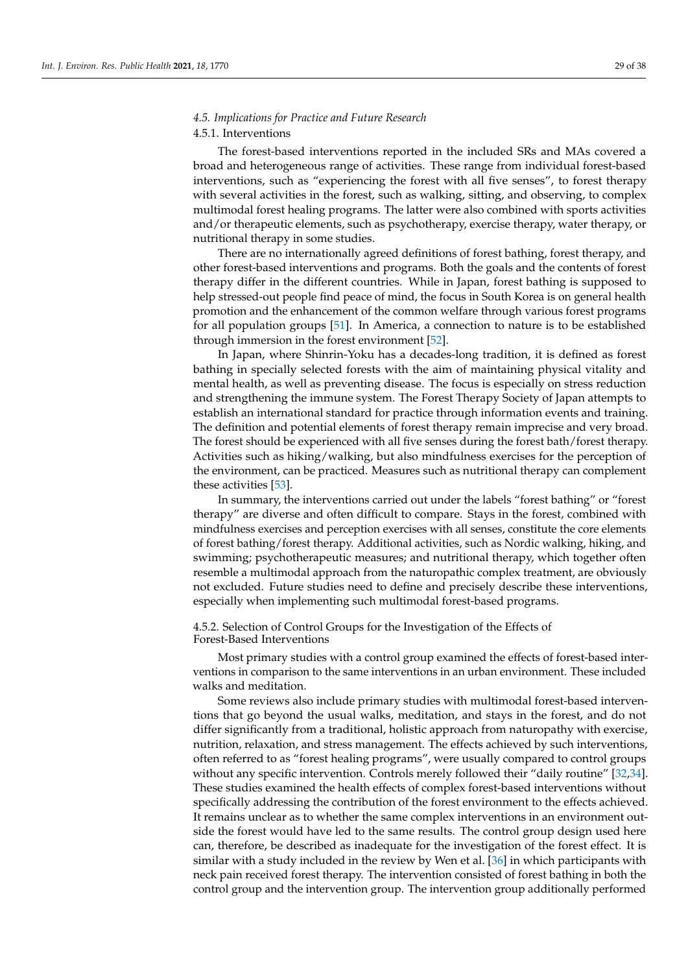#### *4.5. Implications for Practice and Future Research*

#### 4.5.1. Interventions

The forest-based interventions reported in the included SRs and MAs covered a broad and heterogeneous range of activities. These range from individual forest-based interventions, such as "experiencing the forest with all five senses", to forest therapy with several activities in the forest, such as walking, sitting, and observing, to complex multimodal forest healing programs. The latter were also combined with sports activities and/or therapeutic elements, such as psychotherapy, exercise therapy, water therapy, or nutritional therapy in some studies.

There are no internationally agreed definitions of forest bathing, forest therapy, and other forest-based interventions and programs. Both the goals and the contents of forest therapy differ in the different countries. While in Japan, forest bathing is supposed to help stressed-out people find peace of mind, the focus in South Korea is on general health promotion and the enhancement of the common welfare through various forest programs for all population groups [\[51\]](#page-37-10). In America, a connection to nature is to be established through immersion in the forest environment [\[52\]](#page-37-11).

In Japan, where Shinrin-Yoku has a decades-long tradition, it is defined as forest bathing in specially selected forests with the aim of maintaining physical vitality and mental health, as well as preventing disease. The focus is especially on stress reduction and strengthening the immune system. The Forest Therapy Society of Japan attempts to establish an international standard for practice through information events and training. The definition and potential elements of forest therapy remain imprecise and very broad. The forest should be experienced with all five senses during the forest bath/forest therapy. Activities such as hiking/walking, but also mindfulness exercises for the perception of the environment, can be practiced. Measures such as nutritional therapy can complement these activities [\[53\]](#page-37-12).

In summary, the interventions carried out under the labels "forest bathing" or "forest therapy" are diverse and often difficult to compare. Stays in the forest, combined with mindfulness exercises and perception exercises with all senses, constitute the core elements of forest bathing/forest therapy. Additional activities, such as Nordic walking, hiking, and swimming; psychotherapeutic measures; and nutritional therapy, which together often resemble a multimodal approach from the naturopathic complex treatment, are obviously not excluded. Future studies need to define and precisely describe these interventions, especially when implementing such multimodal forest-based programs.

#### 4.5.2. Selection of Control Groups for the Investigation of the Effects of Forest-Based Interventions

Most primary studies with a control group examined the effects of forest-based interventions in comparison to the same interventions in an urban environment. These included walks and meditation.

Some reviews also include primary studies with multimodal forest-based interventions that go beyond the usual walks, meditation, and stays in the forest, and do not differ significantly from a traditional, holistic approach from naturopathy with exercise, nutrition, relaxation, and stress management. The effects achieved by such interventions, often referred to as "forest healing programs", were usually compared to control groups without any specific intervention. Controls merely followed their "daily routine" [\[32,](#page-36-19)[34\]](#page-36-16). These studies examined the health effects of complex forest-based interventions without specifically addressing the contribution of the forest environment to the effects achieved. It remains unclear as to whether the same complex interventions in an environment outside the forest would have led to the same results. The control group design used here can, therefore, be described as inadequate for the investigation of the forest effect. It is similar with a study included in the review by Wen et al. [\[36\]](#page-36-18) in which participants with neck pain received forest therapy. The intervention consisted of forest bathing in both the control group and the intervention group. The intervention group additionally performed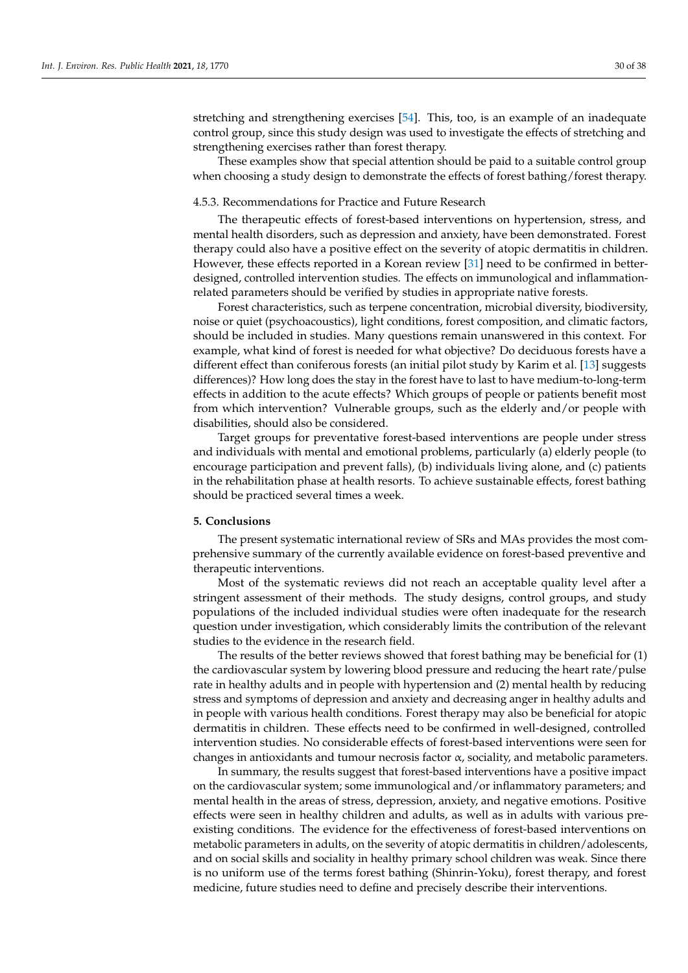stretching and strengthening exercises [\[54\]](#page-37-13). This, too, is an example of an inadequate control group, since this study design was used to investigate the effects of stretching and strengthening exercises rather than forest therapy.

These examples show that special attention should be paid to a suitable control group when choosing a study design to demonstrate the effects of forest bathing/forest therapy.

#### 4.5.3. Recommendations for Practice and Future Research

The therapeutic effects of forest-based interventions on hypertension, stress, and mental health disorders, such as depression and anxiety, have been demonstrated. Forest therapy could also have a positive effect on the severity of atopic dermatitis in children. However, these effects reported in a Korean review [\[31\]](#page-36-20) need to be confirmed in betterdesigned, controlled intervention studies. The effects on immunological and inflammationrelated parameters should be verified by studies in appropriate native forests.

Forest characteristics, such as terpene concentration, microbial diversity, biodiversity, noise or quiet (psychoacoustics), light conditions, forest composition, and climatic factors, should be included in studies. Many questions remain unanswered in this context. For example, what kind of forest is needed for what objective? Do deciduous forests have a different effect than coniferous forests (an initial pilot study by Karim et al. [\[13\]](#page-36-1) suggests differences)? How long does the stay in the forest have to last to have medium-to-long-term effects in addition to the acute effects? Which groups of people or patients benefit most from which intervention? Vulnerable groups, such as the elderly and/or people with disabilities, should also be considered.

Target groups for preventative forest-based interventions are people under stress and individuals with mental and emotional problems, particularly (a) elderly people (to encourage participation and prevent falls), (b) individuals living alone, and (c) patients in the rehabilitation phase at health resorts. To achieve sustainable effects, forest bathing should be practiced several times a week.

#### **5. Conclusions**

The present systematic international review of SRs and MAs provides the most comprehensive summary of the currently available evidence on forest-based preventive and therapeutic interventions.

Most of the systematic reviews did not reach an acceptable quality level after a stringent assessment of their methods. The study designs, control groups, and study populations of the included individual studies were often inadequate for the research question under investigation, which considerably limits the contribution of the relevant studies to the evidence in the research field.

The results of the better reviews showed that forest bathing may be beneficial for (1) the cardiovascular system by lowering blood pressure and reducing the heart rate/pulse rate in healthy adults and in people with hypertension and (2) mental health by reducing stress and symptoms of depression and anxiety and decreasing anger in healthy adults and in people with various health conditions. Forest therapy may also be beneficial for atopic dermatitis in children. These effects need to be confirmed in well-designed, controlled intervention studies. No considerable effects of forest-based interventions were seen for changes in antioxidants and tumour necrosis factor  $\alpha$ , sociality, and metabolic parameters.

In summary, the results suggest that forest-based interventions have a positive impact on the cardiovascular system; some immunological and/or inflammatory parameters; and mental health in the areas of stress, depression, anxiety, and negative emotions. Positive effects were seen in healthy children and adults, as well as in adults with various preexisting conditions. The evidence for the effectiveness of forest-based interventions on metabolic parameters in adults, on the severity of atopic dermatitis in children/adolescents, and on social skills and sociality in healthy primary school children was weak. Since there is no uniform use of the terms forest bathing (Shinrin-Yoku), forest therapy, and forest medicine, future studies need to define and precisely describe their interventions.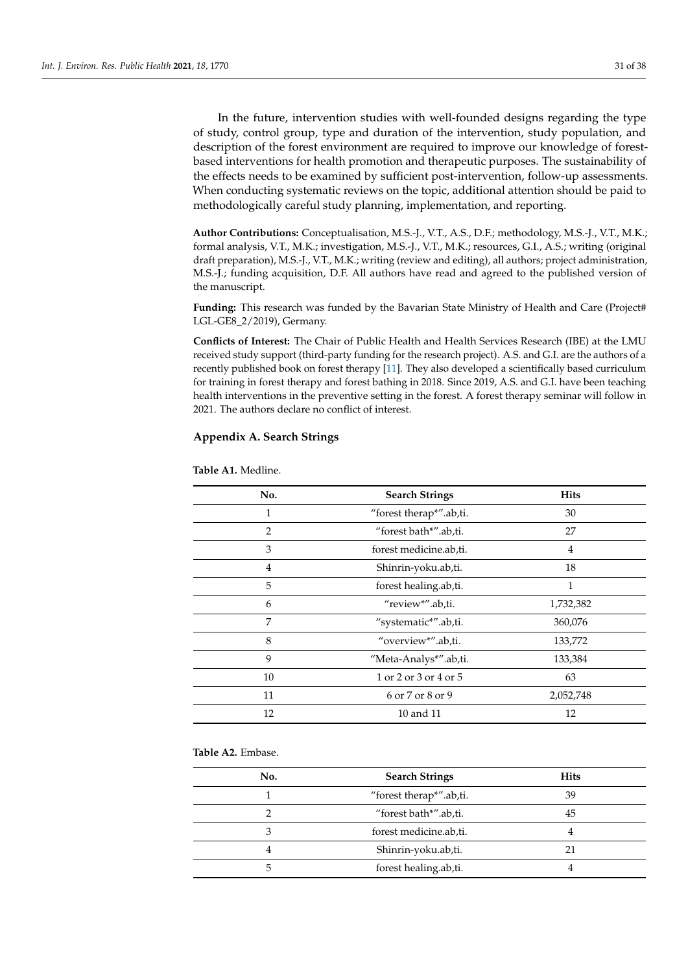In the future, intervention studies with well-founded designs regarding the type of study, control group, type and duration of the intervention, study population, and description of the forest environment are required to improve our knowledge of forestbased interventions for health promotion and therapeutic purposes. The sustainability of the effects needs to be examined by sufficient post-intervention, follow-up assessments. When conducting systematic reviews on the topic, additional attention should be paid to methodologically careful study planning, implementation, and reporting.

**Author Contributions:** Conceptualisation, M.S.-J., V.T., A.S., D.F.; methodology, M.S.-J., V.T., M.K.; formal analysis, V.T., M.K.; investigation, M.S.-J., V.T., M.K.; resources, G.I., A.S.; writing (original draft preparation), M.S.-J., V.T., M.K.; writing (review and editing), all authors; project administration, M.S.-J.; funding acquisition, D.F. All authors have read and agreed to the published version of the manuscript.

Funding: This research was funded by the Bavarian State Ministry of Health and Care (Project# LGL-GE8\_2/2019), Germany.

**Conflicts of Interest:** The Chair of Public Health and Health Services Research (IBE) at the LMU received study support (third-party funding for the research project). A.S. and G.I. are the authors of a recently published book on forest therapy [\[11\]](#page-35-8). They also developed a scientifically based curriculum for training in forest therapy and forest bathing in 2018. Since 2019, A.S. and G.I. have been teaching health interventions in the preventive setting in the forest. A forest therapy seminar will follow in 2021. The authors declare no conflict of interest.

#### <span id="page-30-0"></span>**Appendix A. Search Strings**

| No.            | <b>Search Strings</b>   | <b>Hits</b>    |
|----------------|-------------------------|----------------|
| 1              | "forest therap*".ab,ti. | 30             |
| $\overline{2}$ | "forest bath*".ab,ti.   | 27             |
| 3              | forest medicine.ab,ti.  | $\overline{4}$ |
| $\overline{4}$ | Shinrin-yoku.ab,ti.     | 18             |
| 5              | forest healing.ab,ti.   | 1              |
| 6              | "review*".ab,ti.        | 1,732,382      |
| 7              | "systematic*".ab,ti.    | 360,076        |
| 8              | "overview*".ab,ti.      | 133,772        |
| 9              | "Meta-Analys*".ab,ti.   | 133,384        |
| 10             | 1 or 2 or 3 or 4 or 5   | 63             |
| 11             | 6 or 7 or 8 or 9        | 2,052,748      |
| 12             | 10 and 11               | 12             |

**Table A1.** Medline.

#### **Table A2.** Embase.

| No. | <b>Search Strings</b>   | <b>Hits</b> |
|-----|-------------------------|-------------|
|     | "forest therap*".ab,ti. | 39          |
|     | "forest bath*".ab,ti.   | 45          |
|     | forest medicine.ab,ti.  |             |
|     | Shinrin-yoku.ab,ti.     | 21          |
| h   | forest healing.ab,ti.   |             |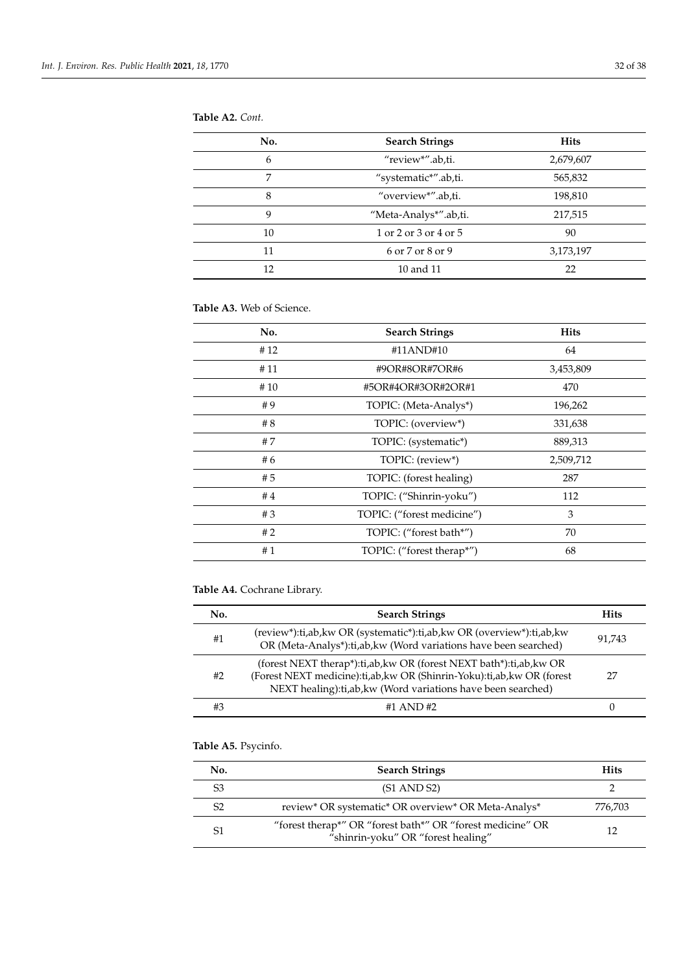| No. | <b>Search Strings</b> | <b>Hits</b> |
|-----|-----------------------|-------------|
| 6   | "review*".ab,ti.      | 2,679,607   |
| 7   | "systematic*".ab,ti.  | 565,832     |
| 8   | "overview*".ab,ti.    | 198,810     |
| 9   | "Meta-Analys*".ab,ti. | 217,515     |
| 10  | 1 or 2 or 3 or 4 or 5 | 90          |
| 11  | 6 or 7 or 8 or 9      | 3,173,197   |
| 12  | 10 and 11             | 22          |
|     |                       |             |

#### **Table A3.** Web of Science.

| No. | <b>Search Strings</b>      | <b>Hits</b> |
|-----|----------------------------|-------------|
| #12 | #11AND#10                  | 64          |
| #11 | #9OR#8OR#7OR#6             | 3,453,809   |
| #10 | #5OR#4OR#3OR#2OR#1         | 470         |
| #9  | TOPIC: (Meta-Analys*)      | 196,262     |
| #8  | TOPIC: (overview*)         | 331,638     |
| #7  | TOPIC: (systematic*)       | 889,313     |
| #6  | TOPIC: (review*)           | 2,509,712   |
| #5  | TOPIC: (forest healing)    | 287         |
| #4  | TOPIC: ("Shinrin-yoku")    | 112         |
| #3  | TOPIC: ("forest medicine") | 3           |
| #2  | TOPIC: ("forest bath*")    | 70          |
| #1  | TOPIC: ("forest therap*")  | 68          |

### **Table A4.** Cochrane Library.

| No. | <b>Search Strings</b>                                                                                                                                                                                            | <b>Hits</b> |
|-----|------------------------------------------------------------------------------------------------------------------------------------------------------------------------------------------------------------------|-------------|
| #1  | (review*):ti,ab,kw OR (systematic*):ti,ab,kw OR (overview*):ti,ab,kw<br>OR (Meta-Analys*):ti,ab, kw (Word variations have been searched)                                                                         | 91.743      |
| #2  | (forest NEXT therap*):ti,ab, kw OR (forest NEXT bath*):ti,ab, kw OR<br>(Forest NEXT medicine):ti,ab, kw OR (Shinrin-Yoku):ti,ab, kw OR (forest<br>NEXT healing): ti, ab, kw (Word variations have been searched) | 27          |
| #3  | #1 AND #2                                                                                                                                                                                                        |             |

## **Table A5.** Psycinfo.

| No. | <b>Search Strings</b>                                                                            | <b>Hits</b> |
|-----|--------------------------------------------------------------------------------------------------|-------------|
| S3  | $(S1 \text{ AND } S2)$                                                                           |             |
| S2  | review* OR systematic* OR overview* OR Meta-Analys*                                              | 776.703     |
| S1  | "forest therap*" OR "forest bath*" OR "forest medicine" OR<br>"shinrin-yoku" OR "forest healing" | 12          |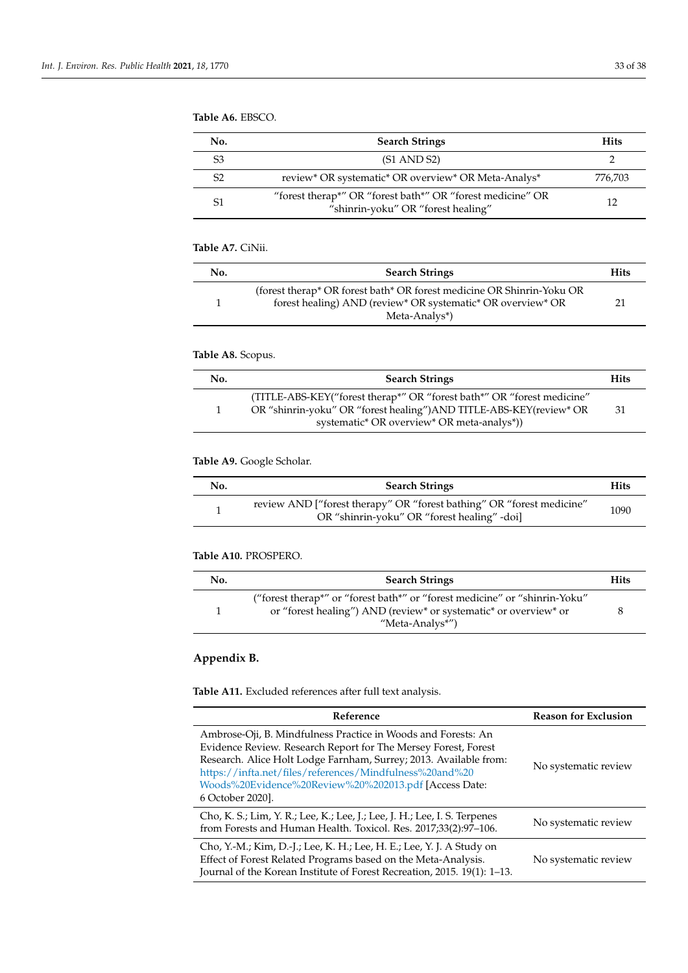### **Table A6.** EBSCO.

| No.            | <b>Search Strings</b>                                                                            | <b>Hits</b> |
|----------------|--------------------------------------------------------------------------------------------------|-------------|
| S3             | $(S1 \text{ AND } S2)$                                                                           |             |
| S <sub>2</sub> | review* OR systematic* OR overview* OR Meta-Analys*                                              | 776,703     |
| S1             | "forest therap*" OR "forest bath*" OR "forest medicine" OR<br>"shinrin-yoku" OR "forest healing" | 12          |

### **Table A7.** CiNii.

| No. | <b>Search Strings</b>                                                                                                                                 | <b>Hits</b> |
|-----|-------------------------------------------------------------------------------------------------------------------------------------------------------|-------------|
|     | (forest therap* OR forest bath* OR forest medicine OR Shinrin-Yoku OR<br>forest healing) AND (review* OR systematic* OR overview* OR<br>Meta-Analys*) |             |

### **Table A8.** Scopus.

| No. | <b>Search Strings</b>                                                                                                                                                                       | <b>Hits</b> |
|-----|---------------------------------------------------------------------------------------------------------------------------------------------------------------------------------------------|-------------|
|     | (TITLE-ABS-KEY("forest therap*" OR "forest bath*" OR "forest medicine"<br>OR "shinrin-yoku" OR "forest healing") AND TITLE-ABS-KEY(review* OR<br>systematic* OR overview* OR meta-analys*)) | -31         |

### **Table A9.** Google Scholar.

| No. | <b>Search Strings</b>                                                                                                | <b>Hits</b> |
|-----|----------------------------------------------------------------------------------------------------------------------|-------------|
|     | review AND ["forest therapy" OR "forest bathing" OR "forest medicine"<br>OR "shinrin-yoku" OR "forest healing" -doi] | 1090        |

#### **Table A10.** PROSPERO.

| No. | <b>Search Strings</b>                                                                                                                                            | <b>Hits</b> |
|-----|------------------------------------------------------------------------------------------------------------------------------------------------------------------|-------------|
|     | "forest therap*" or "forest bath*" or "forest medicine" or "shinrin-Yoku"<br>or "forest healing") AND (review* or systematic* or overview* or<br>"Meta-Analys*") |             |

### <span id="page-32-0"></span>**Appendix B.**

### **Table A11.** Excluded references after full text analysis.

| Reference                                                                                                                                                                                                                                                                                                                                    | <b>Reason for Exclusion</b> |
|----------------------------------------------------------------------------------------------------------------------------------------------------------------------------------------------------------------------------------------------------------------------------------------------------------------------------------------------|-----------------------------|
| Ambrose-Oji, B. Mindfulness Practice in Woods and Forests: An<br>Evidence Review. Research Report for The Mersey Forest, Forest<br>Research. Alice Holt Lodge Farnham, Surrey; 2013. Available from:<br>https://infta.net/files/references/Mindfulness%20and%20<br>Woods%20Evidence%20Review%20%202013.pdf [Access Date:<br>6 October 2020]. | No systematic review        |
| Cho, K. S.; Lim, Y. R.; Lee, K.; Lee, J.; Lee, J. H.; Lee, I. S. Terpenes<br>from Forests and Human Health. Toxicol. Res. 2017;33(2):97-106.                                                                                                                                                                                                 | No systematic review        |
| Cho, Y.-M.; Kim, D.-J.; Lee, K. H.; Lee, H. E.; Lee, Y. J. A Study on<br>Effect of Forest Related Programs based on the Meta-Analysis.<br>Journal of the Korean Institute of Forest Recreation, 2015. 19(1): 1–13.                                                                                                                           | No systematic review        |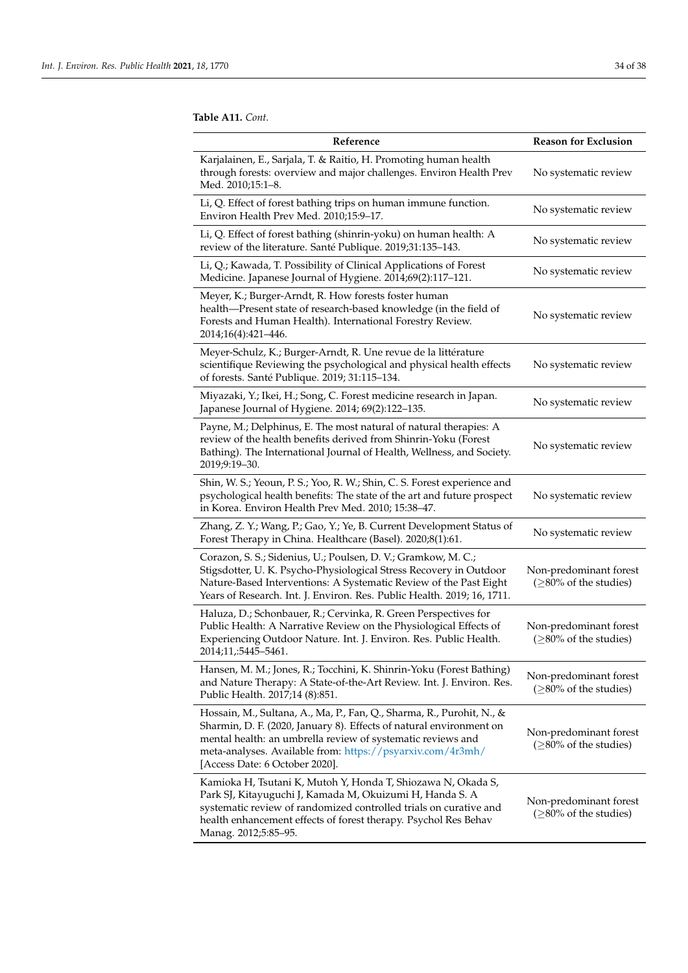**Table A11.** *Cont.*

| Reference                                                                                                                                                                                                                                                                                                   | <b>Reason for Exclusion</b>                        |
|-------------------------------------------------------------------------------------------------------------------------------------------------------------------------------------------------------------------------------------------------------------------------------------------------------------|----------------------------------------------------|
| Karjalainen, E., Sarjala, T. & Raitio, H. Promoting human health<br>through forests: overview and major challenges. Environ Health Prev<br>Med. 2010;15:1-8.                                                                                                                                                | No systematic review                               |
| Li, Q. Effect of forest bathing trips on human immune function.<br>Environ Health Prev Med. 2010;15:9-17.                                                                                                                                                                                                   | No systematic review                               |
| Li, Q. Effect of forest bathing (shinrin-yoku) on human health: A<br>review of the literature. Santé Publique. 2019;31:135-143.                                                                                                                                                                             | No systematic review                               |
| Li, Q.; Kawada, T. Possibility of Clinical Applications of Forest<br>Medicine. Japanese Journal of Hygiene. 2014;69(2):117-121.                                                                                                                                                                             | No systematic review                               |
| Meyer, K.; Burger-Arndt, R. How forests foster human<br>health-Present state of research-based knowledge (in the field of<br>Forests and Human Health). International Forestry Review.<br>2014;16(4):421-446.                                                                                               | No systematic review                               |
| Meyer-Schulz, K.; Burger-Arndt, R. Une revue de la littérature<br>scientifique Reviewing the psychological and physical health effects<br>of forests. Santé Publique. 2019; 31:115-134.                                                                                                                     | No systematic review                               |
| Miyazaki, Y.; Ikei, H.; Song, C. Forest medicine research in Japan.<br>Japanese Journal of Hygiene. 2014; 69(2):122-135.                                                                                                                                                                                    | No systematic review                               |
| Payne, M.; Delphinus, E. The most natural of natural therapies: A<br>review of the health benefits derived from Shinrin-Yoku (Forest<br>Bathing). The International Journal of Health, Wellness, and Society.<br>2019;9:19-30.                                                                              | No systematic review                               |
| Shin, W. S.; Yeoun, P. S.; Yoo, R. W.; Shin, C. S. Forest experience and<br>psychological health benefits: The state of the art and future prospect<br>in Korea. Environ Health Prev Med. 2010; 15:38-47.                                                                                                   | No systematic review                               |
| Zhang, Z. Y.; Wang, P.; Gao, Y.; Ye, B. Current Development Status of<br>Forest Therapy in China. Healthcare (Basel). 2020;8(1):61.                                                                                                                                                                         | No systematic review                               |
| Corazon, S. S.; Sidenius, U.; Poulsen, D. V.; Gramkow, M. C.;<br>Stigsdotter, U. K. Psycho-Physiological Stress Recovery in Outdoor<br>Nature-Based Interventions: A Systematic Review of the Past Eight<br>Years of Research. Int. J. Environ. Res. Public Health. 2019; 16, 1711.                         | Non-predominant forest<br>$(≥80%$ of the studies)  |
| Haluza, D.; Schonbauer, R.; Cervinka, R. Green Perspectives for<br>Public Health: A Narrative Review on the Physiological Effects of<br>Experiencing Outdoor Nature. Int. J. Environ. Res. Public Health.<br>2014;11,:5445–5461.                                                                            | Non-predominant forest<br>$(≥80%$ of the studies)  |
| Hansen, M. M.; Jones, R.; Tocchini, K. Shinrin-Yoku (Forest Bathing)<br>and Nature Therapy: A State-of-the-Art Review. Int. J. Environ. Res.<br>Public Health. 2017;14 (8):851.                                                                                                                             | Non-predominant forest<br>$(≥80%$ of the studies)  |
| Hossain, M., Sultana, A., Ma, P., Fan, Q., Sharma, R., Purohit, N., &<br>Sharmin, D. F. (2020, January 8). Effects of natural environment on<br>mental health: an umbrella review of systematic reviews and<br>meta-analyses. Available from: https://psyarxiv.com/4r3mh/<br>[Access Date: 6 October 2020]. | Non-predominant forest<br>$(≥80\%$ of the studies) |
| Kamioka H, Tsutani K, Mutoh Y, Honda T, Shiozawa N, Okada S,<br>Park SJ, Kitayuguchi J, Kamada M, Okuizumi H, Handa S. A<br>systematic review of randomized controlled trials on curative and<br>health enhancement effects of forest therapy. Psychol Res Behav<br>Manag. 2012;5:85-95.                    | Non-predominant forest<br>$(≥80%$ of the studies)  |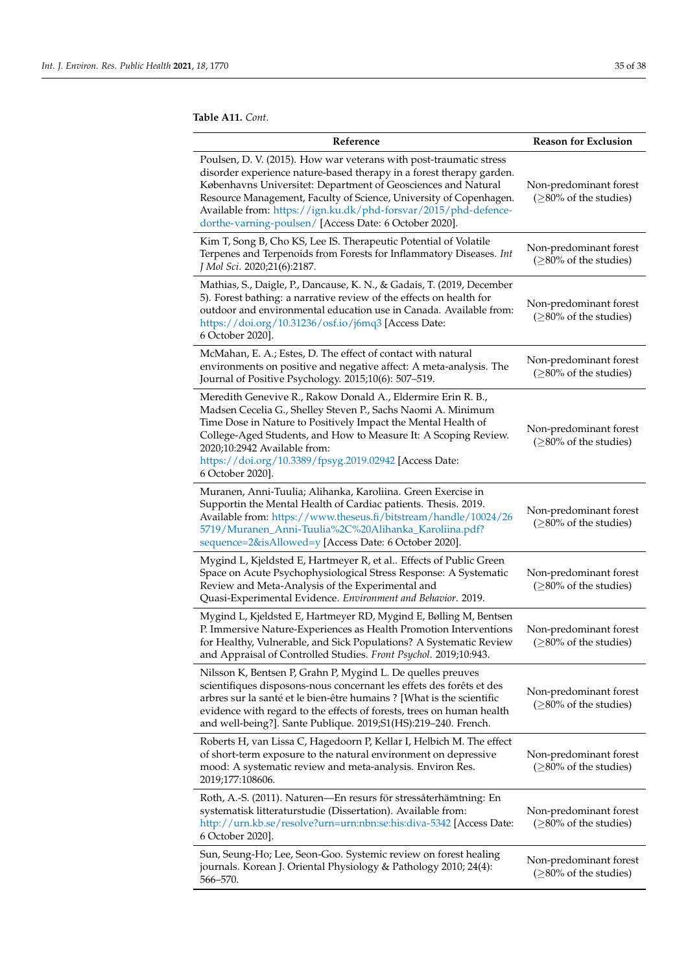**Table A11.** *Cont.*

| Reference                                                                                                                                                                                                                                                                                                                                                                                                      | <b>Reason for Exclusion</b>                        |
|----------------------------------------------------------------------------------------------------------------------------------------------------------------------------------------------------------------------------------------------------------------------------------------------------------------------------------------------------------------------------------------------------------------|----------------------------------------------------|
| Poulsen, D. V. (2015). How war veterans with post-traumatic stress<br>disorder experience nature-based therapy in a forest therapy garden.<br>Københavns Universitet: Department of Geosciences and Natural<br>Resource Management, Faculty of Science, University of Copenhagen.<br>Available from: https://ign.ku.dk/phd-forsvar/2015/phd-defence-<br>dorthe-varning-poulsen/ [Access Date: 6 October 2020]. | Non-predominant forest<br>$(≥80%$ of the studies)  |
| Kim T, Song B, Cho KS, Lee IS. Therapeutic Potential of Volatile<br>Terpenes and Terpenoids from Forests for Inflammatory Diseases. Int<br>J Mol Sci. 2020;21(6):2187.                                                                                                                                                                                                                                         | Non-predominant forest<br>$(≥80%$ of the studies)  |
| Mathias, S., Daigle, P., Dancause, K. N., & Gadais, T. (2019, December<br>5). Forest bathing: a narrative review of the effects on health for<br>outdoor and environmental education use in Canada. Available from:<br>https://doi.org/10.31236/osf.io/j6mq3 [Access Date:<br>6 October 2020].                                                                                                                 | Non-predominant forest<br>$(≥80%$ of the studies)  |
| McMahan, E. A.; Estes, D. The effect of contact with natural<br>environments on positive and negative affect: A meta-analysis. The<br>Journal of Positive Psychology. 2015;10(6): 507-519.                                                                                                                                                                                                                     | Non-predominant forest<br>$(≥80%$ of the studies)  |
| Meredith Genevive R., Rakow Donald A., Eldermire Erin R. B.,<br>Madsen Cecelia G., Shelley Steven P., Sachs Naomi A. Minimum<br>Time Dose in Nature to Positively Impact the Mental Health of<br>College-Aged Students, and How to Measure It: A Scoping Review.<br>2020;10:2942 Available from:<br>https://doi.org/10.3389/fpsyg.2019.02942 [Access Date:<br>6 October 2020].                                 | Non-predominant forest<br>$(≥80%$ of the studies)  |
| Muranen, Anni-Tuulia; Alihanka, Karoliina. Green Exercise in<br>Supportin the Mental Health of Cardiac patients. Thesis. 2019.<br>Available from: https://www.theseus.fi/bitstream/handle/10024/26<br>5719/Muranen_Anni-Tuulia%2C%20Alihanka_Karoliina.pdf?<br>sequence=2&isAllowed=y [Access Date: 6 October 2020].                                                                                           | Non-predominant forest<br>$(≥80%$ of the studies)  |
| Mygind L, Kjeldsted E, Hartmeyer R, et al Effects of Public Green<br>Space on Acute Psychophysiological Stress Response: A Systematic<br>Review and Meta-Analysis of the Experimental and<br>Quasi-Experimental Evidence. Environment and Behavior. 2019.                                                                                                                                                      | Non-predominant forest<br>$(≥80%$ of the studies)  |
| Mygind L, Kjeldsted E, Hartmeyer RD, Mygind E, Bølling M, Bentsen<br>P. Immersive Nature-Experiences as Health Promotion Interventions<br>for Healthy, Vulnerable, and Sick Populations? A Systematic Review<br>and Appraisal of Controlled Studies. Front Psychol. 2019;10:943.                                                                                                                               | Non-predominant forest<br>$(≥80%$ of the studies)  |
| Nilsson K, Bentsen P, Grahn P, Mygind L. De quelles preuves<br>scientifiques disposons-nous concernant les effets des forêts et des<br>arbres sur la santé et le bien-être humains ? [What is the scientific<br>evidence with regard to the effects of forests, trees on human health<br>and well-being?]. Sante Publique. 2019;S1(HS):219-240. French.                                                        | Non-predominant forest<br>$(≥80%$ of the studies)  |
| Roberts H, van Lissa C, Hagedoorn P, Kellar I, Helbich M. The effect<br>of short-term exposure to the natural environment on depressive<br>mood: A systematic review and meta-analysis. Environ Res.<br>2019;177:108606.                                                                                                                                                                                       | Non-predominant forest<br>$(≥80%$ of the studies)  |
| Roth, A.-S. (2011). Naturen—En resurs för stressåterhämtning: En<br>systematisk litteraturstudie (Dissertation). Available from:<br>http://urn.kb.se/resolve?urn=urn:nbn:se:his:diva-5342 [Access Date:<br>6 October 2020].                                                                                                                                                                                    | Non-predominant forest<br>$(≥80\%$ of the studies) |
| Sun, Seung-Ho; Lee, Seon-Goo. Systemic review on forest healing<br>journals. Korean J. Oriental Physiology & Pathology 2010; 24(4):<br>566–570.                                                                                                                                                                                                                                                                | Non-predominant forest<br>$(≥80%$ of the studies)  |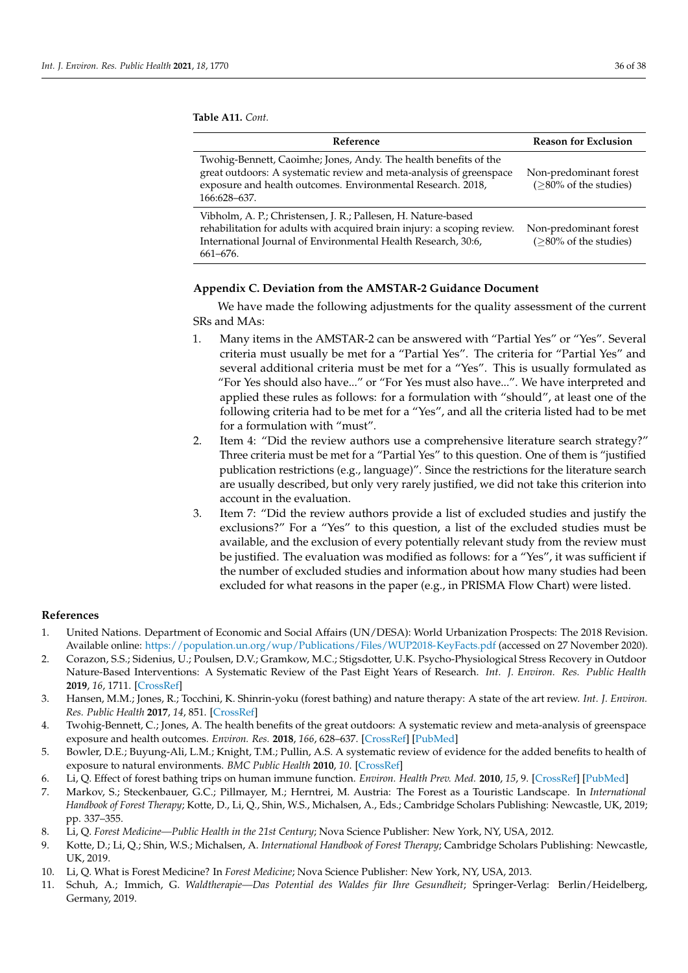**Table A11.** *Cont.*

| Reference                                                                                                                                                                                                                 | <b>Reason for Exclusion</b>                        |
|---------------------------------------------------------------------------------------------------------------------------------------------------------------------------------------------------------------------------|----------------------------------------------------|
| Twohig-Bennett, Caoimhe; Jones, Andy. The health benefits of the<br>great outdoors: A systematic review and meta-analysis of greenspace<br>exposure and health outcomes. Environmental Research. 2018,<br>166:628-637.    | Non-predominant forest<br>$($ >80% of the studies) |
| Vibholm, A. P.; Christensen, J. R.; Pallesen, H. Nature-based<br>rehabilitation for adults with acquired brain injury: a scoping review.<br>International Journal of Environmental Health Research, 30:6,<br>$661 - 676.$ | Non-predominant forest<br>$(≥80\%$ of the studies) |

#### <span id="page-35-10"></span>**Appendix C. Deviation from the AMSTAR-2 Guidance Document**

We have made the following adjustments for the quality assessment of the current SRs and MAs:

- 1. Many items in the AMSTAR-2 can be answered with "Partial Yes" or "Yes". Several criteria must usually be met for a "Partial Yes". The criteria for "Partial Yes" and several additional criteria must be met for a "Yes". This is usually formulated as "For Yes should also have..." or "For Yes must also have...". We have interpreted and applied these rules as follows: for a formulation with "should", at least one of the following criteria had to be met for a "Yes", and all the criteria listed had to be met for a formulation with "must".
- 2. Item 4: "Did the review authors use a comprehensive literature search strategy?" Three criteria must be met for a "Partial Yes" to this question. One of them is "justified publication restrictions (e.g., language)". Since the restrictions for the literature search are usually described, but only very rarely justified, we did not take this criterion into account in the evaluation.
- 3. Item 7: "Did the review authors provide a list of excluded studies and justify the exclusions?" For a "Yes" to this question, a list of the excluded studies must be available, and the exclusion of every potentially relevant study from the review must be justified. The evaluation was modified as follows: for a "Yes", it was sufficient if the number of excluded studies and information about how many studies had been excluded for what reasons in the paper (e.g., in PRISMA Flow Chart) were listed.

#### **References**

- <span id="page-35-0"></span>1. United Nations. Department of Economic and Social Affairs (UN/DESA): World Urbanization Prospects: The 2018 Revision. Available online: <https://population.un.org/wup/Publications/Files/WUP2018-KeyFacts.pdf> (accessed on 27 November 2020).
- <span id="page-35-1"></span>2. Corazon, S.S.; Sidenius, U.; Poulsen, D.V.; Gramkow, M.C.; Stigsdotter, U.K. Psycho-Physiological Stress Recovery in Outdoor Nature-Based Interventions: A Systematic Review of the Past Eight Years of Research. *Int. J. Environ. Res. Public Health* **2019**, *16*, 1711. [\[CrossRef\]](http://doi.org/10.3390/ijerph16101711)
- <span id="page-35-9"></span>3. Hansen, M.M.; Jones, R.; Tocchini, K. Shinrin-yoku (forest bathing) and nature therapy: A state of the art review. *Int. J. Environ. Res. Public Health* **2017**, *14*, 851. [\[CrossRef\]](http://doi.org/10.3390/ijerph14080851)
- 4. Twohig-Bennett, C.; Jones, A. The health benefits of the great outdoors: A systematic review and meta-analysis of greenspace exposure and health outcomes. *Environ. Res.* **2018**, *166*, 628–637. [\[CrossRef\]](http://doi.org/10.1016/j.envres.2018.06.030) [\[PubMed\]](http://www.ncbi.nlm.nih.gov/pubmed/29982151)
- <span id="page-35-2"></span>5. Bowler, D.E.; Buyung-Ali, L.M.; Knight, T.M.; Pullin, A.S. A systematic review of evidence for the added benefits to health of exposure to natural environments. *BMC Public Health* **2010**, *10*. [\[CrossRef\]](http://doi.org/10.1186/1471-2458-10-456)
- <span id="page-35-3"></span>6. Li, Q. Effect of forest bathing trips on human immune function. *Environ. Health Prev. Med.* **2010**, *15*, 9. [\[CrossRef\]](http://doi.org/10.1007/s12199-008-0068-3) [\[PubMed\]](http://www.ncbi.nlm.nih.gov/pubmed/19568839)
- <span id="page-35-4"></span>7. Markov, S.; Steckenbauer, G.C.; Pillmayer, M.; Herntrei, M. Austria: The Forest as a Touristic Landscape. In *International Handbook of Forest Therapy*; Kotte, D., Li, Q., Shin, W.S., Michalsen, A., Eds.; Cambridge Scholars Publishing: Newcastle, UK, 2019; pp. 337–355.
- <span id="page-35-5"></span>8. Li, Q. *Forest Medicine—Public Health in the 21st Century*; Nova Science Publisher: New York, NY, USA, 2012.
- <span id="page-35-6"></span>9. Kotte, D.; Li, Q.; Shin, W.S.; Michalsen, A. *International Handbook of Forest Therapy*; Cambridge Scholars Publishing: Newcastle, UK, 2019.
- <span id="page-35-7"></span>10. Li, Q. What is Forest Medicine? In *Forest Medicine*; Nova Science Publisher: New York, NY, USA, 2013.
- <span id="page-35-8"></span>11. Schuh, A.; Immich, G. *Waldtherapie—Das Potential des Waldes für Ihre Gesundheit*; Springer-Verlag: Berlin/Heidelberg, Germany, 2019.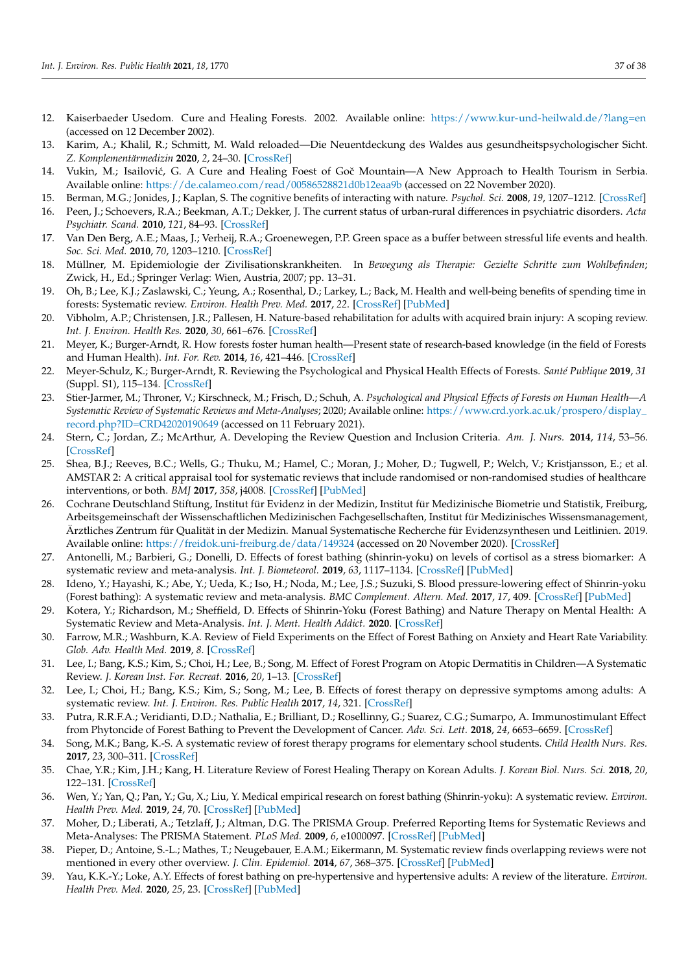- <span id="page-36-27"></span><span id="page-36-0"></span>12. Kaiserbaeder Usedom. Cure and Healing Forests. 2002. Available online: <https://www.kur-und-heilwald.de/?lang=en> (accessed on 12 December 2002).
- <span id="page-36-1"></span>13. Karim, A.; Khalil, R.; Schmitt, M. Wald reloaded—Die Neuentdeckung des Waldes aus gesundheitspsychologischer Sicht. *Z. Komplementärmedizin* **2020**, *2*, 24–30. [\[CrossRef\]](http://doi.org/10.1055/a-1140-1148)
- <span id="page-36-2"></span>14. Vukin, M.; Isailović, G. A Cure and Healing Foest of Goč Mountain—A New Approach to Health Tourism in Serbia. Available online: <https://de.calameo.com/read/00586528821d0b12eaa9b> (accessed on 22 November 2020).
- <span id="page-36-3"></span>15. Berman, M.G.; Jonides, J.; Kaplan, S. The cognitive benefits of interacting with nature. *Psychol. Sci.* **2008**, *19*, 1207–1212. [\[CrossRef\]](http://doi.org/10.1111/j.1467-9280.2008.02225.x)
- 16. Peen, J.; Schoevers, R.A.; Beekman, A.T.; Dekker, J. The current status of urban-rural differences in psychiatric disorders. *Acta Psychiatr. Scand.* **2010**, *121*, 84–93. [\[CrossRef\]](http://doi.org/10.1111/j.1600-0447.2009.01438.x)
- <span id="page-36-4"></span>17. Van Den Berg, A.E.; Maas, J.; Verheij, R.A.; Groenewegen, P.P. Green space as a buffer between stressful life events and health. *Soc. Sci. Med.* **2010**, *70*, 1203–1210. [\[CrossRef\]](http://doi.org/10.1016/j.socscimed.2010.01.002)
- <span id="page-36-31"></span><span id="page-36-5"></span>18. Müllner, M. Epidemiologie der Zivilisationskrankheiten. In *Bewegung als Therapie: Gezielte Schritte zum Wohlbefinden*; Zwick, H., Ed.; Springer Verlag: Wien, Austria, 2007; pp. 13–31.
- <span id="page-36-25"></span><span id="page-36-6"></span>19. Oh, B.; Lee, K.J.; Zaslawski, C.; Yeung, A.; Rosenthal, D.; Larkey, L.; Back, M. Health and well-being benefits of spending time in forests: Systematic review. *Environ. Health Prev. Med.* **2017**, *22*. [\[CrossRef\]](http://doi.org/10.1186/s12199-017-0677-9) [\[PubMed\]](http://www.ncbi.nlm.nih.gov/pubmed/29165173)
- <span id="page-36-34"></span><span id="page-36-7"></span>20. Vibholm, A.P.; Christensen, J.R.; Pallesen, H. Nature-based rehabilitation for adults with acquired brain injury: A scoping review. *Int. J. Environ. Health Res.* **2020**, *30*, 661–676. [\[CrossRef\]](http://doi.org/10.1080/09603123.2019.1620183)
- <span id="page-36-32"></span><span id="page-36-8"></span>21. Meyer, K.; Burger-Arndt, R. How forests foster human health—Present state of research-based knowledge (in the field of Forests and Human Health). *Int. For. Rev.* **2014**, *16*, 421–446. [\[CrossRef\]](http://doi.org/10.1505/146554814813484103)
- <span id="page-36-24"></span><span id="page-36-9"></span>22. Meyer-Schulz, K.; Burger-Arndt, R. Reviewing the Psychological and Physical Health Effects of Forests. *Santé Publique* **2019**, *31* (Suppl. S1), 115–134. [\[CrossRef\]](http://doi.org/10.3917/spub.190.0115)
- <span id="page-36-26"></span><span id="page-36-10"></span>23. Stier-Jarmer, M.; Throner, V.; Kirschneck, M.; Frisch, D.; Schuh, A. *Psychological and Physical Effects of Forests on Human Health—A Systematic Review of Systematic Reviews and Meta-Analyses*; 2020; Available online: [https://www.crd.york.ac.uk/prospero/display\\_](https://www.crd.york.ac.uk/prospero/display_record.php?ID=CRD42020190649) [record.php?ID=CRD42020190649](https://www.crd.york.ac.uk/prospero/display_record.php?ID=CRD42020190649) (accessed on 11 February 2021).
- <span id="page-36-30"></span><span id="page-36-11"></span>24. Stern, C.; Jordan, Z.; McArthur, A. Developing the Review Question and Inclusion Criteria. *Am. J. Nurs.* **2014**, *114*, 53–56. [\[CrossRef\]](http://doi.org/10.1097/01.NAJ.0000445689.67800.86)
- <span id="page-36-29"></span><span id="page-36-28"></span><span id="page-36-12"></span>25. Shea, B.J.; Reeves, B.C.; Wells, G.; Thuku, M.; Hamel, C.; Moran, J.; Moher, D.; Tugwell, P.; Welch, V.; Kristjansson, E.; et al. AMSTAR 2: A critical appraisal tool for systematic reviews that include randomised or non-randomised studies of healthcare interventions, or both. *BMJ* **2017**, *358*, j4008. [\[CrossRef\]](http://doi.org/10.1136/bmj.j4008) [\[PubMed\]](http://www.ncbi.nlm.nih.gov/pubmed/28935701)
- <span id="page-36-33"></span><span id="page-36-13"></span>26. Cochrane Deutschland Stiftung, Institut für Evidenz in der Medizin, Institut für Medizinische Biometrie und Statistik, Freiburg, Arbeitsgemeinschaft der Wissenschaftlichen Medizinischen Fachgesellschaften, Institut für Medizinisches Wissensmanagement, Ärztliches Zentrum für Qualität in der Medizin. Manual Systematische Recherche für Evidenzsynthesen und Leitlinien. 2019. Available online: <https://freidok.uni-freiburg.de/data/149324> (accessed on 20 November 2020). [\[CrossRef\]](http://doi.org/10.6094/UNIFR/149324)
- <span id="page-36-14"></span>27. Antonelli, M.; Barbieri, G.; Donelli, D. Effects of forest bathing (shinrin-yoku) on levels of cortisol as a stress biomarker: A systematic review and meta-analysis. *Int. J. Biometeorol.* **2019**, *63*, 1117–1134. [\[CrossRef\]](http://doi.org/10.1007/s00484-019-01717-x) [\[PubMed\]](http://www.ncbi.nlm.nih.gov/pubmed/31001682)
- <span id="page-36-21"></span>28. Ideno, Y.; Hayashi, K.; Abe, Y.; Ueda, K.; Iso, H.; Noda, M.; Lee, J.S.; Suzuki, S. Blood pressure-lowering effect of Shinrin-yoku (Forest bathing): A systematic review and meta-analysis. *BMC Complement. Altern. Med.* **2017**, *17*, 409. [\[CrossRef\]](http://doi.org/10.1186/s12906-017-1912-z) [\[PubMed\]](http://www.ncbi.nlm.nih.gov/pubmed/28814305)
- <span id="page-36-15"></span>29. Kotera, Y.; Richardson, M.; Sheffield, D. Effects of Shinrin-Yoku (Forest Bathing) and Nature Therapy on Mental Health: A Systematic Review and Meta-Analysis. *Int. J. Ment. Health Addict.* **2020**. [\[CrossRef\]](http://doi.org/10.1007/s11469-020-00363-4)
- <span id="page-36-22"></span>30. Farrow, M.R.; Washburn, K.A. Review of Field Experiments on the Effect of Forest Bathing on Anxiety and Heart Rate Variability. *Glob. Adv. Health Med.* **2019**, *8*. [\[CrossRef\]](http://doi.org/10.1177/2164956119848654)
- <span id="page-36-20"></span>31. Lee, I.; Bang, K.S.; Kim, S.; Choi, H.; Lee, B.; Song, M. Effect of Forest Program on Atopic Dermatitis in Children—A Systematic Review. *J. Korean Inst. For. Recreat.* **2016**, *20*, 1–13. [\[CrossRef\]](http://doi.org/10.7842/kigas.2016.20.2.1)
- <span id="page-36-19"></span>32. Lee, I.; Choi, H.; Bang, K.S.; Kim, S.; Song, M.; Lee, B. Effects of forest therapy on depressive symptoms among adults: A systematic review. *Int. J. Environ. Res. Public Health* **2017**, *14*, 321. [\[CrossRef\]](http://doi.org/10.3390/ijerph14030321)
- <span id="page-36-23"></span>33. Putra, R.R.F.A.; Veridianti, D.D.; Nathalia, E.; Brilliant, D.; Rosellinny, G.; Suarez, C.G.; Sumarpo, A. Immunostimulant Effect from Phytoncide of Forest Bathing to Prevent the Development of Cancer. *Adv. Sci. Lett.* **2018**, *24*, 6653–6659. [\[CrossRef\]](http://doi.org/10.1166/asl.2018.12804)
- <span id="page-36-16"></span>34. Song, M.K.; Bang, K.-S. A systematic review of forest therapy programs for elementary school students. *Child Health Nurs. Res.* **2017**, *23*, 300–311. [\[CrossRef\]](http://doi.org/10.4094/chnr.2017.23.3.300)
- <span id="page-36-17"></span>35. Chae, Y.R.; Kim, J.H.; Kang, H. Literature Review of Forest Healing Therapy on Korean Adults. *J. Korean Biol. Nurs. Sci.* **2018**, *20*, 122–131. [\[CrossRef\]](http://doi.org/10.7586/jkbns.2018.20.2.122)
- <span id="page-36-18"></span>36. Wen, Y.; Yan, Q.; Pan, Y.; Gu, X.; Liu, Y. Medical empirical research on forest bathing (Shinrin-yoku): A systematic review. *Environ. Health Prev. Med.* **2019**, *24*, 70. [\[CrossRef\]](http://doi.org/10.1186/s12199-019-0822-8) [\[PubMed\]](http://www.ncbi.nlm.nih.gov/pubmed/31787069)
- <span id="page-36-35"></span>37. Moher, D.; Liberati, A.; Tetzlaff, J.; Altman, D.G. The PRISMA Group. Preferred Reporting Items for Systematic Reviews and Meta-Analyses: The PRISMA Statement. *PLoS Med.* **2009**, *6*, e1000097. [\[CrossRef\]](http://doi.org/10.1371/journal.pmed.1000097) [\[PubMed\]](http://www.ncbi.nlm.nih.gov/pubmed/19621072)
- <span id="page-36-36"></span>38. Pieper, D.; Antoine, S.-L.; Mathes, T.; Neugebauer, E.A.M.; Eikermann, M. Systematic review finds overlapping reviews were not mentioned in every other overview. *J. Clin. Epidemiol.* **2014**, *67*, 368–375. [\[CrossRef\]](http://doi.org/10.1016/j.jclinepi.2013.11.007) [\[PubMed\]](http://www.ncbi.nlm.nih.gov/pubmed/24581293)
- <span id="page-36-37"></span>39. Yau, K.K.-Y.; Loke, A.Y. Effects of forest bathing on pre-hypertensive and hypertensive adults: A review of the literature. *Environ. Health Prev. Med.* **2020**, *25*, 23. [\[CrossRef\]](http://doi.org/10.1186/s12199-020-00856-7) [\[PubMed\]](http://www.ncbi.nlm.nih.gov/pubmed/32571202)